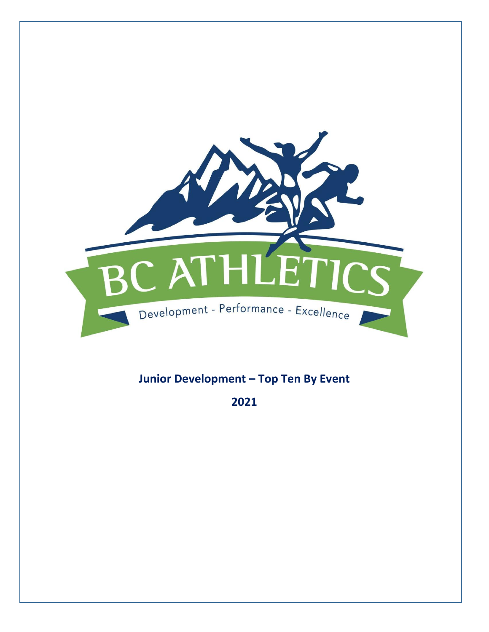

# **Junior Development – Top Ten By Event**

**2021**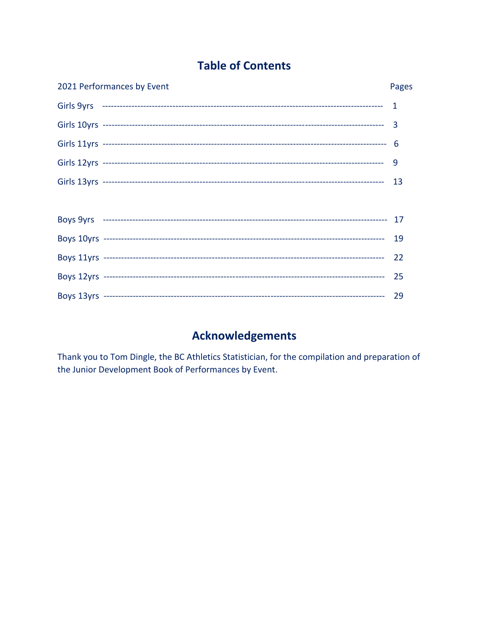# **Table of Contents**

| 2021 Performances by Event | Pages |
|----------------------------|-------|
|                            |       |
|                            |       |
|                            |       |
|                            | 9     |
|                            |       |
|                            |       |
|                            |       |
|                            |       |
|                            | 22    |
|                            | 25    |
|                            |       |

# **Acknowledgements**

Thank you to Tom Dingle, the BC Athletics Statistician, for the compilation and preparation of the Junior Development Book of Performances by Event.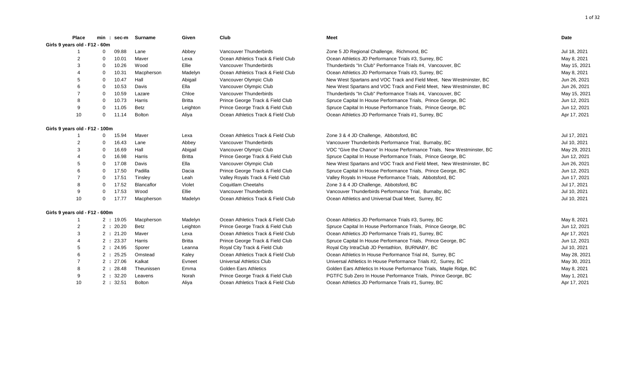|                                | Place          |             | $min: sec-m$ | Surname           | Given         | Club                               | <b>Meet</b>                                                            | Date         |
|--------------------------------|----------------|-------------|--------------|-------------------|---------------|------------------------------------|------------------------------------------------------------------------|--------------|
| Girls 9 years old - F12 - 60m  |                |             |              |                   |               |                                    |                                                                        |              |
|                                |                | 0           | 09.88        | Lane              | Abbey         | Vancouver Thunderbirds             | Zone 5 JD Regional Challenge, Richmond, BC                             | Jul 18, 2021 |
|                                | $\overline{2}$ | $\Omega$    | 10.01        | Maver             | Lexa          | Ocean Athletics Track & Field Club | Ocean Athletics JD Performance Trials #3, Surrey, BC                   | May 8, 2021  |
|                                | 3              | $\Omega$    | 10.26        | Wood              | Ellie         | Vancouver Thunderbirds             | Thunderbirds "In Club" Performance Trials #4, Vancouver, BC            | May 15, 2021 |
|                                |                | $\Omega$    | 10.31        | Macpherson        | Madelyn       | Ocean Athletics Track & Field Club | Ocean Athletics JD Performance Trials #3, Surrey, BC                   | May 8, 2021  |
|                                |                | $\Omega$    | 10.47        | Hall              | Abigail       | Vancouver Olympic Club             | New West Spartans and VOC Track and Field Meet, New Westminster, BC    | Jun 26, 2021 |
|                                |                | $\Omega$    | 10.53        | Davis             | Ella          | Vancouver Olympic Club             | New West Spartans and VOC Track and Field Meet, New Westminster, BC    | Jun 26, 2021 |
|                                |                | $\mathbf 0$ | 10.59        | Lazare            | Chloe         | Vancouver Thunderbirds             | Thunderbirds "In Club" Performance Trials #4, Vancouver, BC            | May 15, 2021 |
|                                |                | $\Omega$    | 10.73        | Harris            | <b>Britta</b> | Prince George Track & Field Club   | Spruce Capital In House Performance Trials, Prince George, BC          | Jun 12, 2021 |
|                                | 9              | $\mathbf 0$ | 11.05        | Betz              | Leighton      | Prince George Track & Field Club   | Spruce Capital In House Performance Trials, Prince George, BC          | Jun 12, 2021 |
|                                | 10             | $\mathbf 0$ | 11.14        | <b>Bolton</b>     | Aliya         | Ocean Athletics Track & Field Club | Ocean Athletics JD Performance Trials #1, Surrey, BC                   | Apr 17, 2021 |
| Girls 9 years old - F12 - 100m |                |             |              |                   |               |                                    |                                                                        |              |
|                                |                | 0           | 15.94        | Maver             | Lexa          | Ocean Athletics Track & Field Club | Zone 3 & 4 JD Challenge, Abbotsford, BC                                | Jul 17, 2021 |
|                                |                | $\Omega$    | 16.43        | Lane              | Abbey         | Vancouver Thunderbirds             | Vancouver Thunderbirds Performance Trial, Burnaby, BC                  | Jul 10, 2021 |
|                                | 3              | $\Omega$    | 16.69        | Hall              | Abigail       | Vancouver Olympic Club             | VOC "Give the Chance" In House Performance Trials, New Westminster, BC | May 29, 2021 |
|                                |                | $\Omega$    | 16.98        | Harris            | <b>Britta</b> | Prince George Track & Field Club   | Spruce Capital In House Performance Trials, Prince George, BC          | Jun 12, 2021 |
|                                |                | $\Omega$    | 17.08        | Davis             | Ella          | Vancouver Olympic Club             | New West Spartans and VOC Track and Field Meet, New Westminster, BC    | Jun 26, 2021 |
|                                |                | $\Omega$    | 17.50        | Padilla           | Dacia         | Prince George Track & Field Club   | Spruce Capital In House Performance Trials, Prince George, BC          | Jun 12, 2021 |
|                                |                | $\mathbf 0$ | 17.51        | Tinsley           | Leah          | Valley Royals Track & Field Club   | Valley Royals In House Performance Trials, Abbotsford, BC              | Jun 17, 2021 |
|                                |                | $\Omega$    | 17.52        | <b>Blancaflor</b> | Violet        | <b>Coquitlam Cheetahs</b>          | Zone 3 & 4 JD Challenge, Abbotsford, BC                                | Jul 17, 2021 |
|                                | 9              | $\mathbf 0$ | 17.53        | Wood              | Ellie         | Vancouver Thunderbirds             | Vancouver Thunderbirds Performance Trial, Burnaby, BC                  | Jul 10, 2021 |
|                                | 10             | $\mathbf 0$ | 17.77        | Macpherson        | Madelyn       | Ocean Athletics Track & Field Club | Ocean Athletics and Universal Dual Meet, Surrey, BC                    | Jul 10, 2021 |
| Girls 9 years old - F12 - 600m |                |             |              |                   |               |                                    |                                                                        |              |
|                                |                |             | 2:19.05      | Macpherson        | Madelyn       | Ocean Athletics Track & Field Club | Ocean Athletics JD Performance Trials #3, Surrey, BC                   | May 8, 2021  |
|                                | $\overline{2}$ |             | 2:20.20      | Betz              | Leighton      | Prince George Track & Field Club   | Spruce Capital In House Performance Trials, Prince George, BC          | Jun 12, 2021 |
|                                | 3              |             | 2:21.20      | Maver             | Lexa          | Ocean Athletics Track & Field Club | Ocean Athletics JD Performance Trials #1, Surrey, BC                   | Apr 17, 2021 |
|                                |                |             | 2:23.37      | Harris            | <b>Britta</b> | Prince George Track & Field Club   | Spruce Capital In House Performance Trials, Prince George, BC          | Jun 12, 2021 |
|                                | 5              |             | 2:24.95      | Sporer            | Leanna        | Royal City Track & Field Club      | Royal City IntraClub JD Pentathlon, BURNABY, BC                        | Jul 10, 2021 |
|                                | 6              |             | 2:25.25      | Omstead           | Kaley         | Ocean Athletics Track & Field Club | Ocean Athletics In House Performance Trial #4, Surrey, BC              | May 28, 2021 |
|                                |                |             | 2:27.06      | Kalkat            | Evneet        | Universal Athletics Club           | Universal Athletics In House Performance Trials #2, Surrey, BC         | May 30, 2021 |
|                                |                |             | 2:28.48      | Theunissen        | Emma          | <b>Golden Ears Athletics</b>       | Golden Ears Athletics In House Performance Trials, Maple Ridge, BC     | May 8, 2021  |
|                                |                |             | 2:32.20      | Leavens           | Norah         | Prince George Track & Field Club   | PGTFC Sub Zero In House Performance Trials, Prince George, BC          | May 1, 2021  |
|                                | 10             |             | 2:32.51      | <b>Bolton</b>     | Aliya         | Ocean Athletics Track & Field Club | Ocean Athletics JD Performance Trials #1, Surrey, BC                   | Apr 17, 2021 |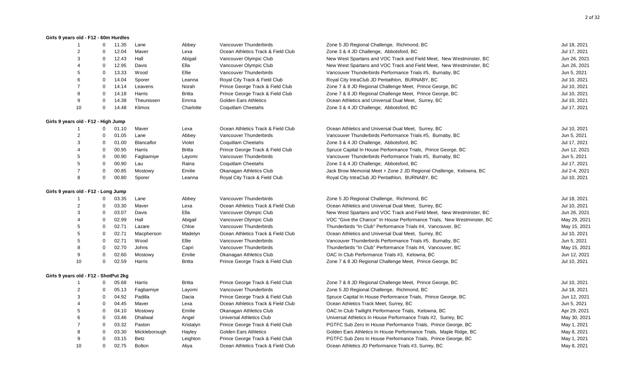#### **Girls 9 years old - F12 - 60m Hurdles**

| $\mathbf{1}$                          | $\Omega$    | 11.35 | Lane          | Abbey         | Vancouver Thunderbirds             | Zone 5 JD Regional Challenge, Richmond, BC                             | Jul 18, 2021  |
|---------------------------------------|-------------|-------|---------------|---------------|------------------------------------|------------------------------------------------------------------------|---------------|
| $\overline{2}$                        | $\Omega$    | 12.04 | Maver         | Lexa          | Ocean Athletics Track & Field Club | Zone 3 & 4 JD Challenge, Abbotsford, BC                                | Jul 17, 2021  |
| 3                                     | $\mathbf 0$ | 12.43 | Hall          | Abigail       | Vancouver Olympic Club             | New West Spartans and VOC Track and Field Meet, New Westminster, BC    | Jun 26, 2021  |
| $\overline{\mathcal{A}}$              | $\Omega$    | 12.95 | Davis         | Ella          | Vancouver Olympic Club             | New West Spartans and VOC Track and Field Meet, New Westminster, BC    | Jun 26, 2021  |
| 5                                     | $\mathbf 0$ | 13.33 | Wood          | Ellie         | Vancouver Thunderbirds             | Vancouver Thunderbirds Performance Trials #5, Burnaby, BC              | Jun 5, 2021   |
| 6                                     | $\Omega$    | 14.04 | Sporer        | Leanna        | Royal City Track & Field Club      | Royal City IntraClub JD Pentathlon, BURNABY, BC                        | Jul 10, 2021  |
| $\overline{7}$                        | $\mathbf 0$ | 14.14 | Leavens       | Norah         | Prince George Track & Field Club   | Zone 7 & 8 JD Regional Challenge Meet, Prince George, BC               | Jul 10, 2021  |
| 8                                     | $\Omega$    | 14.18 | Harris        | <b>Britta</b> | Prince George Track & Field Club   | Zone 7 & 8 JD Regional Challenge Meet, Prince George, BC               | Jul 10, 2021  |
| 9                                     | $\Omega$    | 14.38 | Theunissen    | Emma          | <b>Golden Ears Athletics</b>       | Ocean Athletics and Universal Dual Meet, Surrey, BC                    | Jul 10, 2021  |
| 10                                    | 0           | 14.48 | Klimos        | Charlotte     | Coquitlam Cheetahs                 | Zone 3 & 4 JD Challenge, Abbotsford, BC                                | Jul 17, 2021  |
| Girls 9 years old - F12 - High Jump   |             |       |               |               |                                    |                                                                        |               |
|                                       | 0           | 01.10 | Maver         | Lexa          | Ocean Athletics Track & Field Club | Ocean Athletics and Universal Dual Meet, Surrey, BC                    | Jul 10, 2021  |
| $\overline{2}$                        | $\Omega$    | 01.05 | Lane          | Abbey         | Vancouver Thunderbirds             | Vancouver Thunderbirds Performance Trials #5, Burnaby, BC              | Jun 5, 2021   |
| 3                                     | $\mathbf 0$ | 01.00 | Blancaflor    | Violet        | Coquitlam Cheetahs                 | Zone 3 & 4 JD Challenge, Abbotsford, BC                                | Jul 17, 2021  |
| $\overline{4}$                        | $\Omega$    | 00.95 | Harris        | <b>Britta</b> | Prince George Track & Field Club   | Spruce Capital In House Performance Trials, Prince George, BC          | Jun 12, 2021  |
| 5                                     | $\mathbf 0$ | 00.90 | Fagbamiye     | Layomi        | Vancouver Thunderbirds             | Vancouver Thunderbirds Performance Trials #5, Burnaby, BC              | Jun 5, 2021   |
| 5                                     | $\mathbf 0$ | 00.90 | Lau           | Raina         | Coquitlam Cheetahs                 | Zone 3 & 4 JD Challenge, Abbotsford, BC                                | Jul 17, 2021  |
| $\overline{7}$                        | $\Omega$    | 00.85 | Mostowy       | Emilie        | Okanagan Athletics Club            | Jack Brow Memorial Meet + Zone 2 JD Regional Challenge, Kelowna, BC    | Jul 2-4, 2021 |
| 8                                     | 0           | 00.80 | Sporer        | Leanna        | Royal City Track & Field Club      | Royal City IntraClub JD Pentathlon, BURNABY, BC                        | Jul 10, 2021  |
| Girls 9 years old - F12 - Long Jump   |             |       |               |               |                                    |                                                                        |               |
|                                       | 0           | 03.35 | Lane          | Abbey         | Vancouver Thunderbirds             | Zone 5 JD Regional Challenge, Richmond, BC                             | Jul 18, 2021  |
| $\overline{2}$                        | $\mathbf 0$ | 03.30 | Maver         | Lexa          | Ocean Athletics Track & Field Club | Ocean Athletics and Universal Dual Meet, Surrey, BC                    | Jul 10, 2021  |
| 3                                     | $\mathbf 0$ | 03.07 | Davis         | Ella          | Vancouver Olympic Club             | New West Spartans and VOC Track and Field Meet, New Westminster, BC    | Jun 26, 2021  |
| $\overline{4}$                        | $\Omega$    | 02.99 | Hall          | Abigail       | Vancouver Olympic Club             | VOC "Give the Chance" In House Performance Trials, New Westminster, BC | May 29, 2021  |
| 5                                     | $\Omega$    | 02.71 | Lazare        | Chloe         | Vancouver Thunderbirds             | Thunderbirds "In Club" Performance Trials #4, Vancouver, BC            | May 15, 2021  |
| 5                                     | $\mathbf 0$ | 02.71 | Macpherson    | Madelyn       | Ocean Athletics Track & Field Club | Ocean Athletics and Universal Dual Meet, Surrey, BC                    | Jul 10, 2021  |
| 5                                     | $\Omega$    | 02.71 | Wood          | Ellie         | Vancouver Thunderbirds             | Vancouver Thunderbirds Performance Trials #5, Burnaby, BC              | Jun 5, 2021   |
| 8                                     | $\mathbf 0$ | 02.70 | Johns         | Capri         | Vancouver Thunderbirds             | Thunderbirds "In Club" Performance Trials #4, Vancouver, BC            | May 15, 2021  |
| 9                                     | $\mathbf 0$ | 02.60 | Mostowy       | Emilie        | Okanagan Athletics Club            | OAC In Club Performance Trials #3, Kelowna, BC                         | Jun 12, 2021  |
| 10                                    | $\mathbf 0$ | 02.59 | Harris        | <b>Britta</b> | Prince George Track & Field Club   | Zone 7 & 8 JD Regional Challenge Meet, Prince George, BC               | Jul 10, 2021  |
| Girls 9 years old - F12 - ShotPut 2kg |             |       |               |               |                                    |                                                                        |               |
|                                       | 0           | 05.68 | Harris        | <b>Britta</b> | Prince George Track & Field Club   | Zone 7 & 8 JD Regional Challenge Meet, Prince George, BC               | Jul 10, 2021  |
| $\overline{2}$                        | 0           | 05.13 | Fagbamiye     | Layomi        | Vancouver Thunderbirds             | Zone 5 JD Regional Challenge, Richmond, BC                             | Jul 18, 2021  |
| 3                                     | $\Omega$    | 04.92 | Padilla       | Dacia         | Prince George Track & Field Club   | Spruce Capital In House Performance Trials, Prince George, BC          | Jun 12, 2021  |
|                                       | 0           | 04.45 | Maver         | Lexa          | Ocean Athletics Track & Field Club | Ocean Athletics Track Meet, Surrey, BC                                 | Jun 5, 2021   |
| 5                                     | $\mathbf 0$ | 04.10 | Mostowy       | Emilie        | Okanagan Athletics Club            | OAC In Club Twilight Performance Trials, Kelowna, BC                   | Apr 29, 2021  |
| 6                                     | $\mathbf 0$ | 03.46 | Dhaliwal      | Angel         | Universal Athletics Club           | Universal Athletics In House Performance Trials #2, Surrey, BC         | May 30, 2021  |
| 7                                     | $\mathbf 0$ | 03.32 | Paxton        | Kristalyn     | Prince George Track & Field Club   | PGTFC Sub Zero In House Performance Trials, Prince George, BC          | May 1, 2021   |
| 8                                     | $\Omega$    | 03.30 | Mickleborough | Hayley        | <b>Golden Ears Athletics</b>       | Golden Ears Athletics In House Performance Trials, Maple Ridge, BC     | May 8, 2021   |
| 9                                     | $\Omega$    | 03.15 | Betz          | Leighton      | Prince George Track & Field Club   | PGTFC Sub Zero In House Performance Trials, Prince George, BC          | May 1, 2021   |
| 10                                    | $\Omega$    | 02.75 | <b>Bolton</b> | Aliya         | Ocean Athletics Track & Field Club | Ocean Athletics JD Performance Trials #3, Surrey, BC                   | May 8, 2021   |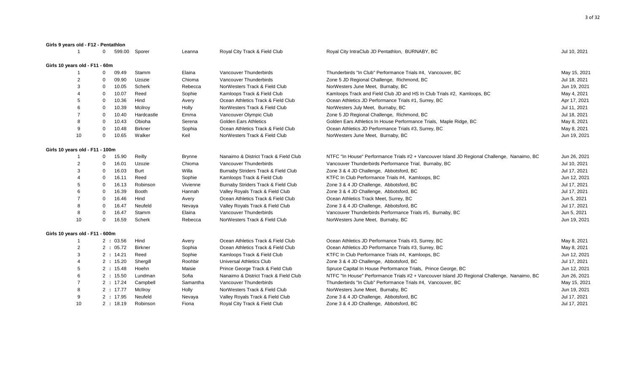| Girls 9 years old - F12 - Pentathlon |              |           |                |               |                                       |                                                                                             |              |
|--------------------------------------|--------------|-----------|----------------|---------------|---------------------------------------|---------------------------------------------------------------------------------------------|--------------|
|                                      | $\Omega$     | 599.00    | Sporer         | Leanna        | Royal City Track & Field Club         | Royal City IntraClub JD Pentathlon, BURNABY, BC                                             | Jul 10, 2021 |
| Girls 10 years old - F11 - 60m       |              |           |                |               |                                       |                                                                                             |              |
|                                      | $\mathbf 0$  | 09.49     | Stamm          | Elaina        | Vancouver Thunderbirds                | Thunderbirds "In Club" Performance Trials #4, Vancouver, BC                                 | May 15, 2021 |
|                                      | $\mathbf 0$  | 09.90     | Uzozie         | Chioma        | Vancouver Thunderbirds                | Zone 5 JD Regional Challenge, Richmond, BC                                                  | Jul 18, 2021 |
|                                      | $\mathbf 0$  | 10.05     | Scherk         | Rebecca       | NorWesters Track & Field Club         | NorWesters June Meet, Burnaby, BC                                                           | Jun 19, 2021 |
|                                      | 0            | 10.07     | Reed           | Sophie        | Kamloops Track & Field Club           | Kamloops Track and Field Club JD and HS In Club Trials #2, Kamloops, BC                     | May 4, 2021  |
| 5                                    | 0            | 10.36     | Hind           | Avery         | Ocean Athletics Track & Field Club    | Ocean Athletics JD Performance Trials #1, Surrey, BC                                        | Apr 17, 2021 |
|                                      | 0            | 10.39     | Mcilroy        | Holly         | NorWesters Track & Field Club         | NorWesters July Meet, Burnaby, BC                                                           | Jul 11, 2021 |
|                                      | 0            | 10.40     | Hardcastle     | Emma          | Vancouver Olympic Club                | Zone 5 JD Regional Challenge, Richmond, BC                                                  | Jul 18, 2021 |
| 8                                    | $\mathbf 0$  | 10.43     | Obioha         | Serena        | <b>Golden Ears Athletics</b>          | Golden Ears Athletics In House Performance Trials, Maple Ridge, BC                          | May 8, 2021  |
| 9                                    | 0            | 10.48     | <b>Birkner</b> | Sophia        | Ocean Athletics Track & Field Club    | Ocean Athletics JD Performance Trials #3, Surrey, BC                                        | May 8, 2021  |
| 10                                   | $\mathbf 0$  | 10.65     | Walker         | Keil          | NorWesters Track & Field Club         | NorWesters June Meet, Burnaby, BC                                                           | Jun 19, 2021 |
| Girls 10 years old - F11 - 100m      |              |           |                |               |                                       |                                                                                             |              |
|                                      | $\mathbf 0$  | 15.90     | Reilly         | <b>Brynne</b> | Nanaimo & District Track & Field Club | NTFC "In House" Performance Trials #2 + Vancouver Island JD Regional Challenge, Nanaimo, BC | Jun 26, 2021 |
| $\overline{2}$                       | $\mathbf 0$  | 16.01     | Uzozie         | Chioma        | Vancouver Thunderbirds                | Vancouver Thunderbirds Performance Trial, Burnaby, BC                                       | Jul 10, 2021 |
| 3                                    | $\mathbf 0$  | 16.03     | Burt           | Willa         | Burnaby Striders Track & Field Club   | Zone 3 & 4 JD Challenge, Abbotsford, BC                                                     | Jul 17, 2021 |
|                                      | $\mathbf 0$  | 16.11     | Reed           | Sophie        | Kamloops Track & Field Club           | KTFC In Club Performance Trials #4, Kamloops, BC                                            | Jun 12, 2021 |
| 5                                    | $\mathbf 0$  | 16.13     | Robinson       | Vivienne      | Burnaby Striders Track & Field Club   | Zone 3 & 4 JD Challenge, Abbotsford, BC                                                     | Jul 17, 2021 |
| 6                                    | $\mathbf{0}$ | 16.39     | <b>Booth</b>   | Hannah        | Valley Royals Track & Field Club      | Zone 3 & 4 JD Challenge, Abbotsford, BC                                                     | Jul 17, 2021 |
|                                      | $\mathbf{0}$ | 16.46     | Hind           | Avery         | Ocean Athletics Track & Field Club    | Ocean Athletics Track Meet, Surrey, BC                                                      | Jun 5, 2021  |
| 8                                    | $\mathbf{0}$ | 16.47     | Neufeld        | Nevaya        | Valley Royals Track & Field Club      | Zone 3 & 4 JD Challenge, Abbotsford, BC                                                     | Jul 17, 2021 |
| 8                                    | $\Omega$     | 16.47     | Stamm          | Elaina        | Vancouver Thunderbirds                | Vancouver Thunderbirds Performance Trials #5, Burnaby, BC                                   | Jun 5, 2021  |
| 10                                   | $\mathbf 0$  | 16.59     | Scherk         | Rebecca       | NorWesters Track & Field Club         | NorWesters June Meet, Burnaby, BC                                                           | Jun 19, 2021 |
| Girls 10 years old - F11 - 600m      |              |           |                |               |                                       |                                                                                             |              |
|                                      |              | 2:03.56   | Hind           | Avery         | Ocean Athletics Track & Field Club    | Ocean Athletics JD Performance Trials #3, Surrey, BC                                        | May 8, 2021  |
| 2                                    |              | 2 : 05.72 | <b>Birkner</b> | Sophia        | Ocean Athletics Track & Field Club    | Ocean Athletics JD Performance Trials #3, Surrey, BC                                        | May 8, 2021  |
| 3                                    |              | 2:14.21   | Reed           | Sophie        | Kamloops Track & Field Club           | KTFC In Club Performance Trials #4, Kamloops, BC                                            | Jun 12, 2021 |
| 4                                    |              | 2:15.20   | Shergill       | Roohbir       | <b>Universal Athletics Club</b>       | Zone 3 & 4 JD Challenge, Abbotsford, BC                                                     | Jul 17, 2021 |
| 5                                    |              | 2:15.48   | Hoehn          | Maisie        | Prince George Track & Field Club      | Spruce Capital In House Performance Trials, Prince George, BC                               | Jun 12, 2021 |
| 6                                    |              | 2:15.50   | Lundman        | Sofia         | Nanaimo & District Track & Field Club | NTFC "In House" Performance Trials #2 + Vancouver Island JD Regional Challenge, Nanaimo, BC | Jun 26, 2021 |
|                                      |              | 2 : 17.24 | Campbell       | Samantha      | Vancouver Thunderbirds                | Thunderbirds "In Club" Performance Trials #4, Vancouver, BC                                 | May 15, 2021 |
| 8                                    |              | 2:17.77   | McIlroy        | Holly         | NorWesters Track & Field Club         | NorWesters June Meet, Burnaby, BC                                                           | Jun 19, 2021 |
| 9                                    |              | 2:17.95   | Neufeld        | Nevaya        | Valley Royals Track & Field Club      | Zone 3 & 4 JD Challenge, Abbotsford, BC                                                     | Jul 17, 2021 |
| 10                                   |              | 2:18.19   | Robinson       | Fiona         | Royal City Track & Field Club         | Zone 3 & 4 JD Challenge, Abbotsford, BC                                                     | Jul 17, 2021 |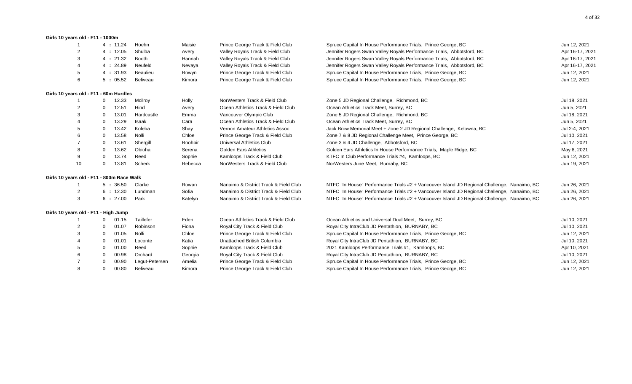# **Girls 10 years old - F11 - 1000m** 1 4 **:** 11.24 Hoehn Maisie Prince George Track & Field Club Spruce Capital In House Performance Trials, Prince George, BC Jun 12, 2021 2 4 **:** 12.05 Shulba Avery Valley Royals Track & Field Club Jennifer Rogers Swan Valley Royals Performance Trials, Abbotsford, BC Apr 16-17, 2021 3 4 **:** 21.32 Booth Hannah Valley Royals Track & Field Club Jennifer Rogers Swan Valley Royals Performance Trials, Abbotsford, BC Apr 16-17, 2021 4 4 **:** 24.89 Neufeld Nevaya Valley Royals Track & Field Club Jennifer Rogers Swan Valley Royals Performance Trials, Abbotsford, BC Apr 16-17, 2021 5 4 **:** 31.93 Beaulieu Rowyn Prince George Track & Field Club Spruce Capital In House Performance Trials, Prince George, BC Jun 12, 2021 6 5 **:** 05.52 Beliveau Kimora Prince George Track & Field Club Spruce Capital In House Performance Trials, Prince George, BC Jun 12, 2021 **Girls 10 years old - F11 - 60m Hurdles** 1 0 12.33 Mcilroy Holly NorWesters Track & Field Club Zone 5 JD Regional Challenge, Richmond, BC 3021 30 Jul 18, 2021 2 0 12.51 Hind Avery Ocean Athletics Track & Field Club Ocean Athletics Track Meet, Surrey, BC 3021 Jun 5, 2021 3 0 13.01 Hardcastle Emma Vancouver Olympic Club Zone 5 JD Regional Challenge, Richmond, BC 3001 18, 2021 4 0 13.29 Isaak Cara Ocean Athletics Track & Field Club Ocean Athletics Track Meet, Surrey, BC Jun 5, 2021 5 0 13.42 Koleba Shay Vernon Amateur Athletics Assoc Jack Brow Memorial Meet + Zone 2 JD Regional Challenge, Kelowna, BC Jul 2-4, 2021 6 0 13.58 Nolli Chloe Prince George Track & Field Club Zone 7 & 8 JD Regional Challenge Meet, Prince George, BC Jul 10, 2021 7 0 13.61 Shergill Boohbir Universal Athletics Club Zone 3 & 4 JD Challenge, Abbotsford, BC 7 3 Aud 17, 2021 8 0 13.62 Obioha Serena Golden Ears Athletics Golden Ears Athletics Golden Ears Athletics In House Performance Trials, Maple Ridge, BC 6 13.62 Obioha May 8, 2021 9 0 13.74 Reed Sophie Kamloops Track & Field Club KTFC In Club Performance Trials #4, Kamloops, BC Jun 12, 2021 10 0 13.81 Scherk Rebecca NorWesters Track & Field Club NorWesters June Meet, Burnaby, BC Jun 19, 2021 **Girls 10 years old - F11 - 800m Race Walk** 1 5 **:** 36.50 Clarke Rowan Nanaimo & District Track & Field Club NTFC "In House" Performance Trials #2 + Vancouver Island JD Regional Challenge, Nanaimo, BC Jun 26, 2021 2 6 **:** 12.30 Lundman Sofia Nanaimo & District Track & Field Club NTFC "In House" Performance Trials #2 + Vancouver Island JD Regional Challenge, Nanaimo, BC Jun 26, 2021 3 6 **:** 27.00 Park Katelyn Nanaimo & District Track & Field Club NTFC "In House" Performance Trials #2 + Vancouver Island JD Regional Challenge, Nanaimo, BC Jun 26, 2021 **Girls 10 years old - F11 - High Jump** 1 0 01.15 Taillefer Eden Ocean Athletics Track & Field Club Ocean Athletics and Universal Dual Meet, Surrey, BC Jul 10, 2021 2 0 01.07 Robinson Fiona Royal City Track & Field Club Royal City IntraClub JD Pentathlon, BURNABY, BC Jul 10, 2021 3 0 01.05 Nolli Chloe Prince George Track & Field Club Spruce Capital In House Performance Trials, Prince George, BC Jun 12, 2021 4 0 01.01 Loconte Matia Unattached British Columbia Royal City IntraClub JD Pentathlon, BURNABY, BC Jul 10, 2021 5 0 01.00 Reed Sophie Kamloops Track & Field Club 2021 Kamloops Performance Trials #1, Kamloops, BC Apr 10, 2021 6 0 00.98 Orchard Georgia Royal City Track & Field Club Royal City IntraClub JD Pentathlon, BURNABY, BC Jul 10, 2021 7 0 00.90 Legut-Petersen Amelia Prince George Track & Field Club Spruce Capital In House Performance Trials, Prince George, BC Jun 12, 2021 8 0 00.80 Beliveau Kimora Prince George Track & Field Club Spruce Capital In House Performance Trials, Prince George, BC Jun 12, 2021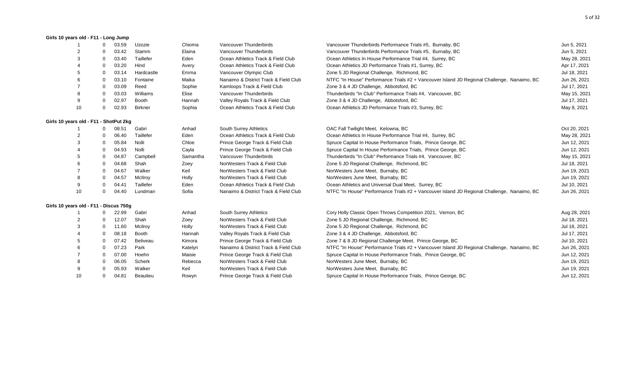#### **Girls 10 years old - F11 - Long Jump**

|                                        | $\Omega$ | 03.59 | Uzozie         | Chioma   | Vancouver Thunderbirds                | Vancouver Thunderbirds Performance Trials #5, Burnaby, BC                                   | Jun 5, 2021  |
|----------------------------------------|----------|-------|----------------|----------|---------------------------------------|---------------------------------------------------------------------------------------------|--------------|
|                                        |          | 03.42 | Stamm          | Elaina   | Vancouver Thunderbirds                | Vancouver Thunderbirds Performance Trials #5, Burnaby, BC                                   | Jun 5, 2021  |
|                                        | $\Omega$ | 03.40 | Taillefer      | Eden     | Ocean Athletics Track & Field Club    | Ocean Athletics In House Performance Trial #4, Surrey, BC                                   | May 28, 2021 |
|                                        | 0        | 03.20 | Hind           | Avery    | Ocean Athletics Track & Field Club    | Ocean Athletics JD Performance Trials #1, Surrey, BC                                        | Apr 17, 2021 |
|                                        | $\Omega$ | 03.14 | Hardcastle     | Emma     | Vancouver Olympic Club                | Zone 5 JD Regional Challenge, Richmond, BC                                                  | Jul 18, 2021 |
|                                        | $\Omega$ | 03.10 | Fontaine       | Maika    | Nanaimo & District Track & Field Club | NTFC "In House" Performance Trials #2 + Vancouver Island JD Regional Challenge, Nanaimo, BC | Jun 26, 2021 |
|                                        |          | 03.09 | Reed           | Sophie   | Kamloops Track & Field Club           | Zone 3 & 4 JD Challenge, Abbotsford, BC                                                     | Jul 17, 2021 |
|                                        | $\Omega$ | 03.03 | Williams       | Elise    | Vancouver Thunderbirds                | Thunderbirds "In Club" Performance Trials #4, Vancouver, BC                                 | May 15, 2021 |
| 9                                      | $\Omega$ | 02.97 | Booth          | Hannah   | Valley Royals Track & Field Club      | Zone 3 & 4 JD Challenge, Abbotsford, BC                                                     | Jul 17, 2021 |
| 10                                     | $\Omega$ | 02.93 | <b>Birkner</b> | Sophia   | Ocean Athletics Track & Field Club    | Ocean Athletics JD Performance Trials #3, Surrey, BC                                        | May 8, 2021  |
| Girls 10 years old - F11 - ShotPut 2kg |          |       |                |          |                                       |                                                                                             |              |
|                                        |          | 08.51 | Gabri          | Anhad    | South Surrey Athletics                | OAC Fall Twilight Meet, Kelowna, BC                                                         | Oct 20, 2021 |
|                                        |          | 06.40 | Taillefer      | Eden     | Ocean Athletics Track & Field Club    | Ocean Athletics In House Performance Trial #4, Surrey, BC                                   | May 28, 2021 |
|                                        | $\Omega$ | 05.84 | Nolli          | Chloe    | Prince George Track & Field Club      | Spruce Capital In House Performance Trials, Prince George, BC                               | Jun 12, 2021 |
|                                        | $\Omega$ | 04.93 | Nolli          | Cayla    | Prince George Track & Field Club      | Spruce Capital In House Performance Trials, Prince George, BC                               | Jun 12, 2021 |
|                                        | $\Omega$ | 04.87 | Campbell       | Samantha | Vancouver Thunderbirds                | Thunderbirds "In Club" Performance Trials #4, Vancouver, BC                                 | May 15, 2021 |
|                                        | $\Omega$ | 04.68 | Shah           | Zoey     | NorWesters Track & Field Club         | Zone 5 JD Regional Challenge, Richmond, BC                                                  | Jul 18, 2021 |
|                                        | $\Omega$ | 04.67 | Walker         | Keil     | NorWesters Track & Field Club         | NorWesters June Meet, Burnaby, BC                                                           | Jun 19, 2021 |
|                                        | $\Omega$ | 04.57 | McIlroy        | Holly    | NorWesters Track & Field Club         | NorWesters June Meet, Burnaby, BC                                                           | Jun 19, 2021 |
| 9                                      | $\Omega$ | 04.41 | Taillefer      | Eden     | Ocean Athletics Track & Field Club    | Ocean Athletics and Universal Dual Meet, Surrey, BC                                         | Jul 10, 2021 |
| 10                                     | $\Omega$ | 04.40 | Lundman        | Sofia    | Nanaimo & District Track & Field Club | NTFC "In House" Performance Trials #2 + Vancouver Island JD Regional Challenge, Nanaimo, BC | Jun 26, 2021 |
| Girls 10 years old - F11 - Discus 750g |          |       |                |          |                                       |                                                                                             |              |
|                                        | $\Omega$ | 22.99 | Gabri          | Anhad    | South Surrey Athletics                | Cory Holly Classic Open Throws Competition 2021, Vernon, BC                                 | Aug 28, 2021 |
| 2                                      | $\Omega$ | 12.07 | Shah           | Zoey     | NorWesters Track & Field Club         | Zone 5 JD Regional Challenge, Richmond, BC                                                  | Jul 18, 2021 |
|                                        | 0        | 11.60 | Mcilroy        | Holly    | NorWesters Track & Field Club         | Zone 5 JD Regional Challenge, Richmond, BC                                                  | Jul 18, 2021 |
|                                        | $\Omega$ | 08.18 | <b>Booth</b>   | Hannah   | Valley Royals Track & Field Club      | Zone 3 & 4 JD Challenge, Abbotsford, BC                                                     | Jul 17, 2021 |
|                                        | $\Omega$ | 07.42 | Beliveau       | Kimora   | Prince George Track & Field Club      | Zone 7 & 8 JD Regional Challenge Meet, Prince George, BC                                    | Jul 10, 2021 |
|                                        | $\Omega$ | 07.23 | Park           | Katelyn  | Nanaimo & District Track & Field Club | NTFC "In House" Performance Trials #2 + Vancouver Island JD Regional Challenge, Nanaimo, BC | Jun 26, 2021 |
|                                        | 0        | 07.00 | Hoehn          | Maisie   | Prince George Track & Field Club      | Spruce Capital In House Performance Trials, Prince George, BC                               | Jun 12, 2021 |
|                                        | $\Omega$ | 06.05 | Scherk         | Rebecca  | NorWesters Track & Field Club         | NorWesters June Meet, Burnaby, BC                                                           | Jun 19, 2021 |
|                                        |          | 05.93 | Walker         | Keil     | NorWesters Track & Field Club         | NorWesters June Meet, Burnaby, BC                                                           | Jun 19, 2021 |
| 10                                     | $\Omega$ | 04.81 | Beaulieu       | Rowyn    | Prince George Track & Field Club      | Spruce Capital In House Performance Trials, Prince George, BC                               | Jun 12, 2021 |
|                                        |          |       |                |          |                                       |                                                                                             |              |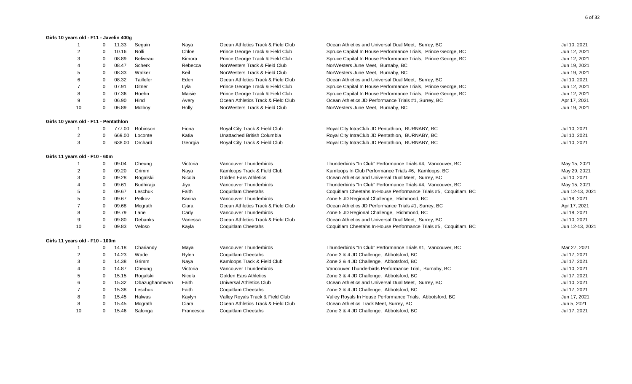#### **Girls 10 years old - F11 - Javelin 400g**

| -1                                    | 0            | 11.33  | Seguin        | Naya      | Ocean Athletics Track & Field Club | Ocean Athletics and Universal Dual Meet, Surrey, BC              | Jul 10, 2021    |
|---------------------------------------|--------------|--------|---------------|-----------|------------------------------------|------------------------------------------------------------------|-----------------|
| $\overline{2}$                        | $\Omega$     | 10.16  | Nolli         | Chloe     | Prince George Track & Field Club   | Spruce Capital In House Performance Trials, Prince George, BC    | Jun 12, 2021    |
| 3                                     | $\Omega$     | 08.89  | Beliveau      | Kimora    | Prince George Track & Field Club   | Spruce Capital In House Performance Trials, Prince George, BC    | Jun 12, 2021    |
|                                       | $\Omega$     | 08.47  | Scherk        | Rebecca   | NorWesters Track & Field Club      | NorWesters June Meet, Burnaby, BC                                | Jun 19, 2021    |
| 5                                     | $\Omega$     | 08.33  | Walker        | Keil      | NorWesters Track & Field Club      | NorWesters June Meet, Burnaby, BC                                | Jun 19, 2021    |
|                                       | $\Omega$     | 08.32  | Taillefer     | Eden      | Ocean Athletics Track & Field Club | Ocean Athletics and Universal Dual Meet, Surrey, BC              | Jul 10, 2021    |
|                                       | $\mathbf 0$  | 07.91  | Ditner        | Lyla      | Prince George Track & Field Club   | Spruce Capital In House Performance Trials, Prince George, BC    | Jun 12, 2021    |
| 8                                     | 0            | 07.36  | Hoehn         | Maisie    | Prince George Track & Field Club   | Spruce Capital In House Performance Trials, Prince George, BC    | Jun 12, 2021    |
| 9                                     | 0            | 06.90  | Hind          | Avery     | Ocean Athletics Track & Field Club | Ocean Athletics JD Performance Trials #1, Surrey, BC             | Apr 17, 2021    |
| 10                                    | 0            | 06.89  | McIlroy       | Holly     | NorWesters Track & Field Club      | NorWesters June Meet, Burnaby, BC                                | Jun 19, 2021    |
| Girls 10 years old - F11 - Pentathlon |              |        |               |           |                                    |                                                                  |                 |
| $\overline{1}$                        | 0            | 777.00 | Robinson      | Fiona     | Royal City Track & Field Club      | Royal City IntraClub JD Pentathlon, BURNABY, BC                  | Jul 10, 2021    |
| $\overline{2}$                        | ∩            | 669.00 | Loconte       | Katia     | Unattached British Columbia        | Royal City IntraClub JD Pentathlon, BURNABY, BC                  | Jul 10, 2021    |
| 3                                     | $\Omega$     | 638.00 | Orchard       | Georgia   | Royal City Track & Field Club      | Royal City IntraClub JD Pentathlon, BURNABY, BC                  | Jul 10, 2021    |
| Girls 11 years old - F10 - 60m        |              |        |               |           |                                    |                                                                  |                 |
|                                       | 0            | 09.04  | Cheung        | Victoria  | Vancouver Thunderbirds             | Thunderbirds "In Club" Performance Trials #4, Vancouver, BC      | May 15, 2021    |
|                                       | $\Omega$     | 09.20  | Grimm         | Naya      | Kamloops Track & Field Club        | Kamloops In Club Performance Trials #6, Kamloops, BC             | May 29, 2021    |
| 3                                     | $\mathbf 0$  | 09.28  | Rogalski      | Nicola    | <b>Golden Ears Athletics</b>       | Ocean Athletics and Universal Dual Meet, Surrey, BC              | Jul 10, 2021    |
|                                       | $\mathbf 0$  | 09.61  | Budhiraja     | Jiya      | Vancouver Thunderbirds             | Thunderbirds "In Club" Performance Trials #4, Vancouver, BC      | May 15, 2021    |
|                                       | $\Omega$     | 09.67  | Leschuk       | Faith     | Coquitlam Cheetahs                 | Coquitlam Cheetahs In-House Performance Trials #5, Coquitlam, BC | Jun 12-13, 2021 |
|                                       | $\Omega$     | 09.67  | Petkov        | Karina    | Vancouver Thunderbirds             | Zone 5 JD Regional Challenge, Richmond, BC                       | Jul 18, 2021    |
|                                       | $\Omega$     | 09.68  | Mcgrath       | Ciara     | Ocean Athletics Track & Field Club | Ocean Athletics JD Performance Trials #1, Surrey, BC             | Apr 17, 2021    |
|                                       | $\Omega$     | 09.79  | Lane          | Carly     | Vancouver Thunderbirds             | Zone 5 JD Regional Challenge, Richmond, BC                       | Jul 18, 2021    |
| 9                                     | 0            | 09.80  | Debanks       | Vanessa   | Ocean Athletics Track & Field Club | Ocean Athletics and Universal Dual Meet, Surrey, BC              | Jul 10, 2021    |
| 10                                    | $\mathbf 0$  | 09.83  | Veloso        | Kayla     | Coquitlam Cheetahs                 | Coquitlam Cheetahs In-House Performance Trials #5, Coquitlam, BC | Jun 12-13, 2021 |
| Girls 11 years old - F10 - 100m       |              |        |               |           |                                    |                                                                  |                 |
| $\mathbf{1}$                          | $\mathbf{0}$ | 14.18  | Chariandy     | Maya      | Vancouver Thunderbirds             | Thunderbirds "In Club" Performance Trials #1, Vancouver, BC      | Mar 27, 2021    |
| 2                                     | 0            | 14.23  | Wade          | Rylen     | <b>Coquitlam Cheetahs</b>          | Zone 3 & 4 JD Challenge, Abbotsford, BC                          | Jul 17, 2021    |
| 3                                     | 0            | 14.38  | Grimm         | Naya      | Kamloops Track & Field Club        | Zone 3 & 4 JD Challenge, Abbotsford, BC                          | Jul 17, 2021    |
|                                       | 0            | 14.87  | Cheung        | Victoria  | Vancouver Thunderbirds             | Vancouver Thunderbirds Performance Trial, Burnaby, BC            | Jul 10, 2021    |
|                                       | 0            | 15.15  | Rogalski      | Nicola    | <b>Golden Ears Athletics</b>       | Zone 3 & 4 JD Challenge, Abbotsford, BC                          | Jul 17, 2021    |
|                                       | 0            | 15.32  | Obazughanmwen | Faith     | Universal Athletics Club           | Ocean Athletics and Universal Dual Meet, Surrey, BC              | Jul 10, 2021    |
|                                       | 0            | 15.38  | Leschuk       | Faith     | <b>Coquitlam Cheetahs</b>          | Zone 3 & 4 JD Challenge, Abbotsford, BC                          | Jul 17, 2021    |
|                                       | $\mathbf 0$  | 15.45  | Halwas        | Kaylyn    | Valley Royals Track & Field Club   | Valley Royals In House Performance Trials, Abbotsford, BC        | Jun 17, 2021    |
|                                       | $\Omega$     | 15.45  | Mcgrath       | Ciara     | Ocean Athletics Track & Field Club | Ocean Athletics Track Meet, Surrey, BC                           | Jun 5, 2021     |
| 10                                    | $\Omega$     | 15.46  | Salonga       | Francesca | Coquitlam Cheetahs                 | Zone 3 & 4 JD Challenge, Abbotsford, BC                          | Jul 17, 2021    |
|                                       |              |        |               |           |                                    |                                                                  |                 |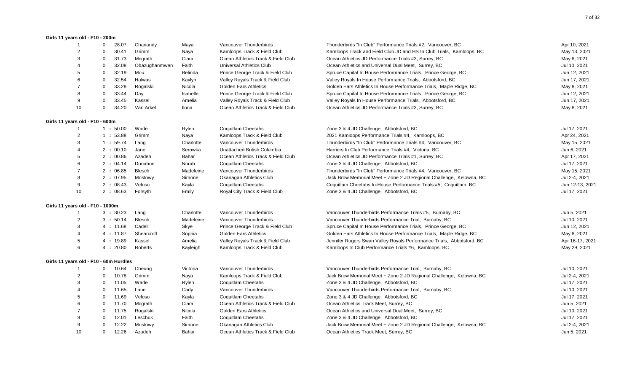#### **Girls 11 years old - F10 - 200m**

| -1                               | 28.07<br>0                             | Chariandy     | Maya      | Vancouver Thunderbirds             | Thunderbirds "In Club" Performance Trials #2, Vancouver, BC           | Apr 10, 2021    |
|----------------------------------|----------------------------------------|---------------|-----------|------------------------------------|-----------------------------------------------------------------------|-----------------|
| $\overline{2}$                   | 30.41<br>$\Omega$                      | Grimm         | Naya      | Kamloops Track & Field Club        | Kamloops Track and Field Club JD and HS In Club Trials, Kamloops, BC  | May 13, 2021    |
| 3                                | 31.73<br>0                             | Mcgrath       | Ciara     | Ocean Athletics Track & Field Club | Ocean Athletics JD Performance Trials #3, Surrey, BC                  | May 8, 2021     |
|                                  | 32.08<br>0                             | Obazughanmwen | Faith     | Universal Athletics Club           | Ocean Athletics and Universal Dual Meet, Surrey, BC                   | Jul 10, 2021    |
|                                  | $\mathbf 0$<br>32.19                   | Mou           | Belinda   | Prince George Track & Field Club   | Spruce Capital In House Performance Trials, Prince George, BC         | Jun 12, 2021    |
| 6                                | 32.54<br>$\Omega$                      | Halwas        | Kaylyn    | Valley Royals Track & Field Club   | Valley Royals In House Performance Trials, Abbotsford, BC             | Jun 17, 2021    |
|                                  | 33.28<br>$\Omega$                      | Rogalski      | Nicola    | <b>Golden Ears Athletics</b>       | Golden Ears Athletics In House Performance Trials, Maple Ridge, BC    | May 8, 2021     |
| 8                                | 33.44<br>$\mathbf 0$                   | Day           | Isabelle  | Prince George Track & Field Club   | Spruce Capital In House Performance Trials, Prince George, BC         | Jun 12, 2021    |
| 9                                | 33.45<br>0                             | Kassel        | Amelia    | Valley Royals Track & Field Club   | Valley Royals In House Performance Trials, Abbotsford, BC             | Jun 17, 2021    |
| 10                               | 34.20<br>$\mathbf 0$                   | Van Arkel     | Ilona     | Ocean Athletics Track & Field Club | Ocean Athletics JD Performance Trials #3, Surrey, BC                  | May 8, 2021     |
| Girls 11 years old - F10 - 600m  |                                        |               |           |                                    |                                                                       |                 |
| $\mathbf{1}$                     | 1:50.00                                | Wade          | Rylen     | Coquitlam Cheetahs                 | Zone 3 & 4 JD Challenge, Abbotsford, BC                               | Jul 17, 2021    |
| 2                                | 1:53.88                                | Grimm         | Naya      | Kamloops Track & Field Club        | 2021 Kamloops Performance Trials #4, Kamloops, BC                     | Apr 24, 2021    |
| 3                                | 1:59.74                                | Lang          | Charlotte | Vancouver Thunderbirds             | Thunderbirds "In Club" Performance Trials #4, Vancouver, BC           | May 15, 2021    |
| 4                                | 2:00.10                                | Jane          | Serowka   | Unattached British Columbia        | Harriers In Club Performance Trials #4, Victoria, BC                  | Jun 6, 2021     |
| 5                                | 2:00.86                                | Azadeh        | Bahar     | Ocean Athletics Track & Field Club | Ocean Athletics JD Performance Trials #1, Surrey, BC                  | Apr 17, 2021    |
| 6                                | 2 : 04.14                              | Donahue       | Norah     | Coquitlam Cheetahs                 | Zone 3 & 4 JD Challenge, Abbotsford, BC                               | Jul 17, 2021    |
| $\overline{7}$                   | 2:06.85                                | Blesch        | Madeleine | Vancouver Thunderbirds             | Thunderbirds "In Club" Performance Trials #4, Vancouver, BC           | May 15, 2021    |
| 8                                | 2 : 07.95                              | Mostowy       | Simone    | Okanagan Athletics Club            | Jack Brow Memorial Meet + Zone 2 JD Regional Challenge, Kelowna, BC   | Jul 2-4, 2021   |
| 9                                | 2:08.43                                | Veloso        | Kayla     | <b>Coquitlam Cheetahs</b>          | Coquitlam Cheetahs In-House Performance Trials #5, Coquitlam, BC      | Jun 12-13, 2021 |
| 10                               | 2:08.63                                | Forsyth       | Emily     | Royal City Track & Field Club      | Zone 3 & 4 JD Challenge, Abbotsford, BC                               | Jul 17, 2021    |
| Girls 11 years old - F10 - 1000m |                                        |               |           |                                    |                                                                       |                 |
| $\overline{1}$                   | 3:30.23                                | Lang          | Charlotte | Vancouver Thunderbirds             | Vancouver Thunderbirds Performance Trials #5, Burnaby, BC             | Jun 5, 2021     |
| 2                                | 3:50.14                                | <b>Blesch</b> | Madeleine | Vancouver Thunderbirds             | Vancouver Thunderbirds Performance Trial, Burnaby, BC                 | Jul 10, 2021    |
| 3                                | 4 : 11.68                              | Cadell        | Skye      | Prince George Track & Field Club   | Spruce Capital In House Performance Trials, Prince George, BC         | Jun 12, 2021    |
|                                  | 4 : 11.87                              | Shearcroft    | Sophia    | <b>Golden Ears Athletics</b>       | Golden Ears Athletics In House Performance Trials, Maple Ridge, BC    | May 8, 2021     |
| 5                                | 4:19.89                                | Kassel        | Amelia    | Valley Royals Track & Field Club   | Jennifer Rogers Swan Valley Royals Performance Trials, Abbotsford, BC | Apr 16-17, 2021 |
| 6                                | 4:20.80                                | Roberts       | Kayleigh  | Kamloops Track & Field Club        | Kamloops In Club Performance Trials #6, Kamloops, BC                  | May 29, 2021    |
|                                  | Girls 11 years old - F10 - 60m Hurdles |               |           |                                    |                                                                       |                 |
| $\overline{1}$                   | 10.64<br>$\mathbf{0}$                  | Cheung        | Victoria  | Vancouver Thunderbirds             | Vancouver Thunderbirds Performance Trial, Burnaby, BC                 | Jul 10, 2021    |
| 2                                | $\mathbf 0$<br>10.78                   | Grimm         | Naya      | Kamloops Track & Field Club        | Jack Brow Memorial Meet + Zone 2 JD Regional Challenge, Kelowna, BC   | Jul 2-4, 2021   |
| 3                                | $\mathbf{0}$<br>11.05                  | Wade          | Rylen     | Coquitlam Cheetahs                 | Zone 3 & 4 JD Challenge, Abbotsford, BC                               | Jul 17, 2021    |
|                                  | 11.65<br>$\mathbf 0$                   | Lane          | Carly     | Vancouver Thunderbirds             | Vancouver Thunderbirds Performance Trial, Burnaby, BC                 | Jul 10, 2021    |
| 5                                | 11.69<br>0                             | Veloso        | Kayla     | Coquitlam Cheetahs                 | Zone 3 & 4 JD Challenge, Abbotsford, BC                               | Jul 17, 2021    |
| 6                                | 11.70<br>0                             | Mcgrath       | Ciara     | Ocean Athletics Track & Field Club | Ocean Athletics Track Meet, Surrey, BC                                | Jun 5, 2021     |
| $\overline{7}$                   | 11.75<br>0                             | Rogalski      | Nicola    | <b>Golden Ears Athletics</b>       | Ocean Athletics and Universal Dual Meet, Surrey, BC                   | Jul 10, 2021    |
| 8                                | 12.01<br>$\mathbf 0$                   | Leschuk       | Faith     | Coquitlam Cheetahs                 | Zone 3 & 4 JD Challenge, Abbotsford, BC                               | Jul 17, 2021    |
| 9                                | 12.22<br>0                             | Mostowy       | Simone    | Okanagan Athletics Club            | Jack Brow Memorial Meet + Zone 2 JD Regional Challenge, Kelowna, BC   | Jul 2-4, 2021   |
| 10                               | 12.26<br>0                             | Azadeh        | Bahar     | Ocean Athletics Track & Field Club | Ocean Athletics Track Meet, Surrey, BC                                | Jun 5, 2021     |
|                                  |                                        |               |           |                                    |                                                                       |                 |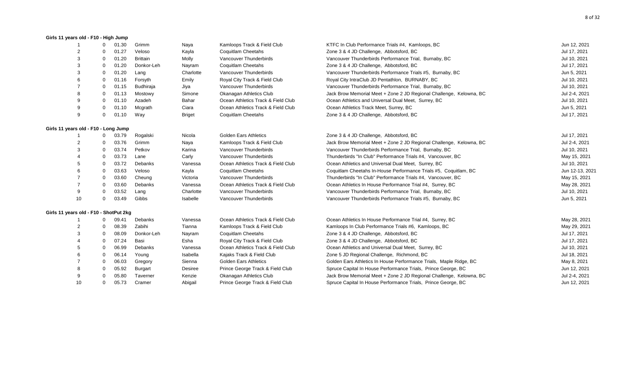#### **Girls 11 years old - F10 - High Jump**

|                                        | 0        | 01.30 | Grimm           | Naya          | Kamloops Track & Field Club        | KTFC In Club Performance Trials #4, Kamloops, BC                    | Jun 12, 2021    |
|----------------------------------------|----------|-------|-----------------|---------------|------------------------------------|---------------------------------------------------------------------|-----------------|
| 2                                      | 0        | 01.27 | Veloso          | Kayla         | Coquitlam Cheetahs                 | Zone 3 & 4 JD Challenge, Abbotsford, BC                             | Jul 17, 2021    |
|                                        | $\Omega$ | 01.20 | <b>Brittain</b> | Molly         | Vancouver Thunderbirds             | Vancouver Thunderbirds Performance Trial, Burnaby, BC               | Jul 10, 2021    |
|                                        | $\Omega$ | 01.20 | Donkor-Leh      | Nayram        | Coquitlam Cheetahs                 | Zone 3 & 4 JD Challenge, Abbotsford, BC                             | Jul 17, 2021    |
| 3                                      | 0        | 01.20 | Lang            | Charlotte     | Vancouver Thunderbirds             | Vancouver Thunderbirds Performance Trials #5, Burnaby, BC           | Jun 5, 2021     |
|                                        | $\Omega$ | 01.16 | Forsyth         | Emily         | Royal City Track & Field Club      | Royal City IntraClub JD Pentathlon, BURNABY, BC                     | Jul 10, 2021    |
|                                        | $\Omega$ | 01.15 | Budhiraja       | Jiya          | Vancouver Thunderbirds             | Vancouver Thunderbirds Performance Trial, Burnaby, BC               | Jul 10, 2021    |
| 8                                      | O        | 01.13 | Mostowy         | Simone        | Okanagan Athletics Club            | Jack Brow Memorial Meet + Zone 2 JD Regional Challenge, Kelowna, BC | Jul 2-4, 2021   |
| 9                                      | $\Omega$ | 01.10 | Azadeh          | Bahar         | Ocean Athletics Track & Field Club | Ocean Athletics and Universal Dual Meet, Surrey, BC                 | Jul 10, 2021    |
| 9                                      | $\Omega$ | 01.10 | Mcgrath         | Ciara         | Ocean Athletics Track & Field Club | Ocean Athletics Track Meet, Surrey, BC                              | Jun 5, 2021     |
| 9                                      | 0        | 01.10 | Way             | <b>Briget</b> | Coquitlam Cheetahs                 | Zone 3 & 4 JD Challenge, Abbotsford, BC                             | Jul 17, 2021    |
| Girls 11 years old - F10 - Long Jump   |          |       |                 |               |                                    |                                                                     |                 |
|                                        | 0        | 03.79 | Rogalski        | Nicola        | <b>Golden Ears Athletics</b>       | Zone 3 & 4 JD Challenge, Abbotsford, BC                             | Jul 17, 2021    |
|                                        | 0        | 03.76 | Grimm           | Naya          | Kamloops Track & Field Club        | Jack Brow Memorial Meet + Zone 2 JD Regional Challenge, Kelowna, BC | Jul 2-4, 2021   |
|                                        | 0        | 03.74 | Petkov          | Karina        | Vancouver Thunderbirds             | Vancouver Thunderbirds Performance Trial, Burnaby, BC               | Jul 10, 2021    |
|                                        | $\Omega$ | 03.73 | Lane            | Carly         | Vancouver Thunderbirds             | Thunderbirds "In Club" Performance Trials #4, Vancouver, BC         | May 15, 2021    |
|                                        | 0        | 03.72 | Debanks         | Vanessa       | Ocean Athletics Track & Field Club | Ocean Athletics and Universal Dual Meet, Surrey, BC                 | Jul 10, 2021    |
|                                        | $\Omega$ | 03.63 | Veloso          | Kayla         | Coquitlam Cheetahs                 | Coquitlam Cheetahs In-House Performance Trials #5, Coquitlam, BC    | Jun 12-13, 2021 |
|                                        | $\Omega$ | 03.60 | Cheung          | Victoria      | Vancouver Thunderbirds             | Thunderbirds "In Club" Performance Trials #4, Vancouver, BC         | May 15, 2021    |
|                                        | $\Omega$ | 03.60 | Debanks         | Vanessa       | Ocean Athletics Track & Field Club | Ocean Athletics In House Performance Trial #4, Surrey, BC           | May 28, 2021    |
| 9                                      | $\Omega$ | 03.52 | Lang            | Charlotte     | Vancouver Thunderbirds             | Vancouver Thunderbirds Performance Trial, Burnaby, BC               | Jul 10, 2021    |
| 10                                     | 0        | 03.49 | Gibbs           | Isabelle      | Vancouver Thunderbirds             | Vancouver Thunderbirds Performance Trials #5, Burnaby, BC           | Jun 5, 2021     |
| Girls 11 years old - F10 - ShotPut 2kg |          |       |                 |               |                                    |                                                                     |                 |
|                                        | 0        | 09.41 | Debanks         | Vanessa       | Ocean Athletics Track & Field Club | Ocean Athletics In House Performance Trial #4, Surrey, BC           | May 28, 2021    |
|                                        | O        | 08.39 | Zabihi          | Tianna        | Kamloops Track & Field Club        | Kamloops In Club Performance Trials #6, Kamloops, BC                | May 29, 2021    |
|                                        | $\Omega$ | 08.09 | Donkor-Leh      | Nayram        | Coquitlam Cheetahs                 | Zone 3 & 4 JD Challenge, Abbotsford, BC                             | Jul 17, 2021    |
|                                        | 0        | 07.24 | Basi            | Esha          | Royal City Track & Field Club      | Zone 3 & 4 JD Challenge, Abbotsford, BC                             | Jul 17, 2021    |
|                                        | $\Omega$ | 06.99 | Debanks         | Vanessa       | Ocean Athletics Track & Field Club | Ocean Athletics and Universal Dual Meet, Surrey, BC                 | Jul 10, 2021    |
|                                        | 0        | 06.14 | Young           | Isabella      | Kajaks Track & Field Club          | Zone 5 JD Regional Challenge, Richmond, BC                          | Jul 18, 2021    |
|                                        | $\Omega$ | 06.03 | Gregory         | Sienna        | <b>Golden Ears Athletics</b>       | Golden Ears Athletics In House Performance Trials, Maple Ridge, BC  | May 8, 2021     |
|                                        | $\Omega$ | 05.92 | <b>Burgart</b>  | Desiree       | Prince George Track & Field Club   | Spruce Capital In House Performance Trials, Prince George, BC       | Jun 12, 2021    |
| 9                                      |          | 05.80 | Taverner        | Kenzie        | Okanagan Athletics Club            | Jack Brow Memorial Meet + Zone 2 JD Regional Challenge, Kelowna, BC | Jul 2-4, 2021   |
| 10                                     | $\Omega$ | 05.73 | Cramer          | Abigail       | Prince George Track & Field Club   | Spruce Capital In House Performance Trials, Prince George, BC       | Jun 12, 2021    |
|                                        |          |       |                 |               |                                    |                                                                     |                 |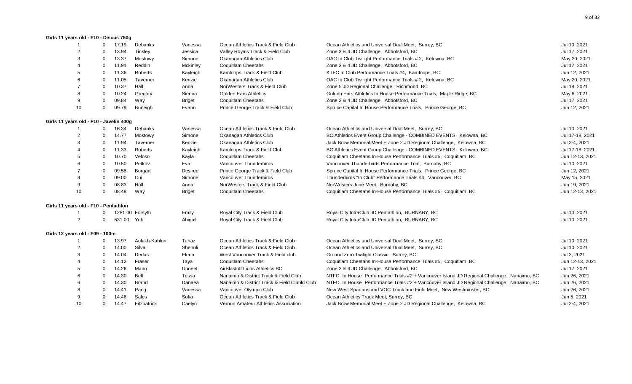#### **Girls 11 years old - F10 - Discus 750g**

| $\mathbf{1}$                            | $\Omega$     | 17.19      | Debanks         | Vanessa       | Ocean Athletics Track & Field Club           | Ocean Athletics and Universal Dual Meet, Surrey, BC                                         | Jul 10, 2021    |
|-----------------------------------------|--------------|------------|-----------------|---------------|----------------------------------------------|---------------------------------------------------------------------------------------------|-----------------|
|                                         | $\Omega$     | 13.94      | Tinsley         | Jessica       | Valley Royals Track & Field Club             | Zone 3 & 4 JD Challenge, Abbotsford, BC                                                     | Jul 17, 2021    |
|                                         | $\mathbf 0$  | 13.37      | Mostowy         | Simone        | Okanagan Athletics Club                      | OAC In Club Twilight Performance Trials # 2, Kelowna, BC                                    | May 20, 2021    |
|                                         | $\Omega$     | 11.91      | Reddin          | Mckinley      | <b>Coquitlam Cheetahs</b>                    | Zone 3 & 4 JD Challenge, Abbotsford, BC                                                     | Jul 17, 2021    |
|                                         | $\mathbf 0$  | 11.36      | Roberts         | Kayleigh      | Kamloops Track & Field Club                  | KTFC In Club Performance Trials #4, Kamloops, BC                                            | Jun 12, 2021    |
|                                         | 0            | 11.05      | Taverner        | Kenzie        | Okanagan Athletics Club                      | OAC In Club Twilight Performance Trials # 2, Kelowna, BC                                    | May 20, 2021    |
|                                         | 0            | 10.37      | Hall            | Anna          | NorWesters Track & Field Club                | Zone 5 JD Regional Challenge, Richmond, BC                                                  | Jul 18, 2021    |
|                                         | 0            | 10.24      | Gregory         | Sienna        | <b>Golden Ears Athletics</b>                 | Golden Ears Athletics In House Performance Trials, Maple Ridge, BC                          | May 8, 2021     |
| 9                                       | 0            | 09.84      | Way             | <b>Briget</b> | <b>Coquitlam Cheetahs</b>                    | Zone 3 & 4 JD Challenge, Abbotsford, BC                                                     | Jul 17, 2021    |
| 10                                      | 0            | 09.79      | <b>Burleigh</b> | Evann         | Prince George Track & Field Club             | Spruce Capital In House Performance Trials, Prince George, BC                               | Jun 12, 2021    |
| Girls 11 years old - F10 - Javelin 400g |              |            |                 |               |                                              |                                                                                             |                 |
|                                         | $\mathbf{0}$ | 16.34      | Debanks         | Vanessa       | Ocean Athletics Track & Field Club           | Ocean Athletics and Universal Dual Meet, Surrey, BC                                         | Jul 10, 2021    |
|                                         | $\Omega$     | 14.77      | Mostowy         | Simone        | <b>Okanagan Athletics Club</b>               | BC Athletics Event Group Challenge - COMBINED EVENTS, Kelowna, BC                           | Jul 17-18, 2021 |
| 3                                       | $\mathbf 0$  | 11.94      | Taverner        | Kenzie        | <b>Okanagan Athletics Club</b>               | Jack Brow Memorial Meet + Zone 2 JD Regional Challenge, Kelowna, BC                         | Jul 2-4, 2021   |
|                                         | $\Omega$     | 11.33      | Roberts         | Kayleigh      | Kamloops Track & Field Club                  | BC Athletics Event Group Challenge - COMBINED EVENTS, Kelowna, BC                           | Jul 17-18, 2021 |
|                                         | $\mathbf 0$  | 10.70      | Veloso          | Kayla         | <b>Coquitlam Cheetahs</b>                    | Coquitlam Cheetahs In-House Performance Trials #5, Coquitlam, BC                            | Jun 12-13, 2021 |
|                                         | $\mathbf 0$  | 10.50      | Petkov          | Eva           | Vancouver Thunderbirds                       | Vancouver Thunderbirds Performance Trial, Burnaby, BC                                       | Jul 10, 2021    |
|                                         | $\mathbf 0$  | 09.58      | Burgart         | Desiree       | Prince George Track & Field Club             | Spruce Capital In House Performance Trials, Prince George, BC                               | Jun 12, 2021    |
|                                         | $\mathbf 0$  | 09.00      | Cui             | Simone        | Vancouver Thunderbirds                       | Thunderbirds "In Club" Performance Trials #4, Vancouver, BC                                 | May 15, 2021    |
| 9                                       | $\mathbf 0$  | 08.83      | Hall            | Anna          | NorWesters Track & Field Club                | NorWesters June Meet, Burnaby, BC                                                           | Jun 19, 2021    |
| 10                                      | $\mathbf 0$  | 08.48      | Way             | <b>Briget</b> | <b>Coquitlam Cheetahs</b>                    | Coquitlam Cheetahs In-House Performance Trials #5, Coquitlam, BC                            | Jun 12-13, 2021 |
| Girls 11 years old - F10 - Pentathlon   |              |            |                 |               |                                              |                                                                                             |                 |
|                                         | 0            |            | 1281.00 Forsyth | Emily         | Royal City Track & Field Club                | Royal City IntraClub JD Pentathlon, BURNABY, BC                                             | Jul 10, 2021    |
| $\overline{2}$                          | $\Omega$     | 631.00 Yeh |                 | Abigail       | Royal City Track & Field Club                | Royal City IntraClub JD Pentathlon, BURNABY, BC                                             | Jul 10, 2021    |
| Girls 12 years old - F09 - 100m         |              |            |                 |               |                                              |                                                                                             |                 |
|                                         | $\mathbf{0}$ | 13.97      | Aulakh-Kahlon   | Tanaz         | Ocean Athletics Track & Field Club           | Ocean Athletics and Universal Dual Meet, Surrey, BC                                         | Jul 10, 2021    |
| $\overline{2}$                          | $\Omega$     | 14.00      | Silva           | Shenuli       | Ocean Athletics Track & Field Club           | Ocean Athletics and Universal Dual Meet, Surrey, BC                                         | Jul 10, 2021    |
| 3                                       | $\mathbf 0$  | 14.04      | Dedas           | Elena         | West Vancouver Track & Field club            | Ground Zero Twilight Classic, Surrey, BC                                                    | Jul 3, 2021     |
|                                         | $\mathbf 0$  | 14.12      | Fraser          | Taya          | <b>Coquitlam Cheetahs</b>                    | Coquitlam Cheetahs In-House Performance Trials #5, Coquitlam, BC                            | Jun 12-13, 2021 |
|                                         | $\mathbf 0$  | 14.26      | Mann            | Upneet        | AirBlastoff Lions Athletics BC               | Zone 3 & 4 JD Challenge, Abbotsford, BC                                                     | Jul 17, 2021    |
|                                         | 0            | 14.30      | Bell            | Tessa         | Nanaimo & District Track & Field Club        | NTFC "In House" Performance Trials #2 + Vancouver Island JD Regional Challenge, Nanaimo, BC | Jun 26, 2021    |
|                                         | 0            | 14.30      | <b>Brand</b>    | Danaea        | Nanaimo & District Track & Field Clubld Club | NTFC "In House" Performance Trials #2 + Vancouver Island JD Regional Challenge, Nanaimo, BC | Jun 26, 2021    |
|                                         | 0            | 14.41      | Pang            | Vanessa       | Vancouver Olympic Club                       | New West Spartans and VOC Track and Field Meet, New Westminster, BC                         | Jun 26, 2021    |
|                                         | 0            | 14.46      | Sales           | Sofia         | Ocean Athletics Track & Field Club           | Ocean Athletics Track Meet, Surrey, BC                                                      | Jun 5, 2021     |
| 10                                      | $\Omega$     | 14.47      | Fitzpatrick     | Caelyn        | Vernon Amateur Athletics Association         | Jack Brow Memorial Meet + Zone 2 JD Regional Challenge, Kelowna, BC                         | Jul 2-4, 2021   |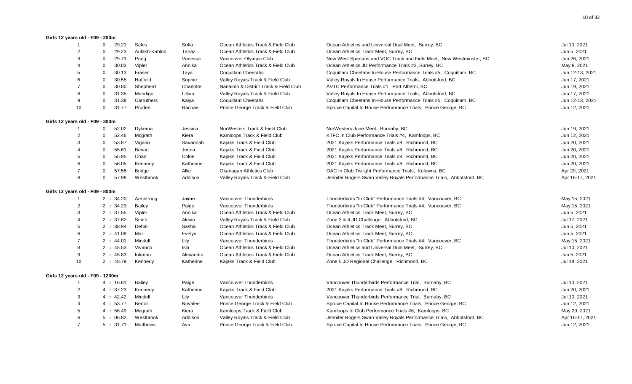#### **Girls 12 years old - F09 - 200m**

|                                  | - 1            | 0              | 29.21     | Sales         | Sofia     | Ocean Athletics Track & Field Club    | Ocean Athletics and Universal Dual Meet, Surrey, BC                   | Jul 10, 2021    |
|----------------------------------|----------------|----------------|-----------|---------------|-----------|---------------------------------------|-----------------------------------------------------------------------|-----------------|
|                                  | $\overline{2}$ | $\Omega$       | 29.23     | Aulakh-Kahlon | Tanaz     | Ocean Athletics Track & Field Club    | Ocean Athletics Track Meet, Surrey, BC                                | Jun 5, 2021     |
|                                  | 3              | $\mathbf 0$    | 29.73     | Pang          | Vanessa   | Vancouver Olympic Club                | New West Spartans and VOC Track and Field Meet, New Westminster, BC   | Jun 26, 2021    |
|                                  |                | $\mathbf 0$    | 30.03     | Vipler        | Annika    | Ocean Athletics Track & Field Club    | Ocean Athletics JD Performance Trials #3, Surrey, BC                  | May 8, 2021     |
|                                  | 5              | $\Omega$       | 30.13     | Fraser        | Taya      | Coquitlam Cheetahs                    | Coquitlam Cheetahs In-House Performance Trials #5, Coquitlam, BC      | Jun 12-13, 2021 |
|                                  | 6              | $\mathbf 0$    | 30.55     | Hatfield      | Sophie    | Valley Royals Track & Field Club      | Valley Royals In House Performance Trials, Abbotsford, BC             | Jun 17, 2021    |
|                                  | 7              | $\Omega$       | 30.80     | Shepherd      | Charlotte | Nanaimo & District Track & Field Club | AVTC Performance Trials #1, Port Alberni, BC                          | Jun 19, 2021    |
|                                  | 8              | $\Omega$       | 31.35     | Mandigo       | Lillian   | Valley Royals Track & Field Club      | Valley Royals In House Performance Trials, Abbotsford, BC             | Jun 17, 2021    |
|                                  | 9              | $\mathbf 0$    | 31.38     | Carruthers    | Kaiya     | Coquitlam Cheetahs                    | Coquitlam Cheetahs In-House Performance Trials #5, Coquitlam, BC      | Jun 12-13, 2021 |
|                                  | 10             | $\mathbf 0$    | 31.77     | Pruden        | Rachael   | Prince George Track & Field Club      | Spruce Capital In House Performance Trials, Prince George, BC         | Jun 12, 2021    |
| Girls 12 years old - F09 - 300m  |                |                |           |               |           |                                       |                                                                       |                 |
|                                  |                | $\mathbf 0$    | 52.02     | Dykema        | Jessica   | NorWesters Track & Field Club         | NorWesters June Meet, Burnaby, BC                                     | Jun 19, 2021    |
|                                  | $\overline{2}$ | $\mathbf 0$    | 52.46     | Mcgrath       | Kiera     | Kamloops Track & Field Club           | KTFC In Club Performance Trials #4, Kamloops, BC                      | Jun 12, 2021    |
|                                  | 3              | $\mathbf 0$    | 53.87     | Vigario       | Savannah  | Kajaks Track & Field Club             | 2021 Kajaks Performance Trials #8, Richmond, BC                       | Jun 20, 2021    |
|                                  |                | $\mathbf 0$    | 55.61     | Bevan         | Jenna     | Kajaks Track & Field Club             | 2021 Kajaks Performance Trials #8, Richmond, BC                       | Jun 20, 2021    |
|                                  | 5              | $\mathbf 0$    | 55.95     | Chan          | Chloe     | Kajaks Track & Field Club             | 2021 Kajaks Performance Trials #8, Richmond, BC                       | Jun 20, 2021    |
|                                  | 6              | $\overline{0}$ | 56.05     | Kennedy       | Katherine | Kajaks Track & Field Club             | 2021 Kajaks Performance Trials #8, Richmond, BC                       | Jun 20, 2021    |
|                                  | $\overline{7}$ | $\mathbf 0$    | 57.55     | <b>Bridge</b> | Allie     | Okanagan Athletics Club               | OAC In Club Twilight Performance Trials, Kelowna, BC                  | Apr 29, 2021    |
|                                  | 8              | $\mathbf 0$    | 57.98     | Westbrook     | Addison   | Valley Royals Track & Field Club      | Jennifer Rogers Swan Valley Royals Performance Trials, Abbotsford, BC | Apr 16-17, 2021 |
| Girls 12 years old - F09 - 800m  |                |                |           |               |           |                                       |                                                                       |                 |
|                                  |                |                | 2:34.20   | Armstrong     | Jaime     | Vancouver Thunderbirds                | Thunderbirds "In Club" Performance Trials #4, Vancouver, BC           | May 15, 2021    |
|                                  | $\overline{2}$ |                | 2:34.23   | <b>Bailey</b> | Paige     | Vancouver Thunderbirds                | Thunderbirds "In Club" Performance Trials #4, Vancouver, BC           | May 15, 2021    |
|                                  | 3              |                | 2:37.55   | Vipler        | Annika    | Ocean Athletics Track & Field Club    | Ocean Athletics Track Meet, Surrey, BC                                | Jun 5, 2021     |
|                                  | 4              |                | 2:37.62   | Smith         | Alexia    | Valley Royals Track & Field Club      | Zone 3 & 4 JD Challenge, Abbotsford, BC                               | Jul 17, 2021    |
|                                  | 5              |                | 2:38.94   | Dehal         | Sasha     | Ocean Athletics Track & Field Club    | Ocean Athletics Track Meet, Surrey, BC                                | Jun 5, 2021     |
|                                  | 6              |                | 2:41.08   | Mar           | Evelyn    | Ocean Athletics Track & Field Club    | Ocean Athletics Track Meet, Surrey, BC                                | Jun 5, 2021     |
|                                  | $\overline{7}$ |                | 2:44.01   | Mindell       | Lily      | Vancouver Thunderbirds                | Thunderbirds "In Club" Performance Trials #4, Vancouver, BC           | May 15, 2021    |
|                                  | 8              |                | 2:45.53   | Vivanco       | Isla      | Ocean Athletics Track & Field Club    | Ocean Athletics and Universal Dual Meet, Surrey, BC                   | Jul 10, 2021    |
|                                  | 9              |                | 2:45.83   | Inkman        | Alexandra | Ocean Athletics Track & Field Club    | Ocean Athletics Track Meet, Surrey, BC                                | Jun 5, 2021     |
|                                  | 10             |                | 2:48.79   | Kennedy       | Katherine | Kajaks Track & Field Club             | Zone 5 JD Regional Challenge, Richmond, BC                            | Jul 18, 2021    |
| Girls 12 years old - F09 - 1200m |                |                |           |               |           |                                       |                                                                       |                 |
|                                  |                |                | 4 : 16.61 | <b>Bailey</b> | Paige     | Vancouver Thunderbirds                | Vancouver Thunderbirds Performance Trial, Burnaby, BC                 | Jul 10, 2021    |
|                                  | $\overline{2}$ |                | 4:37.23   | Kennedy       | Katherine | Kajaks Track & Field Club             | 2021 Kajaks Performance Trials #8, Richmond, BC                       | Jun 20, 2021    |
|                                  | 3              |                | 4:42.42   | Mindell       | Lily      | Vancouver Thunderbirds                | Vancouver Thunderbirds Performance Trial, Burnaby, BC                 | Jul 10, 2021    |
|                                  |                |                | 4:53.77   | Bertoli       | Novalee   | Prince George Track & Field Club      | Spruce Capital In House Performance Trials, Prince George, BC         | Jun 12, 2021    |
|                                  | 5              |                | 4:56.49   | Mcgrath       | Kiera     | Kamloops Track & Field Club           | Kamloops In Club Performance Trials #6, Kamloops, BC                  | May 29, 2021    |
|                                  | 6              |                | 5:06.82   | Westbrook     | Addison   | Valley Royals Track & Field Club      | Jennifer Rogers Swan Valley Royals Performance Trials, Abbotsford, BC | Apr 16-17, 2021 |
|                                  | $\overline{7}$ |                | 5:31.71   | Matthews      | Ava       | Prince George Track & Field Club      | Spruce Capital In House Performance Trials, Prince George, BC         | Jun 12, 2021    |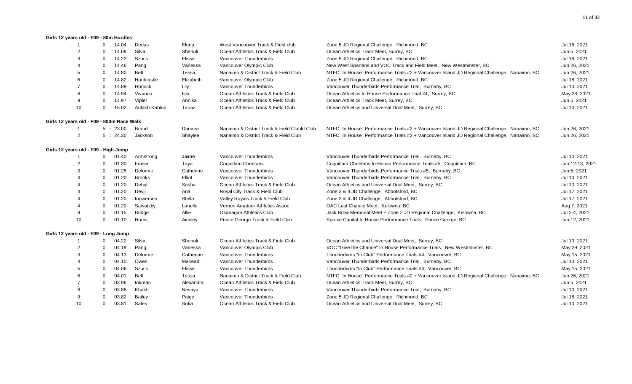#### **Girls 12 years old - F09 - 80m Hurdles**

| -1                                        | $\Omega$       | 14.04   | Dedas         | Elena     | West Vancouver Track & Field club            | Zone 5 JD Regional Challenge, Richmond, BC                                                  | Jul 18, 2021    |
|-------------------------------------------|----------------|---------|---------------|-----------|----------------------------------------------|---------------------------------------------------------------------------------------------|-----------------|
| 2                                         | $\Omega$       | 14.08   | Silva         | Shenuli   | Ocean Athletics Track & Field Club           | Ocean Athletics Track Meet, Surrey, BC                                                      | Jun 5, 2021     |
| 3                                         | $\overline{0}$ | 14.22   | <b>Szucs</b>  | Elisse    | Vancouver Thunderbirds                       | Zone 5 JD Regional Challenge, Richmond, BC                                                  | Jul 18, 2021    |
|                                           | $\Omega$       | 14.46   | Pang          | Vanessa   | Vancouver Olympic Club                       | New West Spartans and VOC Track and Field Meet, New Westminster, BC                         | Jun 26, 2021    |
|                                           | $\Omega$       | 14.80   | Bell          | Tessa     | Nanaimo & District Track & Field Club        | NTFC "In House" Performance Trials #2 + Vancouver Island JD Regional Challenge, Nanaimo, BC | Jun 26, 2021    |
|                                           | $\mathbf 0$    | 14.82   | Hardcastle    | Elizabeth | Vancouver Olympic Club                       | Zone 5 JD Regional Challenge, Richmond, BC                                                  | Jul 18, 2021    |
|                                           | $\overline{0}$ | 14.89   | Horlock       | Lily      | Vancouver Thunderbirds                       | Vancouver Thunderbirds Performance Trial, Burnaby, BC                                       | Jul 10, 2021    |
| 8                                         | $\mathbf 0$    | 14.94   | Vivanco       | Isla      | Ocean Athletics Track & Field Club           | Ocean Athletics In House Performance Trial #4, Surrey, BC                                   | May 28, 2021    |
| 9                                         | $\mathbf 0$    | 14.97   | Vipler        | Annika    | Ocean Athletics Track & Field Club           | Ocean Athletics Track Meet, Surrey, BC                                                      | Jun 5, 2021     |
| 10                                        | 0              | 15.02   | Aulakh-Kahlon | Tanaz     | Ocean Athletics Track & Field Club           | Ocean Athletics and Universal Dual Meet, Surrey, BC                                         | Jul 10, 2021    |
| Girls 12 years old - F09 - 800m Race Walk |                |         |               |           |                                              |                                                                                             |                 |
|                                           |                | 5:23.00 | Brand         | Danaea    | Nanaimo & District Track & Field Clubld Club | NTFC "In House" Performance Trials #2 + Vancouver Island JD Regional Challenge, Nanaimo, BC | Jun 26, 2021    |
| 2                                         |                | 5:24.30 | Jackson       | Shaylee   | Nanaimo & District Track & Field Club        | NTFC "In House" Performance Trials #2 + Vancouver Island JD Regional Challenge, Nanaimo, BC | Jun 26, 2021    |
| Girls 12 years old - F09 - High Jump      |                |         |               |           |                                              |                                                                                             |                 |
|                                           | $\mathbf{0}$   | 01.40   | Armstrong     | Jaime     | Vancouver Thunderbirds                       | Vancouver Thunderbirds Performance Trial, Burnaby, BC                                       | Jul 10, 2021    |
| $\overline{2}$                            | $\mathbf 0$    | 01.30   | Fraser        | Taya      | <b>Coquitlam Cheetahs</b>                    | Coquitlam Cheetahs In-House Performance Trials #5, Coquitlam, BC                            | Jun 12-13, 2021 |
| 3                                         | $\overline{0}$ | 01.25   | Delorme       | Catherine | Vancouver Thunderbirds                       | Vancouver Thunderbirds Performance Trials #5, Burnaby, BC                                   | Jun 5, 2021     |
|                                           | $\overline{0}$ | 01.20   | <b>Brooks</b> | Elliot    | Vancouver Thunderbirds                       | Vancouver Thunderbirds Performance Trial, Burnaby, BC                                       | Jul 10, 2021    |
|                                           | $\overline{0}$ | 01.20   | Dehal         | Sasha     | Ocean Athletics Track & Field Club           | Ocean Athletics and Universal Dual Meet, Surrey, BC                                         | Jul 10, 2021    |
|                                           | $\overline{0}$ | 01.20   | Devji         | Aria      | Royal City Track & Field Club                | Zone 3 & 4 JD Challenge, Abbotsford, BC                                                     | Jul 17, 2021    |
|                                           | $\overline{0}$ | 01.20   | Ingwersen     | Stella    | Valley Royals Track & Field Club             | Zone 3 & 4 JD Challenge, Abbotsford, BC                                                     | Jul 17, 2021    |
|                                           | $\overline{0}$ | 01.20   | Sawatzky      | Lanelle   | Vernon Amateur Athletics Assoc               | OAC Last Chance Meet, Kelowna, BC                                                           | Aug 7, 2021     |
| 9                                         | $\mathbf 0$    | 01.15   | <b>Bridge</b> | Allie     | Okanagan Athletics Club                      | Jack Brow Memorial Meet + Zone 2 JD Regional Challenge, Kelowna, BC                         | Jul 2-4, 2021   |
| 10                                        | $\mathbf 0$    | 01.10   | Harris        | Ainsley   | Prince George Track & Field Club             | Spruce Capital In House Performance Trials, Prince George, BC                               | Jun 12, 2021    |
| Girls 12 years old - F09 - Long Jump      |                |         |               |           |                                              |                                                                                             |                 |
|                                           | $\mathbf 0$    | 04.22   | Silva         | Shenuli   | Ocean Athletics Track & Field Club           | Ocean Athletics and Universal Dual Meet, Surrey, BC                                         | Jul 10, 2021    |
| 2                                         | 0              | 04.19   | Pang          | Vanessa   | Vancouver Olympic Club                       | VOC "Give the Chance" In House Performance Trials, New Westminster, BC                      | May 29, 2021    |
| 3                                         | $\overline{0}$ | 04.13   | Delorme       | Catherine | Vancouver Thunderbirds                       | Thunderbirds "In Club" Performance Trials #4, Vancouver, BC                                 | May 15, 2021    |
|                                           | $\mathbf 0$    | 04.10   | Owen          | Mairead   | Vancouver Thunderbirds                       | Vancouver Thunderbirds Performance Trial, Burnaby, BC                                       | Jul 10, 2021    |
|                                           | $\overline{0}$ | 04.06   | <b>Szucs</b>  | Elisse    | Vancouver Thunderbirds                       | Thunderbirds "In Club" Performance Trials #4, Vancouver, BC                                 | May 15, 2021    |
|                                           | $\overline{0}$ | 04.01   | Bell          | Tessa     | Nanaimo & District Track & Field Club        | NTFC "In House" Performance Trials #2 + Vancouver Island JD Regional Challenge, Nanaimo, BC | Jun 26, 2021    |
|                                           | - 0            | 03.96   | Inkman        | Alexandra | Ocean Athletics Track & Field Club           | Ocean Athletics Track Meet, Surrey, BC                                                      | Jun 5, 2021     |
| 8                                         | - 0            | 03.88   | Khakh         | Nevaya    | Vancouver Thunderbirds                       | Vancouver Thunderbirds Performance Trial, Burnaby, BC                                       | Jul 10, 2021    |
|                                           | -0             | 03.82   | <b>Bailey</b> | Paige     | Vancouver Thunderbirds                       | Zone 5 JD Regional Challenge, Richmond, BC                                                  | Jul 18, 2021    |
| 10                                        | $\mathbf{0}$   | 03.81   | Sales         | Sofia     | Ocean Athletics Track & Field Club           | Ocean Athletics and Universal Dual Meet, Surrey, BC                                         | Jul 10, 2021    |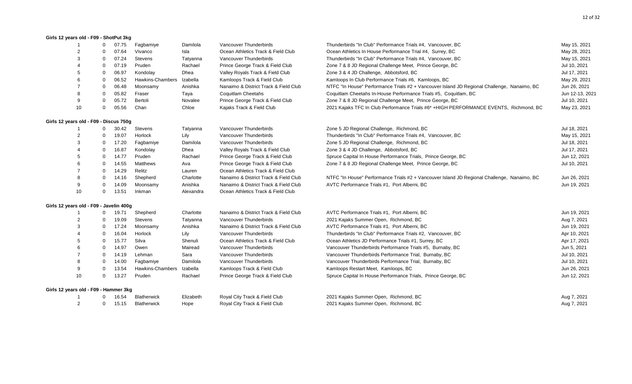#### **Girls 12 years old - F09 - ShotPut 3kg**

| -1                                      | $\Omega$     | 07.75 | Fagbamiye          | Damilola  | Vancouver Thunderbirds                | Thunderbirds "In Club" Performance Trials #4, Vancouver, BC                                 | May 15, 2021    |
|-----------------------------------------|--------------|-------|--------------------|-----------|---------------------------------------|---------------------------------------------------------------------------------------------|-----------------|
|                                         | $\Omega$     | 07.64 | Vivanco            | Isla      | Ocean Athletics Track & Field Club    | Ocean Athletics In House Performance Trial #4, Surrey, BC                                   | May 28, 2021    |
| 3                                       | $\Omega$     | 07.24 | <b>Stevens</b>     | Tatyanna  | Vancouver Thunderbirds                | Thunderbirds "In Club" Performance Trials #4, Vancouver, BC                                 | May 15, 2021    |
|                                         | $\Omega$     | 07.19 | Pruden             | Rachael   | Prince George Track & Field Club      | Zone 7 & 8 JD Regional Challenge Meet, Prince George, BC                                    | Jul 10, 2021    |
| 5                                       | $\Omega$     | 06.97 | Kondolay           | Dhea      | Valley Royals Track & Field Club      | Zone 3 & 4 JD Challenge, Abbotsford, BC                                                     | Jul 17, 2021    |
|                                         | $\Omega$     | 06.52 | Hawkins-Chambers   | Izabella  | Kamloops Track & Field Club           | Kamloops In Club Performance Trials #6, Kamloops, BC                                        | May 29, 2021    |
|                                         | $\Omega$     | 06.48 | Moonsamy           | Anishka   | Nanaimo & District Track & Field Club | NTFC "In House" Performance Trials #2 + Vancouver Island JD Regional Challenge, Nanaimo, BC | Jun 26, 2021    |
| 8                                       | $\Omega$     | 05.82 | Fraser             | Taya      | Coquitlam Cheetahs                    | Coquitlam Cheetahs In-House Performance Trials #5, Coquitlam, BC                            | Jun 12-13, 2021 |
| 9                                       | $\Omega$     | 05.72 | Bertoli            | Novalee   | Prince George Track & Field Club      | Zone 7 & 8 JD Regional Challenge Meet, Prince George, BC                                    | Jul 10, 2021    |
| 10                                      | $\Omega$     | 05.56 | Chan               | Chloe     | Kajaks Track & Field Club             | 2021 Kajaks TFC In Club Performance Trials #6* +HIGH PERFORMANCE EVENTS, Richmond, BC       | May 23, 2021    |
| Girls 12 years old - F09 - Discus 750g  |              |       |                    |           |                                       |                                                                                             |                 |
|                                         | $\mathbf{0}$ | 30.42 | <b>Stevens</b>     | Tatyanna  | Vancouver Thunderbirds                | Zone 5 JD Regional Challenge, Richmond, BC                                                  | Jul 18, 2021    |
| 2                                       | $\mathbf 0$  | 19.07 | Horlock            | Lily      | Vancouver Thunderbirds                | Thunderbirds "In Club" Performance Trials #4, Vancouver, BC                                 | May 15, 2021    |
| 3                                       | 0            | 17.20 | Fagbamiye          | Damilola  | Vancouver Thunderbirds                | Zone 5 JD Regional Challenge, Richmond, BC                                                  | Jul 18, 2021    |
|                                         | 0            | 16.87 | Kondolay           | Dhea      | Valley Royals Track & Field Club      | Zone 3 & 4 JD Challenge, Abbotsford, BC                                                     | Jul 17, 2021    |
|                                         | 0            | 14.77 | Pruden             | Rachael   | Prince George Track & Field Club      | Spruce Capital In House Performance Trials, Prince George, BC                               | Jun 12, 2021    |
|                                         | $\Omega$     | 14.55 | Matthews           | Ava       | Prince George Track & Field Club      | Zone 7 & 8 JD Regional Challenge Meet, Prince George, BC                                    | Jul 10, 2021    |
|                                         | $\mathbf 0$  | 14.29 | Relitz             | Lauren    | Ocean Athletics Track & Field Club    |                                                                                             |                 |
| 8                                       | $\mathbf 0$  | 14.16 | Shepherd           | Charlotte | Nanaimo & District Track & Field Club | NTFC "In House" Performance Trials #2 + Vancouver Island JD Regional Challenge, Nanaimo, BC | Jun 26, 2021    |
| 9                                       | $\Omega$     | 14.09 | Moonsamy           | Anishka   | Nanaimo & District Track & Field Club | AVTC Performance Trials #1, Port Alberni, BC                                                | Jun 19, 2021    |
| 10                                      | $\mathbf 0$  | 13.51 | Inkman             | Alexandra | Ocean Athletics Track & Field Club    |                                                                                             |                 |
| Girls 12 years old - F09 - Javelin 400g |              |       |                    |           |                                       |                                                                                             |                 |
|                                         | $\mathbf{0}$ | 19.71 | Shepherd           | Charlotte | Nanaimo & District Track & Field Club | AVTC Performance Trials #1, Port Alberni, BC                                                | Jun 19, 2021    |
| 2                                       | 0            | 19.09 | Stevens            | Tatyanna  | Vancouver Thunderbirds                | 2021 Kajaks Summer Open, Richmond, BC                                                       | Aug 7, 2021     |
| 3                                       | 0            | 17.24 | Moonsamy           | Anishka   | Nanaimo & District Track & Field Club | AVTC Performance Trials #1, Port Alberni, BC                                                | Jun 19, 2021    |
|                                         | 0            | 16.04 | Horlock            | Lily      | Vancouver Thunderbirds                | Thunderbirds "In Club" Performance Trials #2, Vancouver, BC                                 | Apr 10, 2021    |
|                                         | 0            | 15.77 | Silva              | Shenuli   | Ocean Athletics Track & Field Club    | Ocean Athletics JD Performance Trials #1, Surrey, BC                                        | Apr 17, 2021    |
|                                         | $\mathbf{0}$ | 14.97 | Owen               | Mairead   | Vancouver Thunderbirds                | Vancouver Thunderbirds Performance Trials #5, Burnaby, BC                                   | Jun 5, 2021     |
|                                         | 0            | 14.19 | Lehman             | Sara      | Vancouver Thunderbirds                | Vancouver Thunderbirds Performance Trial, Burnaby, BC                                       | Jul 10, 2021    |
| 8                                       | 0            | 14.00 | Faqbamiye          | Damilola  | Vancouver Thunderbirds                | Vancouver Thunderbirds Performance Trial, Burnaby, BC                                       | Jul 10, 2021    |
| 9                                       | 0            | 13.54 | Hawkins-Chambers   | Izabella  | Kamloops Track & Field Club           | Kamloops Restart Meet, Kamloops, BC                                                         | Jun 26, 2021    |
| 10                                      | 0            | 13.27 | Pruden             | Rachael   | Prince George Track & Field Club      | Spruce Capital In House Performance Trials, Prince George, BC                               | Jun 12, 2021    |
| Girls 12 years old - F09 - Hammer 3kg   |              |       |                    |           |                                       |                                                                                             |                 |
|                                         |              | 16.54 | <b>Blatherwick</b> | Elizabeth | Royal City Track & Field Club         | 2021 Kajaks Summer Open, Richmond, BC                                                       | Aug 7, 2021     |
| $\overline{2}$                          | 0            | 15.15 | <b>Blatherwick</b> | Hope      | Royal City Track & Field Club         | 2021 Kajaks Summer Open, Richmond, BC                                                       | Aug 7, 2021     |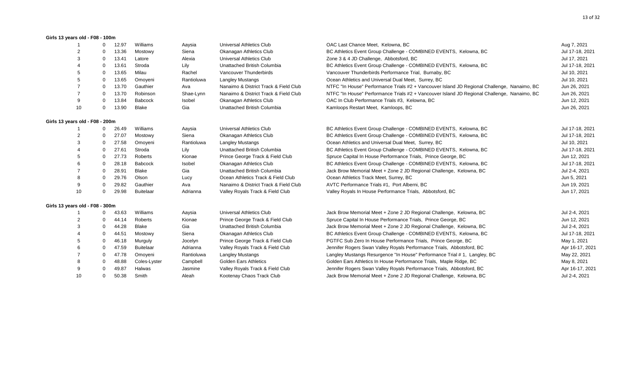# **Girls 13 years old - F08 - 100m**

|                                 | $\Omega$     | 12.97 | Williams         | Aaysia     | Universal Athletics Club              | OAC Last Chance Meet, Kelowna, BC                                                           | Aug 7, 2021     |
|---------------------------------|--------------|-------|------------------|------------|---------------------------------------|---------------------------------------------------------------------------------------------|-----------------|
|                                 | $\Omega$     | 13.36 | Mostowy          | Siena      | Okanagan Athletics Club               | BC Athletics Event Group Challenge - COMBINED EVENTS, Kelowna, BC                           | Jul 17-18, 2021 |
| 3                               | $\Omega$     | 13.41 | Latore           | Alexia     | Universal Athletics Club              | Zone 3 & 4 JD Challenge, Abbotsford, BC                                                     | Jul 17, 2021    |
|                                 | $\Omega$     | 13.61 | Stroda           | Lily       | Unattached British Columbia           | BC Athletics Event Group Challenge - COMBINED EVENTS, Kelowna, BC                           | Jul 17-18, 2021 |
| 5                               | $\Omega$     | 13.65 | Milau            | Rachel     | Vancouver Thunderbirds                | Vancouver Thunderbirds Performance Trial, Burnaby, BC                                       | Jul 10, 2021    |
|                                 | 0            | 13.65 | Omoyeni          | Rantioluwa | <b>Langley Mustangs</b>               | Ocean Athletics and Universal Dual Meet, Surrey, BC                                         | Jul 10, 2021    |
|                                 | $\mathbf 0$  | 13.70 | Gauthier         | Ava        | Nanaimo & District Track & Field Club | NTFC "In House" Performance Trials #2 + Vancouver Island JD Regional Challenge, Nanaimo, BC | Jun 26, 2021    |
|                                 | $\mathbf 0$  | 13.70 | Robinson         | Shae-Lynn  | Nanaimo & District Track & Field Club | NTFC "In House" Performance Trials #2 + Vancouver Island JD Regional Challenge, Nanaimo, BC | Jun 26, 2021    |
| 9                               | 0            | 13.84 | <b>Babcock</b>   | Isobel     | Okanagan Athletics Club               | OAC In Club Performance Trials #3, Kelowna, BC                                              | Jun 12, 2021    |
| 10                              | $\mathbf 0$  | 13.90 | Blake            | Gia        | Unattached British Columbia           | Kamloops Restart Meet, Kamloops, BC                                                         | Jun 26, 2021    |
| Girls 13 years old - F08 - 200m |              |       |                  |            |                                       |                                                                                             |                 |
|                                 | $\mathbf{0}$ | 26.49 | Williams         | Aaysia     | Universal Athletics Club              | BC Athletics Event Group Challenge - COMBINED EVENTS, Kelowna, BC                           | Jul 17-18, 2021 |
|                                 | $\Omega$     | 27.07 | Mostowy          | Siena      | Okanagan Athletics Club               | BC Athletics Event Group Challenge - COMBINED EVENTS, Kelowna, BC                           | Jul 17-18, 2021 |
| З                               | $\mathbf 0$  | 27.58 | Omoyeni          | Rantioluwa | <b>Langley Mustangs</b>               | Ocean Athletics and Universal Dual Meet, Surrey, BC                                         | Jul 10, 2021    |
|                                 | 0            | 27.61 | Stroda           | Lily       | Unattached British Columbia           | BC Athletics Event Group Challenge - COMBINED EVENTS, Kelowna, BC                           | Jul 17-18, 2021 |
| 5                               | $\mathbf 0$  | 27.73 | Roberts          | Kionae     | Prince George Track & Field Club      | Spruce Capital In House Performance Trials, Prince George, BC                               | Jun 12, 2021    |
|                                 | 0            | 28.18 | Babcock          | Isobel     | Okanagan Athletics Club               | BC Athletics Event Group Challenge - COMBINED EVENTS, Kelowna, BC                           | Jul 17-18, 2021 |
|                                 | $\mathbf 0$  | 28.91 | Blake            | Gia        | Unattached British Columbia           | Jack Brow Memorial Meet + Zone 2 JD Regional Challenge, Kelowna, BC                         | Jul 2-4, 2021   |
|                                 | 0            | 29.76 | Olson            | Lucy       | Ocean Athletics Track & Field Club    | Ocean Athletics Track Meet, Surrey, BC                                                      | Jun 5, 2021     |
| 9                               | $\Omega$     | 29.82 | Gauthier         | Ava        | Nanaimo & District Track & Field Club | AVTC Performance Trials #1, Port Alberni, BC                                                | Jun 19, 2021    |
| 10                              | $\mathbf 0$  | 29.98 | <b>Buitelaar</b> | Adrianna   | Valley Royals Track & Field Club      | Valley Royals In House Performance Trials, Abbotsford, BC                                   | Jun 17, 2021    |
| Girls 13 years old - F08 - 300m |              |       |                  |            |                                       |                                                                                             |                 |
|                                 | 0            | 43.63 | Williams         | Aaysia     | Universal Athletics Club              | Jack Brow Memorial Meet + Zone 2 JD Regional Challenge, Kelowna, BC                         | Jul 2-4, 2021   |
| 2                               | $\mathbf 0$  | 44.14 | Roberts          | Kionae     | Prince George Track & Field Club      | Spruce Capital In House Performance Trials, Prince George, BC                               | Jun 12, 2021    |
|                                 | 0            | 44.28 | Blake            | Gia        | Unattached British Columbia           | Jack Brow Memorial Meet + Zone 2 JD Regional Challenge, Kelowna, BC                         | Jul 2-4, 2021   |
|                                 | $\Omega$     | 44.51 | Mostowy          | Siena      | Okanagan Athletics Club               | BC Athletics Event Group Challenge - COMBINED EVENTS, Kelowna, BC                           | Jul 17-18, 2021 |
|                                 | $\mathbf 0$  | 46.18 | Murguly          | Jocelyn    | Prince George Track & Field Club      | PGTFC Sub Zero In House Performance Trials, Prince George, BC                               | May 1, 2021     |
|                                 | $\mathbf 0$  | 47.59 | <b>Buitelaar</b> | Adrianna   | Valley Royals Track & Field Club      | Jennifer Rogers Swan Valley Royals Performance Trials, Abbotsford, BC                       | Apr 16-17, 2021 |
|                                 | $\mathbf 0$  | 47.78 | Omoyeni          | Rantioluwa | Langley Mustangs                      | Langley Mustangs Resurgence "In House" Performance Trial # 1, Langley, BC                   | May 22, 2021    |
|                                 | $\Omega$     | 48.88 | Coles-Lyster     | Campbell   | <b>Golden Ears Athletics</b>          | Golden Ears Athletics In House Performance Trials, Maple Ridge, BC                          | May 8, 2021     |
| 9                               | $\Omega$     | 49.87 | Halwas           | Jasmine    | Valley Royals Track & Field Club      | Jennifer Rogers Swan Valley Royals Performance Trials, Abbotsford, BC                       | Apr 16-17, 2021 |
| 10                              | $\mathbf 0$  | 50.38 | Smith            | Aleah      | Kootenay Chaos Track Club             | Jack Brow Memorial Meet + Zone 2 JD Regional Challenge, Kelowna, BC                         | Jul 2-4, 2021   |
|                                 |              |       |                  |            |                                       |                                                                                             |                 |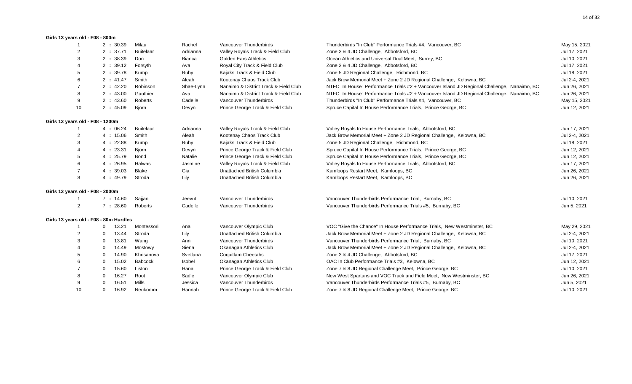#### **Girls 13 years old - F08 - 800m**

|                                  | 2:30.39                                | Milau            | Rachel        | Vancouver Thunderbirds                | Thunderbirds "In Club" Performance Trials #4, Vancouver, BC                                 | May 15, 2021  |
|----------------------------------|----------------------------------------|------------------|---------------|---------------------------------------|---------------------------------------------------------------------------------------------|---------------|
| $\overline{2}$                   | 2:37.71                                | <b>Buitelaar</b> | Adrianna      | Valley Royals Track & Field Club      | Zone 3 & 4 JD Challenge, Abbotsford, BC                                                     | Jul 17, 2021  |
|                                  | 2:38.39                                | Don              | <b>Bianca</b> | <b>Golden Ears Athletics</b>          | Ocean Athletics and Universal Dual Meet, Surrey, BC                                         | Jul 10, 2021  |
|                                  | 2:39.12                                | Forsyth          | Ava           | Royal City Track & Field Club         | Zone 3 & 4 JD Challenge, Abbotsford, BC                                                     | Jul 17, 2021  |
|                                  | 2:39.78                                | Kump             | Ruby          | Kajaks Track & Field Club             | Zone 5 JD Regional Challenge, Richmond, BC                                                  | Jul 18, 2021  |
|                                  | 2:41.47                                | Smith            | Aleah         | Kootenay Chaos Track Club             | Jack Brow Memorial Meet + Zone 2 JD Regional Challenge, Kelowna, BC                         | Jul 2-4, 2021 |
|                                  | 2:42.20                                | Robinson         | Shae-Lynn     | Nanaimo & District Track & Field Club | NTFC "In House" Performance Trials #2 + Vancouver Island JD Regional Challenge, Nanaimo, BC | Jun 26, 2021  |
|                                  | 2:43.00                                | Gauthier         | Ava           | Nanaimo & District Track & Field Club | NTFC "In House" Performance Trials #2 + Vancouver Island JD Regional Challenge, Nanaimo, BC | Jun 26, 2021  |
| 9                                | 2:43.60                                | Roberts          | Cadelle       | Vancouver Thunderbirds                | Thunderbirds "In Club" Performance Trials #4, Vancouver, BC                                 | May 15, 2021  |
| 10                               | 2:45.09                                | <b>Biorn</b>     | Devyn         | Prince George Track & Field Club      | Spruce Capital In House Performance Trials, Prince George, BC                               | Jun 12, 2021  |
| Girls 13 years old - F08 - 1200m |                                        |                  |               |                                       |                                                                                             |               |
|                                  | 4:06.24                                | <b>Buitelaar</b> | Adrianna      | Valley Royals Track & Field Club      | Valley Royals In House Performance Trials, Abbotsford, BC                                   | Jun 17, 2021  |
| $\overline{2}$                   | 4:15.06                                | Smith            | Aleah         | Kootenay Chaos Track Club             | Jack Brow Memorial Meet + Zone 2 JD Regional Challenge, Kelowna, BC                         | Jul 2-4, 2021 |
| 3                                | 4:22.88                                | Kump             | Ruby          | Kajaks Track & Field Club             | Zone 5 JD Regional Challenge, Richmond, BC                                                  | Jul 18, 2021  |
|                                  | 4:23.31                                | <b>Bjorn</b>     | Devyn         | Prince George Track & Field Club      | Spruce Capital In House Performance Trials, Prince George, BC                               | Jun 12, 2021  |
|                                  | 4:25.79                                | Bond             | Natalie       | Prince George Track & Field Club      | Spruce Capital In House Performance Trials, Prince George, BC                               | Jun 12, 2021  |
|                                  | 4:26.95                                | Halwas           | Jasmine       | Valley Royals Track & Field Club      | Valley Royals In House Performance Trials, Abbotsford, BC                                   | Jun 17, 2021  |
| $\overline{7}$                   | 4:39.03                                | Blake            | Gia           | Unattached British Columbia           | Kamloops Restart Meet, Kamloops, BC                                                         | Jun 26, 2021  |
| 8                                | 4:49.79                                | Stroda           | Lily          | Unattached British Columbia           | Kamloops Restart Meet, Kamloops, BC                                                         | Jun 26, 2021  |
| Girls 13 years old - F08 - 2000m |                                        |                  |               |                                       |                                                                                             |               |
|                                  | 7:14.60                                | Sajjan           | Jeevut        | Vancouver Thunderbirds                | Vancouver Thunderbirds Performance Trial, Burnaby, BC                                       | Jul 10, 2021  |
| $\overline{2}$                   | 7:28.60                                | Roberts          | Cadelle       | Vancouver Thunderbirds                | Vancouver Thunderbirds Performance Trials #5, Burnaby, BC                                   | Jun 5, 2021   |
|                                  | Girls 13 years old - F08 - 80m Hurdles |                  |               |                                       |                                                                                             |               |
|                                  | 13.21                                  | Montessori       | Ana           | Vancouver Olympic Club                | VOC "Give the Chance" In House Performance Trials, New Westminster, BC                      | May 29, 2021  |
| 2                                | 13.44<br>$\Omega$                      | Stroda           | Lily          | Unattached British Columbia           | Jack Brow Memorial Meet + Zone 2 JD Regional Challenge, Kelowna, BC                         | Jul 2-4, 2021 |
|                                  | 13.81<br>$\Omega$                      | Wang             | Ann           | Vancouver Thunderbirds                | Vancouver Thunderbirds Performance Trial, Burnaby, BC                                       | Jul 10, 2021  |
|                                  | $\Omega$<br>14.49                      | Mostowy          | Siena         | Okanagan Athletics Club               | Jack Brow Memorial Meet + Zone 2 JD Regional Challenge, Kelowna, BC                         | Jul 2-4, 2021 |
|                                  | 14.90<br>$\Omega$                      | Khrisanova       | Svetlana      | <b>Coquitlam Cheetahs</b>             | Zone 3 & 4 JD Challenge, Abbotsford, BC                                                     | Jul 17, 2021  |
|                                  | 15.02<br>$\Omega$                      | <b>Babcock</b>   | Isobel        | Okanagan Athletics Club               | OAC In Club Performance Trials #3. Kelowna, BC                                              | Jun 12, 2021  |
|                                  | 15.60<br>0                             | Liston           | Hana          | Prince George Track & Field Club      | Zone 7 & 8 JD Regional Challenge Meet, Prince George, BC                                    | Jul 10, 2021  |
|                                  | 16.27<br>0                             | Root             | Sadie         | Vancouver Olympic Club                | New West Spartans and VOC Track and Field Meet, New Westminster, BC                         | Jun 26, 2021  |
| 9                                | 16.51<br>$\Omega$                      | Mills            | Jessica       | Vancouver Thunderbirds                | Vancouver Thunderbirds Performance Trials #5, Burnaby, BC                                   | Jun 5, 2021   |
| 10                               | 16.92<br>$\Omega$                      | Neukomm          | Hannah        | Prince George Track & Field Club      | Zone 7 & 8 JD Regional Challenge Meet, Prince George, BC                                    | Jul 10, 2021  |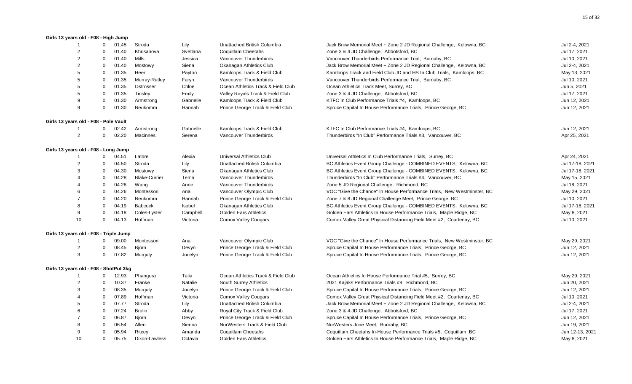#### **Girls 13 years old - F08 - High Jump**

|                                        | $\Omega$     | 01.45 | Stroda               | Lily      | Unattached British Columbia        | Jack Brow Memorial Meet + Zone 2 JD Regional Challenge, Kelowna, BC    | Jul 2-4, 2021   |
|----------------------------------------|--------------|-------|----------------------|-----------|------------------------------------|------------------------------------------------------------------------|-----------------|
| $\overline{2}$                         | $\Omega$     | 01.40 | Khrisanova           | Svetlana  | Coquitlam Cheetahs                 | Zone 3 & 4 JD Challenge, Abbotsford, BC                                | Jul 17, 2021    |
| $\overline{2}$                         | $\mathbf 0$  | 01.40 | Mills                | Jessica   | Vancouver Thunderbirds             | Vancouver Thunderbirds Performance Trial, Burnaby, BC                  | Jul 10, 2021    |
| $\overline{2}$                         | $\mathbf 0$  | 01.40 | Mostowy              | Siena     | Okanagan Athletics Club            | Jack Brow Memorial Meet + Zone 2 JD Regional Challenge, Kelowna, BC    | Jul 2-4, 2021   |
| 5                                      | $\mathbf 0$  | 01.35 | Heer                 | Payton    | Kamloops Track & Field Club        | Kamloops Track and Field Club JD and HS In Club Trials, Kamloops, BC   | May 13, 2021    |
| 5                                      | 0            | 01.35 | Murray-Rutley        | Faryn     | Vancouver Thunderbirds             | Vancouver Thunderbirds Performance Trial, Burnaby, BC                  | Jul 10, 2021    |
| 5                                      | $\Omega$     | 01.35 | Ostrosser            | Chloe     | Ocean Athletics Track & Field Club | Ocean Athletics Track Meet, Surrey, BC                                 | Jun 5, 2021     |
| 5                                      | 0            | 01.35 | Tinsley              | Emily     | Valley Royals Track & Field Club   | Zone 3 & 4 JD Challenge, Abbotsford, BC                                | Jul 17, 2021    |
| 9                                      | $\Omega$     | 01.30 | Armstrong            | Gabrielle | Kamloops Track & Field Club        | KTFC In Club Performance Trials #4, Kamloops, BC                       | Jun 12, 2021    |
| 9                                      | $\mathbf 0$  | 01.30 | Neukomm              | Hannah    | Prince George Track & Field Club   | Spruce Capital In House Performance Trials, Prince George, BC          | Jun 12, 2021    |
| Girls 13 years old - F08 - Pole Vault  |              |       |                      |           |                                    |                                                                        |                 |
|                                        | 0            | 02.42 | Armstrong            | Gabrielle | Kamloops Track & Field Club        | KTFC In Club Performance Trials #4, Kamloops, BC                       | Jun 12, 2021    |
| $\overline{2}$                         | $\mathbf 0$  | 02.20 | Macinnes             | Serena    | Vancouver Thunderbirds             | Thunderbirds "In Club" Performance Trials #3, Vancouver, BC            | Apr 25, 2021    |
| Girls 13 years old - F08 - Long Jump   |              |       |                      |           |                                    |                                                                        |                 |
|                                        | 0            | 04.51 | Latore               | Alexia    | <b>Universal Athletics Club</b>    | Universal Athletics In Club Performance Trials, Surrey, BC             | Apr 24, 2021    |
| 2                                      | 0            | 04.50 | Stroda               | Lily      | Unattached British Columbia        | BC Athletics Event Group Challenge - COMBINED EVENTS, Kelowna, BC      | Jul 17-18, 2021 |
| 3                                      | $\mathbf 0$  | 04.30 | Mostowy              | Siena     | Okanagan Athletics Club            | BC Athletics Event Group Challenge - COMBINED EVENTS, Kelowna, BC      | Jul 17-18, 2021 |
|                                        | 0            | 04.28 | <b>Blake-Currier</b> | Tema      | Vancouver Thunderbirds             | Thunderbirds "In Club" Performance Trials #4, Vancouver, BC            | May 15, 2021    |
|                                        | $\mathbf 0$  | 04.28 | Wang                 | Anne      | Vancouver Thunderbirds             | Zone 5 JD Regional Challenge, Richmond, BC                             | Jul 18, 2021    |
| 6                                      | $\mathbf 0$  | 04.26 | Montessori           | Ana       | Vancouver Olympic Club             | VOC "Give the Chance" In House Performance Trials, New Westminster, BC | May 29, 2021    |
|                                        | $\mathbf 0$  | 04.20 | Neukomm              | Hannah    | Prince George Track & Field Club   | Zone 7 & 8 JD Regional Challenge Meet, Prince George, BC               | Jul 10, 2021    |
| 8                                      | 0            | 04.19 | Babcock              | Isobel    | Okanagan Athletics Club            | BC Athletics Event Group Challenge - COMBINED EVENTS, Kelowna, BC      | Jul 17-18, 2021 |
| 9                                      | $\mathbf 0$  | 04.18 | Coles-Lyster         | Campbell  | Golden Ears Athletics              | Golden Ears Athletics In House Performance Trials, Maple Ridge, BC     | May 8, 2021     |
| 10                                     | $\mathbf 0$  | 04.13 | Hoffman              | Victoria  | <b>Comox Valley Cougars</b>        | Comox Valley Great Physical Distancing Field Meet #2, Courtenay, BC    | Jul 10, 2021    |
| Girls 13 years old - F08 - Triple Jump |              |       |                      |           |                                    |                                                                        |                 |
|                                        | 0            | 09.00 | Montessori           | Ana       | Vancouver Olympic Club             | VOC "Give the Chance" In House Performance Trials, New Westminster, BC | May 29, 2021    |
| $\overline{2}$                         | 0            | 08.45 | <b>Bjorn</b>         | Devyn     | Prince George Track & Field Club   | Spruce Capital In House Performance Trials, Prince George, BC          | Jun 12, 2021    |
| 3                                      | $\mathbf 0$  | 07.82 | Murguly              | Jocelyn   | Prince George Track & Field Club   | Spruce Capital In House Performance Trials, Prince George, BC          | Jun 12, 2021    |
| Girls 13 years old - F08 - ShotPut 3kg |              |       |                      |           |                                    |                                                                        |                 |
|                                        | $\mathbf{0}$ | 12.93 | Phangura             | Talia     | Ocean Athletics Track & Field Club | Ocean Athletics In House Performance Trial #5, Surrey, BC              | May 29, 2021    |
| 2                                      | $\mathbf 0$  | 10.37 | Franke               | Natalie   | South Surrey Athletics             | 2021 Kajaks Performance Trials #8, Richmond, BC                        | Jun 20, 2021    |
| 3                                      | 0            | 08.35 | Murguly              | Jocelyn   | Prince George Track & Field Club   | Spruce Capital In House Performance Trials, Prince George, BC          | Jun 12, 2021    |
|                                        | $\mathbf 0$  | 07.89 | Hoffman              | Victoria  | <b>Comox Valley Cougars</b>        | Comox Valley Great Physical Distancing Field Meet #2, Courtenay, BC    | Jul 10, 2021    |
| 5                                      | $\mathbf 0$  | 07.77 | Stroda               | Lily      | Unattached British Columbia        | Jack Brow Memorial Meet + Zone 2 JD Regional Challenge, Kelowna, BC    | Jul 2-4, 2021   |
| 6                                      | $\mathbf 0$  | 07.24 | <b>Brolin</b>        | Abby      | Royal City Track & Field Club      | Zone 3 & 4 JD Challenge, Abbotsford, BC                                | Jul 17, 2021    |
|                                        | 0            | 06.87 | <b>Bjorn</b>         | Devyn     | Prince George Track & Field Club   | Spruce Capital In House Performance Trials, Prince George, BC          | Jun 12, 2021    |
|                                        | $\mathbf 0$  | 06.54 | Allen                | Sienna    | NorWesters Track & Field Club      | NorWesters June Meet, Burnaby, BC                                      | Jun 19, 2021    |
| 9                                      | $\Omega$     | 05.94 | Ritcey               | Amanda    | Coquitlam Cheetahs                 | Coquitlam Cheetahs In-House Performance Trials #5, Coquitlam, BC       | Jun 12-13, 2021 |
| 10                                     | $\Omega$     | 05.75 | Dixon-Lawless        | Octavia   | <b>Golden Ears Athletics</b>       | Golden Ears Athletics In House Performance Trials, Maple Ridge, BC     | May 8, 2021     |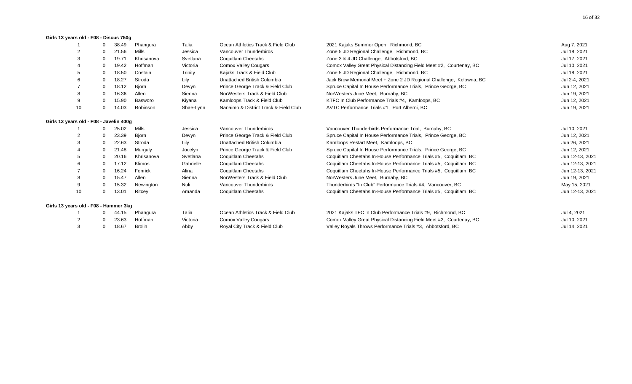#### **Girls 13 years old - F08 - Discus 750g**

|                                         |   | 38.49 | Phangura     | Talia     | Ocean Athletics Track & Field Club    | 2021 Kajaks Summer Open, Richmond, BC                               | Aug 7, 2021     |
|-----------------------------------------|---|-------|--------------|-----------|---------------------------------------|---------------------------------------------------------------------|-----------------|
|                                         |   | 21.56 | Mills        | Jessica   | Vancouver Thunderbirds                | Zone 5 JD Regional Challenge, Richmond, BC                          | Jul 18, 2021    |
|                                         |   | 19.71 | Khrisanova   | Svetlana  | Coquitlam Cheetahs                    | Zone 3 & 4 JD Challenge, Abbotsford, BC                             | Jul 17, 2021    |
|                                         |   | 19.42 | Hoffman      | Victoria  | <b>Comox Valley Cougars</b>           | Comox Valley Great Physical Distancing Field Meet #2, Courtenay, BC | Jul 10, 2021    |
|                                         |   | 18.50 | Costain      | Trinity   | Kajaks Track & Field Club             | Zone 5 JD Regional Challenge, Richmond, BC                          | Jul 18, 2021    |
|                                         |   | 18.27 | Stroda       | Lily      | Unattached British Columbia           | Jack Brow Memorial Meet + Zone 2 JD Regional Challenge, Kelowna, BC | Jul 2-4, 2021   |
|                                         | 0 | 18.12 | <b>Bjorn</b> | Devyn     | Prince George Track & Field Club      | Spruce Capital In House Performance Trials, Prince George, BC       | Jun 12, 2021    |
| 8                                       |   | 16.36 | Allen        | Sienna    | NorWesters Track & Field Club         | NorWesters June Meet, Burnaby, BC                                   | Jun 19, 2021    |
| 9                                       |   | 15.90 | Basworo      | Kiyana    | Kamloops Track & Field Club           | KTFC In Club Performance Trials #4, Kamloops, BC                    | Jun 12, 2021    |
| 10                                      |   | 14.03 | Robinson     | Shae-Lynn | Nanaimo & District Track & Field Club | AVTC Performance Trials #1, Port Alberni, BC                        | Jun 19, 2021    |
| Girls 13 years old - F08 - Javelin 400g |   |       |              |           |                                       |                                                                     |                 |
|                                         |   | 25.02 | Mills        | Jessica   | Vancouver Thunderbirds                | Vancouver Thunderbirds Performance Trial, Burnaby, BC               | Jul 10, 2021    |
|                                         |   | 23.39 | Biorn        | Devyn     | Prince George Track & Field Club      | Spruce Capital In House Performance Trials, Prince George, BC       | Jun 12, 2021    |
|                                         |   | 22.63 | Stroda       | Lily      | Unattached British Columbia           | Kamloops Restart Meet, Kamloops, BC                                 | Jun 26, 2021    |
|                                         |   | 21.48 | Murguly      | Jocelyn   | Prince George Track & Field Club      | Spruce Capital In House Performance Trials, Prince George, BC       | Jun 12, 2021    |
|                                         |   | 20.16 | Khrisanova   | Svetlana  | Coquitlam Cheetahs                    | Coquitlam Cheetahs In-House Performance Trials #5, Coquitlam, BC    | Jun 12-13, 2021 |
| 6                                       | 0 | 17.12 | Klimos       | Gabrielle | Coquitlam Cheetahs                    | Coquitlam Cheetahs In-House Performance Trials #5, Coquitlam, BC    | Jun 12-13, 2021 |
|                                         |   | 16.24 | Fenrick      | Alina     | Coquitlam Cheetahs                    | Coquitlam Cheetahs In-House Performance Trials #5, Coquitlam, BC    | Jun 12-13, 2021 |
| 8                                       | 0 | 15.47 | Allen        | Sienna    | NorWesters Track & Field Club         | NorWesters June Meet, Burnaby, BC                                   | Jun 19, 2021    |
| 9                                       |   | 15.32 | Newington    | Nuli      | Vancouver Thunderbirds                | Thunderbirds "In Club" Performance Trials #4, Vancouver, BC         | May 15, 2021    |
| 10                                      | 0 | 13.01 | Ritcey       | Amanda    | Coquitlam Cheetahs                    | Coquitlam Cheetahs In-House Performance Trials #5, Coquitlam, BC    | Jun 12-13, 2021 |
| Girls 13 years old - F08 - Hammer 3kg   |   |       |              |           |                                       |                                                                     |                 |
|                                         |   | 44.15 | Phangura     | Talia     | Ocean Athletics Track & Field Club    | 2021 Kajaks TFC In Club Performance Trials #9, Richmond, BC         | Jul 4, 2021     |
| $\overline{2}$                          |   | 23.63 | Hoffman      | Victoria  | <b>Comox Valley Cougars</b>           | Comox Valley Great Physical Distancing Field Meet #2, Courtenay, BC | Jul 10, 2021    |

3 0 18.67 Brolin Abby Royal City Track & Field Club Valley Royals Throws Performance Trials #3, Abbotsford, BC Jul 14, 2021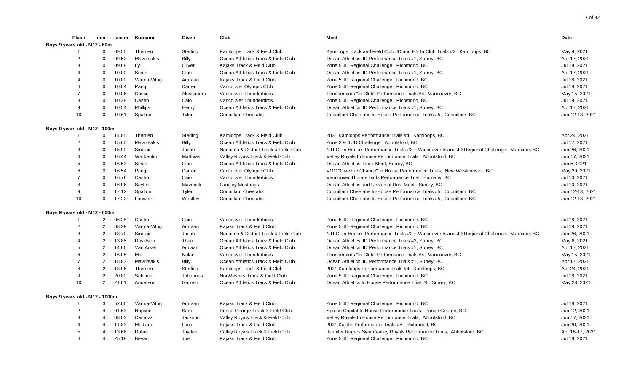| <b>Place</b>                   |             |       | min : sec-m Surname | Given        | Club                                  | Meet                                                                                        | Date            |
|--------------------------------|-------------|-------|---------------------|--------------|---------------------------------------|---------------------------------------------------------------------------------------------|-----------------|
| Boys 9 years old - M12 - 60m   |             |       |                     |              |                                       |                                                                                             |                 |
|                                | $\mathbf 0$ | 09.50 | Therrien            | Sterling     | Kamloops Track & Field Club           | Kamloops Track and Field Club JD and HS In Club Trials #2, Kamloops, BC                     | May 4, 2021     |
| $\overline{2}$                 | $\mathbf 0$ | 09.52 | Mavritsakis         | <b>Billy</b> | Ocean Athletics Track & Field Club    | Ocean Athletics JD Performance Trials #1, Surrey, BC                                        | Apr 17, 2021    |
| 3                              | $\mathbf 0$ | 09.68 | Ly                  | Oliver       | Kajaks Track & Field Club             | Zone 5 JD Regional Challenge, Richmond, BC                                                  | Jul 18, 2021    |
| 4                              | $\Omega$    | 10.00 | Smith               | Cian         | Ocean Athletics Track & Field Club    | Ocean Athletics JD Performance Trials #1, Surrey, BC                                        | Apr 17, 2021    |
| $\overline{4}$                 | $\mathbf 0$ | 10.00 | Varma-Vitug         | Armaan       | Kajaks Track & Field Club             | Zone 5 JD Regional Challenge, Richmond, BC                                                  | Jul 18, 2021    |
| 6                              | $\mathbf 0$ | 10.04 | Pang                | Darren       | Vancouver Olympic Club                | Zone 5 JD Regional Challenge, Richmond, BC                                                  | Jul 18, 2021    |
| $\overline{7}$                 | $\mathbf 0$ | 10.06 | Cocco               | Alessandro   | Vancouver Thunderbirds                | Thunderbirds "In Club" Performance Trials #4, Vancouver, BC                                 | May 15, 2021    |
| 8                              | $\mathbf 0$ | 10.28 | Castro              | Caio         | Vancouver Thunderbirds                | Zone 5 JD Regional Challenge, Richmond, BC                                                  | Jul 18, 2021    |
| 9                              | $\mathbf 0$ | 10.54 | Phillips            | Henry        | Ocean Athletics Track & Field Club    | Ocean Athletics JD Performance Trials #1, Surrey, BC                                        | Apr 17, 2021    |
| 10                             | $\mathbf 0$ | 10.61 | Spalton             | Tyler        | Coquitlam Cheetahs                    | Coquitlam Cheetahs In-House Performance Trials #5, Coquitlam, BC                            | Jun 12-13, 2021 |
| Boys 9 years old - M12 - 100m  |             |       |                     |              |                                       |                                                                                             |                 |
|                                | $\mathbf 0$ | 14.85 | Therrien            | Sterling     | Kamloops Track & Field Club           | 2021 Kamloops Performance Trials #4, Kamloops, BC                                           | Apr 24, 2021    |
| 2                              | $\mathbf 0$ | 15.60 | Mavritsakis         | <b>Billy</b> | Ocean Athletics Track & Field Club    | Zone 3 & 4 JD Challenge, Abbotsford, BC                                                     | Jul 17, 2021    |
| 3                              | $\mathbf 0$ | 15.90 | Sinclair            | Jacob        | Nanaimo & District Track & Field Club | NTFC "In House" Performance Trials #2 + Vancouver Island JD Regional Challenge, Nanaimo, BC | Jun 26, 2021    |
| $\boldsymbol{\Delta}$          | $\mathbf 0$ | 16.44 | Warkentin           | Matthias     | Valley Royals Track & Field Club      | Valley Royals In House Performance Trials, Abbotsford, BC                                   | Jun 17, 2021    |
| 5                              | $\Omega$    | 16.53 | Smith               | Cian         | Ocean Athletics Track & Field Club    | Ocean Athletics Track Meet, Surrey, BC                                                      | Jun 5, 2021     |
| 6                              | $\mathbf 0$ | 16.54 | Pang                | Darren       | Vancouver Olympic Club                | VOC "Give the Chance" In House Performance Trials, New Westminster, BC                      | May 29, 2021    |
| $\overline{7}$                 | $\mathbf 0$ | 16.76 | Castro              | Caio         | Vancouver Thunderbirds                | Vancouver Thunderbirds Performance Trial, Burnaby, BC                                       | Jul 10, 2021    |
| 8                              | $\mathbf 0$ | 16.96 | Sayles              | Maverick     | <b>Langley Mustangs</b>               | Ocean Athletics and Universal Dual Meet, Surrey, BC                                         | Jul 10, 2021    |
| 9                              | $\mathbf 0$ | 17.12 | Spalton             | Tyler        | Coquitlam Cheetahs                    | Coquitlam Cheetahs In-House Performance Trials #5, Coquitlam, BC                            | Jun 12-13, 2021 |
| 10                             | $\mathbf 0$ | 17.22 | Lauwers             | Westley      | Coquitlam Cheetahs                    | Coquitlam Cheetahs In-House Performance Trials #5, Coquitlam, BC                            | Jun 12-13, 2021 |
| Boys 9 years old - M12 - 600m  |             |       |                     |              |                                       |                                                                                             |                 |
| $\overline{1}$                 | 2:06.28     |       | Castro              | Caio         | Vancouver Thunderbirds                | Zone 5 JD Regional Challenge, Richmond, BC                                                  | Jul 18, 2021    |
| $\overline{2}$                 | 2:08.29     |       | Varma-Vitug         | Armaan       | Kajaks Track & Field Club             | Zone 5 JD Regional Challenge, Richmond, BC                                                  | Jul 18, 2021    |
| 3                              | 2:13.70     |       | Sinclair            | Jacob        | Nanaimo & District Track & Field Club | NTFC "In House" Performance Trials #2 + Vancouver Island JD Regional Challenge, Nanaimo, BC | Jun 26, 2021    |
| $\overline{4}$                 | 2:13.85     |       | Davidson            | Theo         | Ocean Athletics Track & Field Club    | Ocean Athletics JD Performance Trials #3, Surrey, BC                                        | May 8, 2021     |
| 5                              | 2:14.66     |       | Van Arkel           | Adriaan      | Ocean Athletics Track & Field Club    | Ocean Athletics JD Performance Trials #1, Surrey, BC                                        | Apr 17, 2021    |
| 6                              | 2:16.05     |       | Ma                  | Nolan        | Vancouver Thunderbirds                | Thunderbirds "In Club" Performance Trials #4, Vancouver, BC                                 | May 15, 2021    |
| $\overline{7}$                 | 2:18.83     |       | <b>Mavritsakis</b>  | Billy        | Ocean Athletics Track & Field Club    | Ocean Athletics JD Performance Trials #1, Surrey, BC                                        | Apr 17, 2021    |
| 8                              | 2:18.96     |       | Therrien            | Sterling     | Kamloops Track & Field Club           | 2021 Kamloops Performance Trials #4, Kamloops, BC                                           | Apr 24, 2021    |
| 9                              | 2:20.80     |       | Salchner            | Johannes     | NorWesters Track & Field Club         | Zone 5 JD Regional Challenge, Richmond, BC                                                  | Jul 18, 2021    |
| 10                             | 2:21.01     |       | Anderson            | Garreth      | Ocean Athletics Track & Field Club    | Ocean Athletics In House Performance Trial #4, Surrey, BC                                   | May 28, 2021    |
| Boys 9 years old - M12 - 1000m |             |       |                     |              |                                       |                                                                                             |                 |
| -1                             | 3:52.06     |       | Varma-Vitug         | Armaan       | Kajaks Track & Field Club             | Zone 5 JD Regional Challenge, Richmond, BC                                                  | Jul 18, 2021    |
| $\overline{2}$                 | 4:01.63     |       | Hopson              | Sam          | Prince George Track & Field Club      | Spruce Capital In House Performance Trials, Prince George, BC                               | Jun 12, 2021    |
| 3                              | 4:08.03     |       | Camozzi             | Jackson      | Valley Royals Track & Field Club      | Valley Royals In House Performance Trials, Abbotsford, BC                                   | Jun 17, 2021    |
| 4                              | 4:11.83     |       | Medianu             | Luca         | Kajaks Track & Field Club             | 2021 Kajaks Performance Trials #8, Richmond, BC                                             | Jun 20, 2021    |
| 5                              | 4:13.66     |       | Duhra               | Jayden       | Valley Royals Track & Field Club      | Jennifer Rogers Swan Valley Royals Performance Trials, Abbotsford, BC                       | Apr 16-17, 2021 |
| 6                              | 4:25.18     |       | Bevan               | Joel         | Kajaks Track & Field Club             | Zone 5 JD Regional Challenge, Richmond, BC                                                  | Jul 18, 2021    |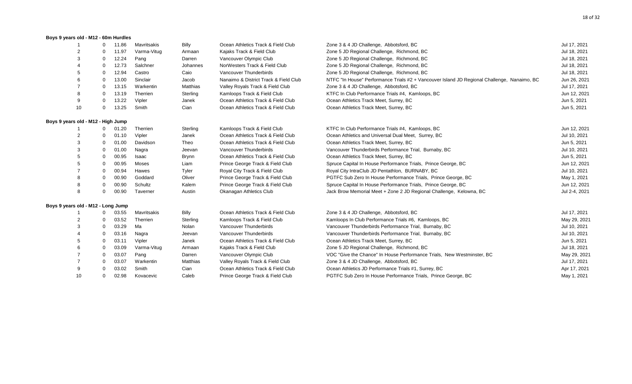#### **Boys 9 years old - M12 - 60m Hurdles**

|                                    | 0           | 11.86 | Mavritsakis | <b>Billy</b> | Ocean Athletics Track & Field Club    | Zone 3 & 4 JD Challenge, Abbotsford, BC                                                     | Jul 17, 2021  |
|------------------------------------|-------------|-------|-------------|--------------|---------------------------------------|---------------------------------------------------------------------------------------------|---------------|
|                                    | 0           | 11.97 | Varma-Vitug | Armaan       | Kajaks Track & Field Club             | Zone 5 JD Regional Challenge, Richmond, BC                                                  | Jul 18, 2021  |
|                                    | 0           | 12.24 | Pang        | Darren       | Vancouver Olympic Club                | Zone 5 JD Regional Challenge, Richmond, BC                                                  | Jul 18, 2021  |
|                                    | 0           | 12.73 | Salchner    | Johannes     | NorWesters Track & Field Club         | Zone 5 JD Regional Challenge, Richmond, BC                                                  | Jul 18, 2021  |
| 5                                  | $\Omega$    | 12.94 | Castro      | Caio         | Vancouver Thunderbirds                | Zone 5 JD Regional Challenge, Richmond, BC                                                  | Jul 18, 2021  |
|                                    | 0           | 13.00 | Sinclair    | Jacob        | Nanaimo & District Track & Field Club | NTFC "In House" Performance Trials #2 + Vancouver Island JD Regional Challenge, Nanaimo, BC | Jun 26, 2021  |
|                                    | 0           | 13.15 | Warkentin   | Matthias     | Valley Royals Track & Field Club      | Zone 3 & 4 JD Challenge, Abbotsford, BC                                                     | Jul 17, 2021  |
|                                    | 0           | 13.19 | Therrien    | Sterling     | Kamloops Track & Field Club           | KTFC In Club Performance Trials #4, Kamloops, BC                                            | Jun 12, 2021  |
| 9                                  | 0           | 13.22 | Vipler      | Janek        | Ocean Athletics Track & Field Club    | Ocean Athletics Track Meet, Surrey, BC                                                      | Jun 5, 2021   |
| 10                                 | 0           | 13.25 | Smith       | Cian         | Ocean Athletics Track & Field Club    | Ocean Athletics Track Meet, Surrey, BC                                                      | Jun 5, 2021   |
| Boys 9 years old - M12 - High Jump |             |       |             |              |                                       |                                                                                             |               |
|                                    | 0           | 01.20 | Therrien    | Sterling     | Kamloops Track & Field Club           | KTFC In Club Performance Trials #4, Kamloops, BC                                            | Jun 12, 2021  |
| 2                                  |             | 01.10 | Vipler      | Janek        | Ocean Athletics Track & Field Club    | Ocean Athletics and Universal Dual Meet, Surrey, BC                                         | Jul 10, 2021  |
|                                    | 0           | 01.00 | Davidson    | Theo         | Ocean Athletics Track & Field Club    | Ocean Athletics Track Meet, Surrey, BC                                                      | Jun 5, 2021   |
|                                    | 0           | 01.00 | Nagra       | Jeevan       | Vancouver Thunderbirds                | Vancouver Thunderbirds Performance Trial, Burnaby, BC                                       | Jul 10, 2021  |
|                                    | 0           | 00.95 | Isaac       | <b>Brynn</b> | Ocean Athletics Track & Field Club    | Ocean Athletics Track Meet, Surrey, BC                                                      | Jun 5, 2021   |
|                                    | $\Omega$    | 00.95 | Moses       | Liam         | Prince George Track & Field Club      | Spruce Capital In House Performance Trials, Prince George, BC                               | Jun 12, 2021  |
|                                    | 0           | 00.94 | Hawes       | Tyler        | Royal City Track & Field Club         | Royal City IntraClub JD Pentathlon, BURNABY, BC                                             | Jul 10, 2021  |
|                                    | 0           | 00.90 | Goddard     | Oliver       | Prince George Track & Field Club      | PGTFC Sub Zero In House Performance Trials, Prince George, BC                               | May 1, 2021   |
|                                    | 0           | 00.90 | Schultz     | Kalem        | Prince George Track & Field Club      | Spruce Capital In House Performance Trials, Prince George, BC                               | Jun 12, 2021  |
| 8                                  | $\Omega$    | 00.90 | Taverner    | Austin       | Okanagan Athletics Club               | Jack Brow Memorial Meet + Zone 2 JD Regional Challenge, Kelowna, BC                         | Jul 2-4, 2021 |
| Boys 9 years old - M12 - Long Jump |             |       |             |              |                                       |                                                                                             |               |
|                                    | $\Omega$    | 03.55 | Mavritsakis | Billy        | Ocean Athletics Track & Field Club    | Zone 3 & 4 JD Challenge, Abbotsford, BC                                                     | Jul 17, 2021  |
| 2                                  |             | 03.52 | Therrien    | Sterling     | Kamloops Track & Field Club           | Kamloops In Club Performance Trials #6, Kamloops, BC                                        | May 29, 2021  |
| 3                                  | 0           | 03.29 | Ma          | Nolan        | Vancouver Thunderbirds                | Vancouver Thunderbirds Performance Trial, Burnaby, BC                                       | Jul 10, 2021  |
|                                    | 0           | 03.16 | Nagra       | Jeevan       | Vancouver Thunderbirds                | Vancouver Thunderbirds Performance Trial, Burnaby, BC                                       | Jul 10, 2021  |
|                                    | $\mathbf 0$ | 03.11 | Vipler      | Janek        | Ocean Athletics Track & Field Club    | Ocean Athletics Track Meet, Surrey, BC                                                      | Jun 5, 2021   |
|                                    | 0           | 03.09 | Varma-Vitug | Armaan       | Kajaks Track & Field Club             | Zone 5 JD Regional Challenge, Richmond, BC                                                  | Jul 18, 2021  |
|                                    | 0           | 03.07 | Pang        | Darren       | Vancouver Olympic Club                | VOC "Give the Chance" In House Performance Trials, New Westminster, BC                      | May 29, 2021  |
|                                    | 0           | 03.07 | Warkentin   | Matthias     | Valley Royals Track & Field Club      | Zone 3 & 4 JD Challenge, Abbotsford, BC                                                     | Jul 17, 2021  |
| 9                                  |             | 03.02 | Smith       | Cian         | Ocean Athletics Track & Field Club    | Ocean Athletics JD Performance Trials #1, Surrey, BC                                        | Apr 17, 2021  |
| 10                                 | 0           | 02.98 | Kovacevic   | Caleb        | Prince George Track & Field Club      | PGTFC Sub Zero In House Performance Trials, Prince George, BC                               | May 1, 2021   |
|                                    |             |       |             |              |                                       |                                                                                             |               |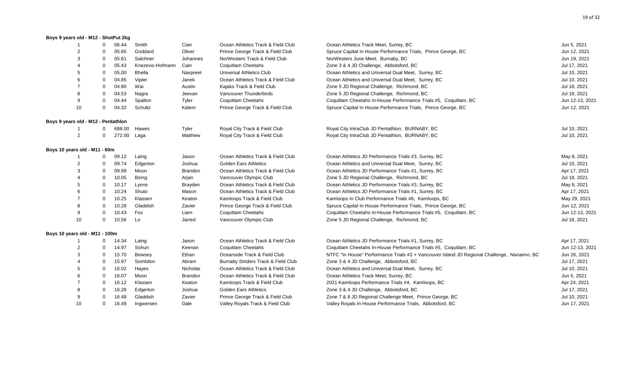#### **Boys 9 years old - M12 - ShotPut 2kg**

|                                     | $\Omega$       | 06.44  | Smith            | Cian           | Ocean Athletics Track & Field Club  | Ocean Athletics Track Meet, Surrey, BC                                                      | Jun 5, 2021     |
|-------------------------------------|----------------|--------|------------------|----------------|-------------------------------------|---------------------------------------------------------------------------------------------|-----------------|
|                                     | $\Omega$       | 05.65  | Goddard          | Oliver         | Prince George Track & Field Club    | Spruce Capital In House Performance Trials, Prince George, BC                               | Jun 12, 2021    |
| 3                                   | $\overline{0}$ | 05.61  | Salchner         | Johannes       | NorWesters Track & Field Club       | NorWesters June Meet, Burnaby, BC                                                           | Jun 19, 2021    |
|                                     | $\mathbf 0$    | 05.43  | Knezevic-Hofmann | Cain           | <b>Coquitlam Cheetahs</b>           | Zone 3 & 4 JD Challenge, Abbotsford, BC                                                     | Jul 17, 2021    |
|                                     | $\overline{0}$ | 05.00  | <b>Bhella</b>    | Navpreet       | Universal Athletics Club            | Ocean Athletics and Universal Dual Meet, Surrey, BC                                         | Jul 10, 2021    |
|                                     | $\mathbf 0$    | 04.85  | Vipler           | Janek          | Ocean Athletics Track & Field Club  | Ocean Athletics and Universal Dual Meet, Surrey, BC                                         | Jul 10, 2021    |
|                                     | $\overline{0}$ | 04.80  | Wai              | Austin         | Kajaks Track & Field Club           | Zone 5 JD Regional Challenge, Richmond, BC                                                  | Jul 18, 2021    |
| 8                                   | $\Omega$       | 04.53  | Nagra            | Jeevan         | Vancouver Thunderbirds              | Zone 5 JD Regional Challenge, Richmond, BC                                                  | Jul 18, 2021    |
| 9                                   | $\Omega$       | 04.44  | Spalton          | Tyler          | <b>Coquitlam Cheetahs</b>           | Coquitlam Cheetahs In-House Performance Trials #5, Coquitlam, BC                            | Jun 12-13, 2021 |
| 10                                  | $\Omega$       | 04.32  | Schultz          | Kalem          | Prince George Track & Field Club    | Spruce Capital In House Performance Trials, Prince George, BC                               | Jun 12, 2021    |
| Boys 9 years old - M12 - Pentathlon |                |        |                  |                |                                     |                                                                                             |                 |
|                                     | $\Omega$       | 688.00 | Hawes            | Tyler          | Royal City Track & Field Club       | Royal City IntraClub JD Pentathlon, BURNABY, BC                                             | Jul 10, 2021    |
| $\overline{2}$                      | $\mathbf 0$    | 272.00 | Laga             | Matthew        | Royal City Track & Field Club       | Royal City IntraClub JD Pentathlon, BURNABY, BC                                             | Jul 10, 2021    |
| Boys 10 years old - M11 - 60m       |                |        |                  |                |                                     |                                                                                             |                 |
| -1                                  | $\mathbf{0}$   | 09.12  | Laing            | Jaxon          | Ocean Athletics Track & Field Club  | Ocean Athletics JD Performance Trials #3, Surrey, BC                                        | May 8, 2021     |
| $\overline{2}$                      | $\mathbf 0$    | 09.74  | Edgerton         | Joshua         | <b>Golden Ears Athletics</b>        | Ocean Athletics and Universal Dual Meet, Surrey, BC                                         | Jul 10, 2021    |
| 3                                   | $\mathbf{0}$   | 09.99  | Moon             | <b>Brandon</b> | Ocean Athletics Track & Field Club  | Ocean Athletics JD Performance Trials #1, Surrey, BC                                        | Apr 17, 2021    |
|                                     | $\mathbf 0$    | 10.05  | <b>Biring</b>    | Arjan          | Vancouver Olympic Club              | Zone 5 JD Regional Challenge, Richmond, BC                                                  | Jul 18, 2021    |
| 5                                   | $\mathbf 0$    | 10.17  | Lyons            | Brayden        | Ocean Athletics Track & Field Club  | Ocean Athletics JD Performance Trials #3, Surrey, BC                                        | May 8, 2021     |
| 6                                   | $\mathbf 0$    | 10.24  | Shuto            | Mason          | Ocean Athletics Track & Field Club  | Ocean Athletics JD Performance Trials #1, Surrey, BC                                        | Apr 17, 2021    |
| $\overline{7}$                      | $\overline{0}$ | 10.25  | Klassen          | Keaton         | Kamloops Track & Field Club         | Kamloops In Club Performance Trials #6, Kamloops, BC                                        | May 29, 2021    |
| 8                                   | $\overline{0}$ | 10.28  | Gladdish         | Zavier         | Prince George Track & Field Club    | Spruce Capital In House Performance Trials, Prince George, BC                               | Jun 12, 2021    |
| 9                                   | $\overline{0}$ | 10.43  | Fox              | Liam           | Coquitlam Cheetahs                  | Coquitlam Cheetahs In-House Performance Trials #5, Coquitlam, BC                            | Jun 12-13, 2021 |
| 10                                  | 0              | 10.56  | Lo               | Jarred         | Vancouver Olympic Club              | Zone 5 JD Regional Challenge, Richmond, BC                                                  | Jul 18, 2021    |
| Boys 10 years old - M11 - 100m      |                |        |                  |                |                                     |                                                                                             |                 |
|                                     | $\mathbf{0}$   | 14.34  | Laing            | Jaxon          | Ocean Athletics Track & Field Club  | Ocean Athletics JD Performance Trials #1, Surrey, BC                                        | Apr 17, 2021    |
|                                     | 0              | 14.97  | Sohun            | Keenan         | <b>Coquitlam Cheetahs</b>           | Coquitlam Cheetahs In-House Performance Trials #5, Coquitlam, BC                            | Jun 12-13, 2021 |
| 3                                   | 0              | 15.70  | Bewsey           | Ethan          | Oceanside Track & Field Club        | NTFC "In House" Performance Trials #2 + Vancouver Island JD Regional Challenge, Nanaimo, BC | Jun 26, 2021    |
|                                     | $\mathbf 0$    | 15.97  | Sombilon         | Abram          | Burnaby Striders Track & Field Club | Zone 3 & 4 JD Challenge, Abbotsford, BC                                                     | Jul 17, 2021    |
|                                     | $\mathbf 0$    | 16.02  | Hayes            | Nicholas       | Ocean Athletics Track & Field Club  | Ocean Athletics and Universal Dual Meet, Surrey, BC                                         | Jul 10, 2021    |
|                                     | $\mathbf 0$    | 16.07  | Moon             | Brandon        | Ocean Athletics Track & Field Club  | Ocean Athletics Track Meet, Surrey, BC                                                      | Jun 5, 2021     |
|                                     | $\mathbf 0$    | 16.12  | Klassen          | Keaton         | Kamloops Track & Field Club         | 2021 Kamloops Performance Trials #4, Kamloops, BC                                           | Apr 24, 2021    |
|                                     | $\mathbf 0$    | 16.28  | Edgerton         | Joshua         | <b>Golden Ears Athletics</b>        | Zone 3 & 4 JD Challenge, Abbotsford, BC                                                     | Jul 17, 2021    |
|                                     | 0              | 16.48  | Gladdish         | Zavier         | Prince George Track & Field Club    | Zone 7 & 8 JD Regional Challenge Meet, Prince George, BC                                    | Jul 10, 2021    |
| 10                                  | $\mathbf 0$    | 16.49  | Ingwersen        | Dale           | Valley Royals Track & Field Club    | Valley Royals In House Performance Trials, Abbotsford, BC                                   | Jun 17, 2021    |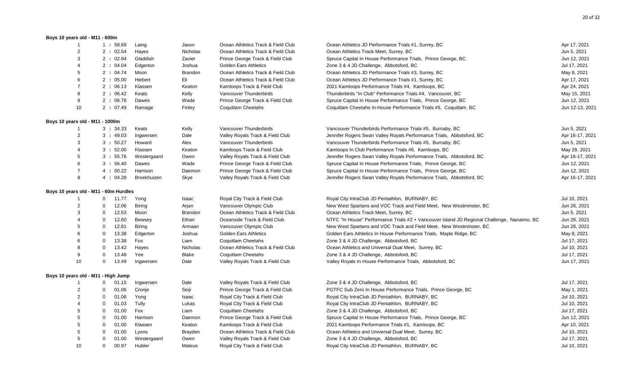#### **Boys 10 years old - M11 - 600m**

| $\mathbf{1}$                    | 1:58.69                               | Laing         | Jaxon          | Ocean Athletics Track & Field Club | Ocean Athletics JD Performance Trials #1, Surrey, BC                                        | Apr 17, 2021    |
|---------------------------------|---------------------------------------|---------------|----------------|------------------------------------|---------------------------------------------------------------------------------------------|-----------------|
| 2                               | 2 : 02.54                             | Hayes         | Nicholas       | Ocean Athletics Track & Field Club | Ocean Athletics Track Meet, Surrey, BC                                                      | Jun 5, 2021     |
| 3                               | 2 : 02.94                             | Gladdish      | Zavier         | Prince George Track & Field Club   | Spruce Capital In House Performance Trials, Prince George, BC                               | Jun 12, 2021    |
| 4                               | 2 : 04.04                             | Edgerton      | Joshua         | <b>Golden Ears Athletics</b>       | Zone 3 & 4 JD Challenge, Abbotsford, BC                                                     | Jul 17, 2021    |
| 5                               | 2 : 04.74                             | Moon          | <b>Brandon</b> | Ocean Athletics Track & Field Club | Ocean Athletics JD Performance Trials #3, Surrey, BC                                        | May 8, 2021     |
| 6                               | 2:05.00                               | Hiebert       | Eli            | Ocean Athletics Track & Field Club | Ocean Athletics JD Performance Trials #1, Surrey, BC                                        | Apr 17, 2021    |
| $\overline{7}$                  | 2:06.13                               | Klassen       | Keaton         | Kamloops Track & Field Club        | 2021 Kamloops Performance Trials #4, Kamloops, BC                                           | Apr 24, 2021    |
| 8                               | 2:06.42                               | Keats         | Kelly          | Vancouver Thunderbirds             | Thunderbirds "In Club" Performance Trials #4, Vancouver, BC                                 | May 15, 2021    |
| 9                               | 2:06.78                               | Dawes         | Wade           | Prince George Track & Field Club   | Spruce Capital In House Performance Trials, Prince George, BC                               | Jun 12, 2021    |
| 10                              | 2:07.49                               | Ramage        | Finley         | Coquitlam Cheetahs                 | Coquitlam Cheetahs In-House Performance Trials #5, Coquitlam, BC                            | Jun 12-13, 2021 |
| Boys 10 years old - M11 - 1000m |                                       |               |                |                                    |                                                                                             |                 |
| -1                              | 3:34.33                               | Keats         | Kelly          | Vancouver Thunderbirds             | Vancouver Thunderbirds Performance Trials #5, Burnaby, BC                                   | Jun 5, 2021     |
| 2                               | 3:49.03                               | Ingwersen     | Dale           | Valley Royals Track & Field Club   | Jennifer Rogers Swan Valley Royals Performance Trials, Abbotsford, BC                       | Apr 16-17, 2021 |
| 3                               | 3:50.27                               | Howard        | Alex           | Vancouver Thunderbirds             | Vancouver Thunderbirds Performance Trials #5, Burnaby, BC                                   | Jun 5, 2021     |
| 4                               | 3:52.00                               | Klassen       | Keaton         | Kamloops Track & Field Club        | Kamloops In Club Performance Trials #6, Kamloops, BC                                        | May 29, 2021    |
| 5                               | 3:55.76                               | Westergaard   | Owen           | Valley Royals Track & Field Club   | Jennifer Rogers Swan Valley Royals Performance Trials, Abbotsford, BC                       | Apr 16-17, 2021 |
| 6                               | 3:56.40                               | Dawes         | Wade           | Prince George Track & Field Club   | Spruce Capital In House Performance Trials, Prince George, BC                               | Jun 12, 2021    |
| $\overline{7}$                  | 4:00.22                               | Harrison      | Daemon         | Prince George Track & Field Club   | Spruce Capital In House Performance Trials, Prince George, BC                               | Jun 12, 2021    |
| 8                               | 4:04.28                               | Broekhuizen   | Skye           | Valley Royals Track & Field Club   | Jennifer Rogers Swan Valley Royals Performance Trials, Abbotsford, BC                       | Apr 16-17, 2021 |
|                                 | Boys 10 years old - M11 - 60m Hurdles |               |                |                                    |                                                                                             |                 |
| $\mathbf{1}$                    | 11.77<br>$\overline{0}$               | Yong          | Isaac          | Royal City Track & Field Club      | Royal City IntraClub JD Pentathlon, BURNABY, BC                                             | Jul 10, 2021    |
| $\overline{2}$                  | $\mathbf 0$<br>12.06                  | <b>Biring</b> | Arjan          | Vancouver Olympic Club             | New West Spartans and VOC Track and Field Meet, New Westminster, BC                         | Jun 26, 2021    |
| 3                               | 12.53<br>$\mathbf 0$                  | Moon          | <b>Brandon</b> | Ocean Athletics Track & Field Club | Ocean Athletics Track Meet, Surrey, BC                                                      | Jun 5, 2021     |
| 4                               | $\mathbf 0$<br>12.60                  | Bewsey        | Ethan          | Oceanside Track & Field Club       | NTFC "In House" Performance Trials #2 + Vancouver Island JD Regional Challenge, Nanaimo, BC | Jun 26, 2021    |
| 5                               | 12.81<br>$\mathbf 0$                  | Biring        | Armaan         | Vancouver Olympic Club             | New West Spartans and VOC Track and Field Meet, New Westminster, BC                         | Jun 26, 2021    |
| 6                               | 13.38<br>$\mathbf 0$                  | Edgerton      | Joshua         | <b>Golden Ears Athletics</b>       | Golden Ears Athletics In House Performance Trials, Maple Ridge, BC                          | May 8, 2021     |
| 6                               | $\mathbf 0$<br>13.38                  | Fox           | Liam           | Coquitlam Cheetahs                 | Zone 3 & 4 JD Challenge, Abbotsford, BC                                                     | Jul 17, 2021    |
| 8                               | 0<br>13.42                            | Hayes         | Nicholas       | Ocean Athletics Track & Field Club | Ocean Athletics and Universal Dual Meet, Surrey, BC                                         | Jul 10, 2021    |
| 9                               | $\mathbf 0$<br>13.48                  | Yee           | Blake          | Coquitlam Cheetahs                 | Zone 3 & 4 JD Challenge, Abbotsford, BC                                                     | Jul 17, 2021    |
| 10                              | $\mathbf 0$<br>13.49                  | Ingwersen     | Dale           | Valley Royals Track & Field Club   | Valley Royals In House Performance Trials, Abbotsford, BC                                   | Jun 17, 2021    |
|                                 | Boys 10 years old - M11 - High Jump   |               |                |                                    |                                                                                             |                 |
| $\overline{1}$                  | 0<br>01.15                            | Ingwersen     | Dale           | Valley Royals Track & Field Club   | Zone 3 & 4 JD Challenge, Abbotsford, BC                                                     | Jul 17, 2021    |
| 2                               | 0<br>01.06                            | Cronje        | Seiji          | Prince George Track & Field Club   | PGTFC Sub Zero In House Performance Trials, Prince George, BC                               | May 1, 2021     |
| $\overline{2}$                  | $\overline{0}$<br>01.06               | Yong          | Isaac          | Royal City Track & Field Club      | Royal City IntraClub JD Pentathlon, BURNABY, BC                                             | Jul 10, 2021    |
|                                 | 01.03<br>0                            | Tully         | Lukas          | Royal City Track & Field Club      | Royal City IntraClub JD Pentathlon, BURNABY, BC                                             | Jul 10, 2021    |
| 5                               | $\mathbf 0$<br>01.00                  | Fox           | Liam           | Coquitlam Cheetahs                 | Zone 3 & 4 JD Challenge, Abbotsford, BC                                                     | Jul 17, 2021    |
| 5                               | $\mathbf 0$<br>01.00                  | Harrison      | Daemon         | Prince George Track & Field Club   | Spruce Capital In House Performance Trials, Prince George, BC                               | Jun 12, 2021    |
| 5                               | 01.00<br>0                            | Klassen       | Keaton         | Kamloops Track & Field Club        | 2021 Kamloops Performance Trials #1, Kamloops, BC                                           | Apr 10, 2021    |
| 5                               | 01.00<br>$\mathbf 0$                  | Lyons         | Brayden        | Ocean Athletics Track & Field Club | Ocean Athletics and Universal Dual Meet, Surrey, BC                                         | Jul 10, 2021    |
| 5                               | $\mathbf 0$<br>01.00                  | Westergaard   | Owen           | Valley Royals Track & Field Club   | Zone 3 & 4 JD Challenge, Abbotsford, BC                                                     | Jul 17, 2021    |
| 10                              | 00.97<br>$\mathbf 0$                  | Hubler        | Mateus         | Royal City Track & Field Club      | Royal City IntraClub JD Pentathlon, BURNABY, BC                                             | Jul 10, 2021    |
|                                 |                                       |               |                |                                    |                                                                                             |                 |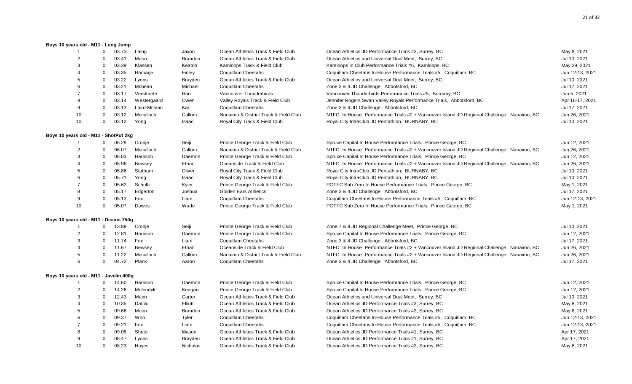### **Boys 10 years old - M11 - Long Jump**

8 0 09.08 Shuto Mason Ocean Athletics Track & Field Club 9 0 08.47 Lyons Brayden Ocean Athletics Track & Field Club 10 08.23 Hayes Nicholas Ocean Athletics Track & Field Club

|                                        | $\Omega$     | 03.73 | Laing        | Jaxon          | Ocean Athletics Track & Field Club    | Ocean Athletics JD Performance Trials #3, Surrey, BC                                        | May 8, 2021     |
|----------------------------------------|--------------|-------|--------------|----------------|---------------------------------------|---------------------------------------------------------------------------------------------|-----------------|
|                                        | $\Omega$     | 03.41 | Moon         | <b>Brandon</b> | Ocean Athletics Track & Field Club    | Ocean Athletics and Universal Dual Meet, Surrey, BC                                         | Jul 10, 2021    |
| 3                                      | 0            | 03.39 | Klassen      | Keaton         | Kamloops Track & Field Club           | Kamloops In Club Performance Trials #6, Kamloops, BC                                        | May 29, 2021    |
|                                        | $\Omega$     | 03.35 | Ramage       | Finley         | Coquitlam Cheetahs                    | Coquitlam Cheetahs In-House Performance Trials #5, Coquitlam, BC                            | Jun 12-13, 2021 |
| 5                                      | $\Omega$     | 03.22 | Lyons        | Brayden        | Ocean Athletics Track & Field Club    | Ocean Athletics and Universal Dual Meet, Surrey, BC                                         | Jul 10, 2021    |
| 6                                      | $\mathbf 0$  | 03.21 | Mcbean       | Michael        | <b>Coquitlam Cheetahs</b>             | Zone 3 & 4 JD Challenge, Abbotsford, BC                                                     | Jul 17, 2021    |
|                                        | 0            | 03.17 | Verstraete   | Han            | Vancouver Thunderbirds                | Vancouver Thunderbirds Performance Trials #5, Burnaby, BC                                   | Jun 5, 2021     |
| 8                                      | $\mathbf 0$  | 03.14 | Westergaard  | Owen           | Valley Royals Track & Field Club      | Jennifer Rogers Swan Valley Royals Performance Trials, Abbotsford, BC                       | Apr 16-17, 2021 |
| 9                                      | 0            | 03.13 | Laird-Mclean | Kai            | <b>Coquitlam Cheetahs</b>             | Zone 3 & 4 JD Challenge, Abbotsford, BC                                                     | Jul 17, 2021    |
| 10                                     | $\mathbf 0$  | 03.12 | Mcculloch    | Callum         | Nanaimo & District Track & Field Club | NTFC "In House" Performance Trials #2 + Vancouver Island JD Regional Challenge, Nanaimo, BC | Jun 26, 2021    |
| 10                                     | 0            | 03.12 | Yong         | Isaac          | Royal City Track & Field Club         | Royal City IntraClub JD Pentathlon, BURNABY, BC                                             | Jul 10, 2021    |
| Boys 10 years old - M11 - ShotPut 2kg  |              |       |              |                |                                       |                                                                                             |                 |
|                                        | 0            | 06.29 | Cronje       | Seiji          | Prince George Track & Field Club      | Spruce Capital In House Performance Trials, Prince George, BC                               | Jun 12, 2021    |
| 2                                      | $\Omega$     | 06.07 | Mcculloch    | Callum         | Nanaimo & District Track & Field Club | NTFC "In House" Performance Trials #2 + Vancouver Island JD Regional Challenge, Nanaimo, BC | Jun 26, 2021    |
| 3                                      | $\mathbf 0$  | 06.03 | Harrison     | Daemon         | Prince George Track & Field Club      | Spruce Capital In House Performance Trials, Prince George, BC                               | Jun 12, 2021    |
|                                        | 0            | 05.96 | Bewsey       | Ethan          | Oceanside Track & Field Club          | NTFC "In House" Performance Trials #2 + Vancouver Island JD Regional Challenge, Nanaimo, BC | Jun 26, 2021    |
|                                        | 0            | 05.86 | Statham      | Oliver         | Royal City Track & Field Club         | Royal City IntraClub JD Pentathlon, BURNABY, BC                                             | Jul 10, 2021    |
|                                        | $\Omega$     | 05.71 | Yong         | Isaac          | Royal City Track & Field Club         | Royal City IntraClub JD Pentathlon, BURNABY, BC                                             | Jul 10, 2021    |
|                                        | $\Omega$     | 05.62 | Schultz      | Kyler          | Prince George Track & Field Club      | PGTFC Sub Zero In House Performance Trials, Prince George, BC                               | May 1, 2021     |
| 8                                      | $\mathbf 0$  | 05.17 | Edgerton     | Joshua         | <b>Golden Ears Athletics</b>          | Zone 3 & 4 JD Challenge, Abbotsford, BC                                                     | Jul 17, 2021    |
| 9                                      | $\Omega$     | 05.13 | Fox          | Liam           | <b>Coquitlam Cheetahs</b>             | Coquitlam Cheetahs In-House Performance Trials #5, Coquitlam, BC                            | Jun 12-13, 2021 |
| 10                                     | $\mathbf 0$  | 05.07 | Dawes        | Wade           | Prince George Track & Field Club      | PGTFC Sub Zero In House Performance Trials, Prince George, BC                               | May 1, 2021     |
| Boys 10 years old - M11 - Discus 750g  |              |       |              |                |                                       |                                                                                             |                 |
| -1                                     | $\mathbf{0}$ | 13.89 | Cronje       | Seiji          | Prince George Track & Field Club      | Zone 7 & 8 JD Regional Challenge Meet, Prince George, BC                                    | Jul 10, 2021    |
| 2                                      | $\mathbf{0}$ | 12.81 | Harrison     | Daemon         | Prince George Track & Field Club      | Spruce Capital In House Performance Trials, Prince George, BC                               | Jun 12, 2021    |
| 3                                      | $\mathbf 0$  | 11.74 | Fox          | Liam           | Coquitlam Cheetahs                    | Zone 3 & 4 JD Challenge, Abbotsford, BC                                                     | Jul 17, 2021    |
|                                        | 0            | 11.67 | Bewsey       | Ethan          | Oceanside Track & Field Club          | NTFC "In House" Performance Trials #2 + Vancouver Island JD Regional Challenge, Nanaimo, BC | Jun 26, 2021    |
| 5                                      | $\Omega$     | 11.22 | Mcculloch    | Callum         | Nanaimo & District Track & Field Club | NTFC "In House" Performance Trials #2 + Vancouver Island JD Regional Challenge, Nanaimo, BC | Jun 26, 2021    |
| 6                                      | 0            | 04.72 | Plank        | Aaron          | <b>Coquitlam Cheetahs</b>             | Zone 3 & 4 JD Challenge, Abbotsford, BC                                                     | Jul 17, 2021    |
| Boys 10 years old - M11 - Javelin 400g |              |       |              |                |                                       |                                                                                             |                 |
|                                        | $\mathbf{0}$ | 14.60 | Harrison     | Daemon         | Prince George Track & Field Club      | Spruce Capital In House Performance Trials, Prince George, BC                               | Jun 12, 2021    |
| $\overline{2}$                         | 0            | 14.26 | Molendyk     | Keagan         | Prince George Track & Field Club      | Spruce Capital In House Performance Trials, Prince George, BC                               | Jun 12, 2021    |
| 3                                      | 0            | 12.43 | Mann         | Carter         | Ocean Athletics Track & Field Club    | Ocean Athletics and Universal Dual Meet, Surrey, BC                                         | Jul 10, 2021    |
|                                        | $\Omega$     | 10.35 | Dattilo      | Elliott        | Ocean Athletics Track & Field Club    | Ocean Athletics JD Performance Trials #3, Surrey, BC                                        | May 8, 2021     |
| 5                                      | $\Omega$     | 09.66 | Moon         | Brandon        | Ocean Athletics Track & Field Club    | Ocean Athletics JD Performance Trials #3, Surrey, BC                                        | May 8, 2021     |
|                                        | $\Omega$     | 09.37 | Woo          | Tyler          | Coquitlam Cheetahs                    | Coquitlam Cheetahs In-House Performance Trials #5, Coquitlam, BC                            | Jun 12-13, 2021 |
| $\overline{7}$                         | 0            | 09.21 | Fox          | Liam           | Coquitlam Cheetahs                    | Coquitlam Cheetahs In-House Performance Trials #5, Coquitlam, BC                            | Jun 12-13, 2021 |

| Spruce Capital In House Performance Trials, Prince George, BC    | Jun 12, 2021    |
|------------------------------------------------------------------|-----------------|
| Spruce Capital In House Performance Trials, Prince George, BC    | Jun 12, 2021    |
| Ocean Athletics and Universal Dual Meet, Surrey, BC              | Jul 10, 2021    |
| Ocean Athletics JD Performance Trials #3, Surrey, BC             | May 8, 2021     |
| Ocean Athletics JD Performance Trials #3, Surrey, BC             | May 8, 2021     |
| Coquitlam Cheetahs In-House Performance Trials #5, Coquitlam, BC | Jun 12-13, 2021 |
| Coquitlam Cheetahs In-House Performance Trials #5, Coquitlam, BC | Jun 12-13, 2021 |
| Ocean Athletics JD Performance Trials #1, Surrey, BC             | Apr 17, 2021    |
| Ocean Athletics JD Performance Trials #1, Surrey, BC             | Apr 17, 2021    |
| Ocean Athletics JD Performance Trials #3, Surrey, BC             | May 8, 2021     |
|                                                                  |                 |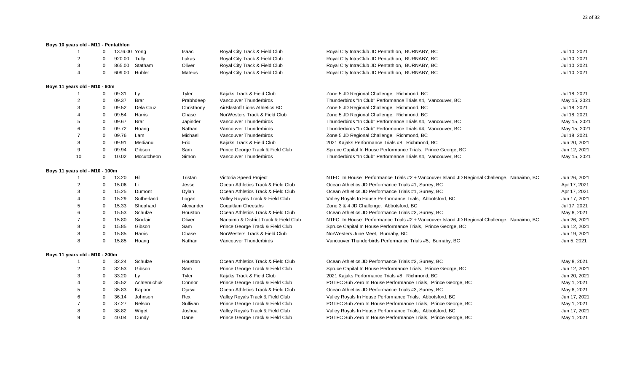## **Boys 10 years old - M11 - Pentathlon** 1 0 1376.00 Yong Saac Royal City Track & Field Club Royal City IntraClub JD Pentathlon, BURNABY, BC 1376.00 Yong Jul 10, 2021 2 0 920.00 Tully Lukas Royal City Track & Field Club Royal City IntraClub JD Pentathlon, BURNABY, BC 3021 3001 10, 2021 3 0 865.00 Statham Oliver Royal City Track & Field Club Royal City IntraClub JD Pentathlon, BURNABY, BC Jul 10, 2021 4 0 609.00 Hubler Mateus Royal City Track & Field Club Royal City IntraClub JD Pentathlon, BURNABY, BC Jul 10, 2021 **Boys 11 years old - M10 - 60m** 1 0 09.31 Ly Tyler Kajaks Track & Field Club Zone 5 JD Regional Challenge, Richmond, BC 3 Jul 18, 2021 2 0 09.37 Brar Prabhdeep Vancouver Thunderbirds Thunderbirds Thunderbirds Thunderbirds The Club" Performance Trials #4, Vancouver, BC 7091 3 0 09.52 Dela Cruz Christhony AirBlastoff Lions Athletics BC Zone 5 JD Regional Challenge, Richmond, BC Jul 18, 2021 4 0 09.54 Harris Chase NorWesters Track & Field Club Zone 5 JD Regional Challenge, Richmond, BC Jul 18, 2021 5 0 09.67 Brar Japinder Vancouver Thunderbirds Thunderbirds "In Club" Performance Trials #4, Vancouver, BC May 15, 2021 6 0 09.72 Hoang Nathan Vancouver Thunderbirds Thunderbirds "In Club" Performance Trials #4, Vancouver, BC May 15, 2021 7 0 09.76 Lam Michael Vancouver Thunderbirds Zone 5 JD Regional Challenge, Richmond, BC Jul 18, 2021 8 0 09.91 Medianu Eric Kajaks Track & Field Club 2021 Kajaks Performance Trials #8, Richmond, BC Jun 20, 2021 9 0 09.94 Gibson Sam Prince George Track & Field Club Spruce Capital In House Performance Trials, Prince George, BC Jun 12, 2021 10 0 10.02 Mccutcheon Simon Vancouver Thunderbirds Thunderbirds Thunderbirds Thunderbirds The Club" Performance Trials #4, Vancouver, BC 70021 May 15, 2021 **Boys 11 years old - M10 - 100m** 1 0 13.20 Hill Stristan Victoria Speed Project NTFC "In House" Performance Trials #2 + Vancouver Island JD Regional Challenge, Nanaimo, BC Jun 26, 2021 2 0 15.06 Li Surrey, Bosse Ocean Athletics Track & Field Club Ocean Athletics JD Performance Trials #1, Surrey, BC Apr 17, 2021 3 0 15.25 Dumont Dylan Ocean Athletics Track & Field Club Ocean Athletics JD Performance Trials #1, Surrey, BC Apr 17, 2021 4 0 15.29 Sutherland Logan Valley Royals Track & Field Club Valley Royals In House Performance Trials, Abbotsford, BC Jun 17, 2021 5 0 15.33 Shephard Alexander Coquitlam Cheetahs Zone 3 & 4 JD Challenge, Abbotsford, BC 3 and 3 and 2021 6 0 15.53 Schulze Houston Ocean Athletics Track & Field Club Ocean Athletics JD Performance Trials #3, Surrey, BC May 8, 2021 7 0 15.80 Sinclair Oliver Nanaimo & District Track & Field Club NTFC "In House" Performance Trials #2 + Vancouver Island JD Regional Challenge, Nanaimo, BC Jun 26, 2021 8 0 15.85 Gibson Sam Prince George Track & Field Club Spruce Capital In House Performance Trials, Prince George, BC 3021 Jun 12, 2021 8 0 15.85 Harris Chase NorWesters Track & Field Club NorWesters June Meet, Burnaby, BC 8 0 15.85 Hoang Nathan Vancouver Thunderbirds Vancouver Thunderbirds Performance Trials #5, Burnaby, BC Jun 5, 2021 **Boys 11 years old - M10 - 200m** 1 0 32.24 Schulze Houston Ocean Athletics Track & Field Club Ocean Athletics JD Performance Trials #3, Surrey, BC May 8, 2021 2 0 32.53 Gibson Sam Prince George Track & Field Club Spruce Capital In House Performance Trials, Prince George, BC Jun 12, 2021 3 0 33.20 Ly Tyler Kajaks Track & Field Club 2021 Kajaks Performance Trials #8, Richmond, BC Jun 20, 2021 4 0 35.52 Achtemichuk Connor Prince George Track & Field Club PGTFC Sub Zero In House Performance Trials, Prince George, BC May 1, 2021 5 0 35.83 Kapoor Ojasvi Ocean Athletics Track & Field Club Ocean Athletics JD Performance Trials #3, Surrey, BC 75.583 Kapoor May 8, 2021 6 0 36.14 Johnson Rex Valley Royals Track & Field Club Valley Royals In House Performance Trials, Abbotsford, BC Jun 17, 2021 7 0 37.27 Nelson Sullivan Prince George Track & Field Club PGTFC Sub Zero In House Performance Trials, Prince George, BC May 1, 2021 8 0 38.82 Wiget Joshua Valley Royals Track & Field Club Valley Royals In House Performance Trials, Abbotsford, BC 9 0 40.04 Cundy Dane Prince George Track & Field Club PGTFC Sub Zero In House Performance Trials, Prince George, BC May 1, 2021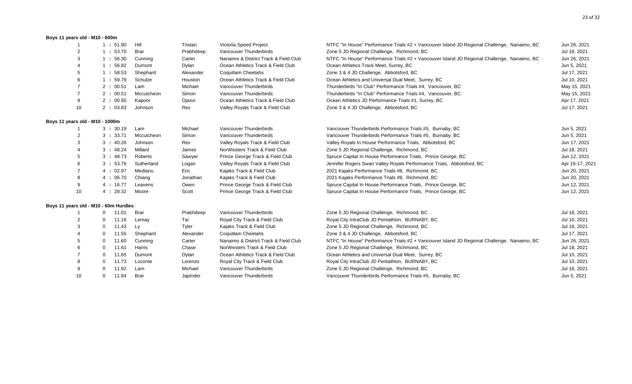#### **Boys 11 years old - M10 - 600m**

| -1                              | 1:51.90                               | Hill       | Tristan   | Victoria Speed Project                | NTFC "In House" Performance Trials #2 + Vancouver Island JD Regional Challenge, Nanaimo, BC | Jun 26, 2021    |
|---------------------------------|---------------------------------------|------------|-----------|---------------------------------------|---------------------------------------------------------------------------------------------|-----------------|
| $\overline{2}$                  | 1:53.70                               | Brar       | Prabhdeep | Vancouver Thunderbirds                | Zone 5 JD Regional Challenge, Richmond, BC                                                  | Jul 18, 2021    |
| 3                               | 1:56.30                               | Cunning    | Carter    | Nanaimo & District Track & Field Club | NTFC "In House" Performance Trials #2 + Vancouver Island JD Regional Challenge, Nanaimo, BC | Jun 26, 2021    |
|                                 | 1:56.82                               | Dumont     | Dylan     | Ocean Athletics Track & Field Club    | Ocean Athletics Track Meet, Surrey, BC                                                      | Jun 5, 2021     |
| 5                               | 1:58.53                               | Shephard   | Alexander | <b>Coquitlam Cheetahs</b>             | Zone 3 & 4 JD Challenge, Abbotsford, BC                                                     | Jul 17, 2021    |
|                                 | 1:59.78                               | Schulze    | Houston   | Ocean Athletics Track & Field Club    | Ocean Athletics and Universal Dual Meet, Surrey, BC                                         | Jul 10, 2021    |
|                                 | 2:00.51                               | Lam        | Michael   | Vancouver Thunderbirds                | Thunderbirds "In Club" Performance Trials #4, Vancouver, BC                                 | May 15, 2021    |
|                                 | 2:00.51                               | Mccutcheon | Simon     | Vancouver Thunderbirds                | Thunderbirds "In Club" Performance Trials #4, Vancouver, BC                                 | May 15, 2021    |
| 9                               | 2:00.95                               | Kapoor     | Ojasvi    | Ocean Athletics Track & Field Club    | Ocean Athletics JD Performance Trials #1, Surrey, BC                                        | Apr 17, 2021    |
| 10                              | 2:03.83                               | Johnson    | Rex       | Valley Royals Track & Field Club      | Zone 3 & 4 JD Challenge, Abbotsford, BC                                                     | Jul 17, 2021    |
| Boys 11 years old - M10 - 1000m |                                       |            |           |                                       |                                                                                             |                 |
|                                 | 3:30.19                               | Lam        | Michael   | Vancouver Thunderbirds                | Vancouver Thunderbirds Performance Trials #5, Burnaby, BC                                   | Jun 5, 2021     |
|                                 | 3:33.71                               | Mccutcheon | Simon     | Vancouver Thunderbirds                | Vancouver Thunderbirds Performance Trials #5, Burnaby, BC                                   | Jun 5, 2021     |
| 3                               | 3:40.26                               | Johnson    | Rex       | Valley Royals Track & Field Club      | Valley Royals In House Performance Trials, Abbotsford, BC                                   | Jun 17, 2021    |
|                                 | 3:48.24                               | Millard    | James     | NorWesters Track & Field Club         | Zone 5 JD Regional Challenge, Richmond, BC                                                  | Jul 18, 2021    |
|                                 | 3:48.73                               | Roberts    | Sawyer    | Prince George Track & Field Club      | Spruce Capital In House Performance Trials, Prince George, BC                               | Jun 12, 2021    |
|                                 | 3:53.76                               | Sutherland | Logan     | Valley Royals Track & Field Club      | Jennifer Rogers Swan Valley Royals Performance Trials, Abbotsford, BC                       | Apr 16-17, 2021 |
|                                 | 4:02.97                               | Medianu    | Eric      | Kajaks Track & Field Club             | 2021 Kajaks Performance Trials #8, Richmond, BC                                             | Jun 20, 2021    |
|                                 | 4:06.70                               | Chiang     | Jonathan  | Kajaks Track & Field Club             | 2021 Kajaks Performance Trials #8, Richmond, BC                                             | Jun 20, 2021    |
| 9                               | 4:16.77                               | Leavens    | Owen      | Prince George Track & Field Club      | Spruce Capital In House Performance Trials, Prince George, BC                               | Jun 12, 2021    |
| 10                              | 4:28.32                               | Moore      | Scott     | Prince George Track & Field Club      | Spruce Capital In House Performance Trials, Prince George, BC                               | Jun 12, 2021    |
|                                 | Boys 11 years old - M10 - 60m Hurdles |            |           |                                       |                                                                                             |                 |
|                                 | 11.01<br>$\mathbf{0}$                 | Brar       | Prabhdeep | Vancouver Thunderbirds                | Zone 5 JD Regional Challenge, Richmond, BC                                                  | Jul 18, 2021    |
| 2                               | 11.16<br>0                            | Lemay      | Tai       | Royal City Track & Field Club         | Royal City IntraClub JD Pentathlon, BURNABY, BC                                             | Jul 10, 2021    |
|                                 | 11.43<br>$\mathbf 0$                  | Ly         | Tyler     | Kajaks Track & Field Club             | Zone 5 JD Regional Challenge, Richmond, BC                                                  | Jul 18, 2021    |
|                                 | 11.55<br>-0                           | Shephard   | Alexander | <b>Coquitlam Cheetahs</b>             | Zone 3 & 4 JD Challenge, Abbotsford, BC                                                     | Jul 17, 2021    |
|                                 | 11.60<br>-0                           | Cunning    | Carter    | Nanaimo & District Track & Field Club | NTFC "In House" Performance Trials #2 + Vancouver Island JD Regional Challenge, Nanaimo, BC | Jun 26, 2021    |
|                                 | 11.61<br>$\mathbf 0$                  | Harris     | Chase     | NorWesters Track & Field Club         | Zone 5 JD Regional Challenge, Richmond, BC                                                  | Jul 18, 2021    |
|                                 | 11.65<br>$\Omega$                     | Dumont     | Dylan     | Ocean Athletics Track & Field Club    | Ocean Athletics and Universal Dual Meet, Surrey, BC                                         | Jul 10, 2021    |
|                                 | 11.73<br>0                            | Loconte    | Lorenzo   | Royal City Track & Field Club         | Royal City IntraClub JD Pentathlon, BURNABY, BC                                             | Jul 10, 2021    |
| 9                               | 11.92                                 | Lam        | Michael   | Vancouver Thunderbirds                | Zone 5 JD Regional Challenge, Richmond, BC                                                  | Jul 18, 2021    |
| 10                              | 11.94<br>0                            | Brar       | Japinder  | Vancouver Thunderbirds                | Vancouver Thunderbirds Performance Trials #5, Burnaby, BC                                   | Jun 5, 2021     |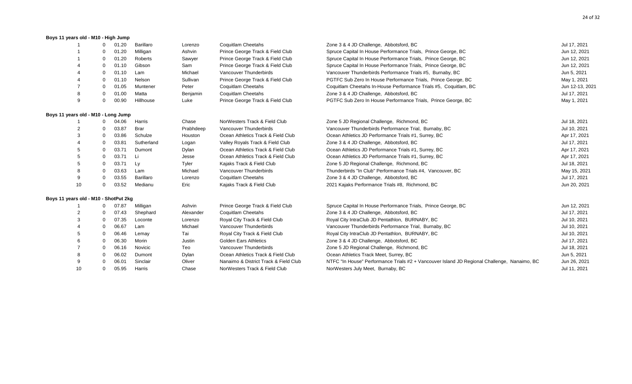### **Boys 11 years old - M10 - High Jump**

|                                       | 0           | 01.20 | Barillaro  | Lorenzo   | Coquitlam Cheetahs                    | Zone 3 & 4 JD Challenge, Abbotsford, BC                                                     | Jul 17, 2021    |
|---------------------------------------|-------------|-------|------------|-----------|---------------------------------------|---------------------------------------------------------------------------------------------|-----------------|
|                                       |             | 01.20 | Milligan   | Ashvin    | Prince George Track & Field Club      | Spruce Capital In House Performance Trials, Prince George, BC                               | Jun 12, 2021    |
|                                       |             | 01.20 | Roberts    | Sawyer    | Prince George Track & Field Club      | Spruce Capital In House Performance Trials, Prince George, BC                               | Jun 12, 2021    |
|                                       |             | 01.10 | Gibson     | Sam       | Prince George Track & Field Club      | Spruce Capital In House Performance Trials, Prince George, BC                               | Jun 12, 2021    |
|                                       |             | 01.10 | Lam        | Michael   | Vancouver Thunderbirds                | Vancouver Thunderbirds Performance Trials #5, Burnaby, BC                                   | Jun 5, 2021     |
|                                       | $\Omega$    | 01.10 | Nelson     | Sullivan  | Prince George Track & Field Club      | PGTFC Sub Zero In House Performance Trials, Prince George, BC                               | May 1, 2021     |
|                                       | 0           | 01.05 | Muntener   | Peter     | Coquitlam Cheetahs                    | Coquitlam Cheetahs In-House Performance Trials #5, Coquitlam, BC                            | Jun 12-13, 2021 |
| 8                                     | ∩           | 01.00 | Matta      | Benjamin  | Coquitlam Cheetahs                    | Zone 3 & 4 JD Challenge, Abbotsford, BC                                                     | Jul 17, 2021    |
| 9                                     | $\Omega$    | 00.90 | Hillhouse  | Luke      | Prince George Track & Field Club      | PGTFC Sub Zero In House Performance Trials, Prince George, BC                               | May 1, 2021     |
| Boys 11 years old - M10 - Long Jump   |             |       |            |           |                                       |                                                                                             |                 |
|                                       | 0           | 04.06 | Harris     | Chase     | NorWesters Track & Field Club         | Zone 5 JD Regional Challenge, Richmond, BC                                                  | Jul 18, 2021    |
|                                       |             | 03.87 | Brar       | Prabhdeep | Vancouver Thunderbirds                | Vancouver Thunderbirds Performance Trial, Burnaby, BC                                       | Jul 10, 2021    |
|                                       | $\Omega$    | 03.86 | Schulze    | Houston   | Ocean Athletics Track & Field Club    | Ocean Athletics JD Performance Trials #1, Surrey, BC                                        | Apr 17, 2021    |
|                                       | $\Omega$    | 03.81 | Sutherland | Logan     | Valley Royals Track & Field Club      | Zone 3 & 4 JD Challenge, Abbotsford, BC                                                     | Jul 17, 2021    |
|                                       |             | 03.71 | Dumont     | Dylan     | Ocean Athletics Track & Field Club    | Ocean Athletics JD Performance Trials #1, Surrey, BC                                        | Apr 17, 2021    |
|                                       | $\Omega$    | 03.71 | Li         | Jesse     | Ocean Athletics Track & Field Club    | Ocean Athletics JD Performance Trials #1, Surrey, BC                                        | Apr 17, 2021    |
|                                       | $\Omega$    | 03.71 | Ly         | Tyler     | Kajaks Track & Field Club             | Zone 5 JD Regional Challenge, Richmond, BC                                                  | Jul 18, 2021    |
|                                       | 0           | 03.63 | Lam        | Michael   | Vancouver Thunderbirds                | Thunderbirds "In Club" Performance Trials #4, Vancouver, BC                                 | May 15, 2021    |
| 9                                     | 0           | 03.55 | Barillaro  | Lorenzo   | Coquitlam Cheetahs                    | Zone 3 & 4 JD Challenge, Abbotsford, BC                                                     | Jul 17, 2021    |
| 10                                    | $\mathbf 0$ | 03.52 | Medianu    | Eric      | Kajaks Track & Field Club             | 2021 Kajaks Performance Trials #8, Richmond, BC                                             | Jun 20, 2021    |
| Boys 11 years old - M10 - ShotPut 2kg |             |       |            |           |                                       |                                                                                             |                 |
|                                       |             | 07.87 | Milligan   | Ashvin    | Prince George Track & Field Club      | Spruce Capital In House Performance Trials, Prince George, BC                               | Jun 12, 2021    |
|                                       |             | 07.43 | Shephard   | Alexander | <b>Coquitlam Cheetahs</b>             | Zone 3 & 4 JD Challenge, Abbotsford, BC                                                     | Jul 17, 2021    |
|                                       | $\Omega$    | 07.35 | Loconte    | Lorenzo   | Royal City Track & Field Club         | Royal City IntraClub JD Pentathlon, BURNABY, BC                                             | Jul 10, 2021    |
|                                       | 0           | 06.67 | Lam        | Michael   | Vancouver Thunderbirds                | Vancouver Thunderbirds Performance Trial, Burnaby, BC                                       | Jul 10, 2021    |
|                                       | $\Omega$    | 06.46 | Lemay      | Tai       | Royal City Track & Field Club         | Royal City IntraClub JD Pentathlon, BURNABY, BC                                             | Jul 10, 2021    |
|                                       | $\Omega$    | 06.30 | Morin      | Justin    | <b>Golden Ears Athletics</b>          | Zone 3 & 4 JD Challenge, Abbotsford, BC                                                     | Jul 17, 2021    |
|                                       | 0           | 06.16 | Novicic    | Teo       | Vancouver Thunderbirds                | Zone 5 JD Regional Challenge, Richmond, BC                                                  | Jul 18, 2021    |
|                                       |             | 06.02 | Dumont     | Dylan     | Ocean Athletics Track & Field Club    | Ocean Athletics Track Meet, Surrey, BC                                                      | Jun 5, 2021     |
| 9                                     |             | 06.01 | Sinclair   | Oliver    | Nanaimo & District Track & Field Club | NTFC "In House" Performance Trials #2 + Vancouver Island JD Regional Challenge, Nanaimo, BC | Jun 26, 2021    |
| 10                                    | $\Omega$    | 05.95 | Harris     | Chase     | NorWesters Track & Field Club         | NorWesters July Meet, Burnaby, BC                                                           | Jul 11, 2021    |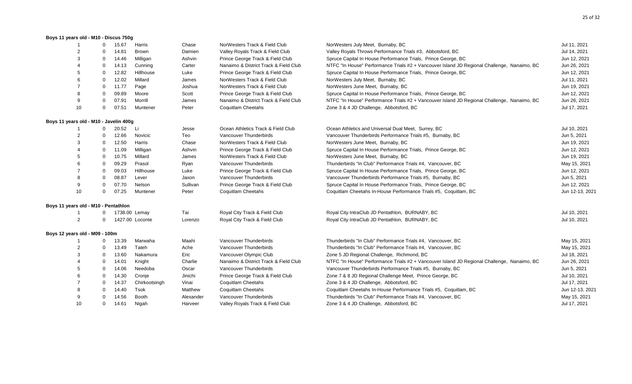#### **Boys 11 years old - M10 - Discus 750g**

|                                        | 0           | 15.67 | Harris          | Chase     | NorWesters Track & Field Club         | NorWesters July Meet, Burnaby, BC                                                           | Jul 11, 2021    |
|----------------------------------------|-------------|-------|-----------------|-----------|---------------------------------------|---------------------------------------------------------------------------------------------|-----------------|
|                                        | $\Omega$    | 14.81 | Brown           | Damien    | Valley Royals Track & Field Club      | Valley Royals Throws Performance Trials #3, Abbotsford, BC                                  | Jul 14, 2021    |
|                                        | $\Omega$    | 14.46 | Milligan        | Ashvin    | Prince George Track & Field Club      | Spruce Capital In House Performance Trials, Prince George, BC                               | Jun 12, 2021    |
|                                        | $\Omega$    | 14.13 | Cunning         | Carter    | Nanaimo & District Track & Field Club | NTFC "In House" Performance Trials #2 + Vancouver Island JD Regional Challenge, Nanaimo, BC | Jun 26, 2021    |
| 5                                      | $\Omega$    | 12.82 | Hillhouse       | Luke      | Prince George Track & Field Club      | Spruce Capital In House Performance Trials, Prince George, BC                               | Jun 12, 2021    |
| 6                                      | $\Omega$    | 12.02 | Millard         | James     | NorWesters Track & Field Club         | NorWesters July Meet, Burnaby, BC                                                           | Jul 11, 2021    |
|                                        | $\mathbf 0$ | 11.77 | Page            | Joshua    | NorWesters Track & Field Club         | NorWesters June Meet, Burnaby, BC                                                           | Jun 19, 2021    |
| 8                                      | $\Omega$    | 09.89 | Moore           | Scott     | Prince George Track & Field Club      | Spruce Capital In House Performance Trials, Prince George, BC                               | Jun 12, 2021    |
| 9                                      | $\Omega$    | 07.91 | Morrill         | James     | Nanaimo & District Track & Field Club | NTFC "In House" Performance Trials #2 + Vancouver Island JD Regional Challenge, Nanaimo, BC | Jun 26, 2021    |
| 10                                     | $\mathbf 0$ | 07.51 | Muntener        | Peter     | <b>Coquitlam Cheetahs</b>             | Zone 3 & 4 JD Challenge, Abbotsford, BC                                                     | Jul 17, 2021    |
| Boys 11 years old - M10 - Javelin 400g |             |       |                 |           |                                       |                                                                                             |                 |
|                                        | $\Omega$    | 20.52 | Li              | Jesse     | Ocean Athletics Track & Field Club    | Ocean Athletics and Universal Dual Meet, Surrey, BC                                         | Jul 10, 2021    |
|                                        | $\Omega$    | 12.66 | Novicic         | Teo       | Vancouver Thunderbirds                | Vancouver Thunderbirds Performance Trials #5, Burnaby, BC                                   | Jun 5, 2021     |
| 3                                      | $\mathbf 0$ | 12.50 | Harris          | Chase     | NorWesters Track & Field Club         | NorWesters June Meet, Burnaby, BC                                                           | Jun 19, 2021    |
|                                        | $\mathbf 0$ | 11.09 | Milligan        | Ashvin    | Prince George Track & Field Club      | Spruce Capital In House Performance Trials, Prince George, BC                               | Jun 12, 2021    |
|                                        | $\Omega$    | 10.75 | Millard         | James     | NorWesters Track & Field Club         | NorWesters June Meet, Burnaby, BC                                                           | Jun 19, 2021    |
|                                        | $\Omega$    | 09.29 | Prasol          | Ryan      | Vancouver Thunderbirds                | Thunderbirds "In Club" Performance Trials #4, Vancouver, BC                                 | May 15, 2021    |
|                                        | $\Omega$    | 09.03 | Hillhouse       | Luke      | Prince George Track & Field Club      | Spruce Capital In House Performance Trials, Prince George, BC                               | Jun 12, 2021    |
|                                        | $\Omega$    | 08.87 | Lever           | Jaxon     | Vancouver Thunderbirds                | Vancouver Thunderbirds Performance Trials #5, Burnaby, BC                                   | Jun 5, 2021     |
| 9                                      | $\Omega$    | 07.70 | Nelson          | Sullivan  | Prince George Track & Field Club      | Spruce Capital In House Performance Trials, Prince George, BC                               | Jun 12, 2021    |
| 10                                     | $\Omega$    | 07.25 | Muntener        | Peter     | <b>Coquitlam Cheetahs</b>             | Coquitlam Cheetahs In-House Performance Trials #5, Coquitlam, BC                            | Jun 12-13, 2021 |
| Boys 11 years old - M10 - Pentathlon   |             |       |                 |           |                                       |                                                                                             |                 |
|                                        |             |       | 1738.00 Lemay   | Tai       | Royal City Track & Field Club         | Royal City IntraClub JD Pentathlon, BURNABY, BC                                             | Jul 10, 2021    |
| 2                                      |             |       | 1427.00 Loconte | Lorenzo   | Royal City Track & Field Club         | Royal City IntraClub JD Pentathlon, BURNABY, BC                                             | Jul 10, 2021    |
| Boys 12 years old - M09 - 100m         |             |       |                 |           |                                       |                                                                                             |                 |
|                                        | 0           | 13.39 | Marwaha         | Maahi     | Vancouver Thunderbirds                | Thunderbirds "In Club" Performance Trials #4, Vancouver, BC                                 | May 15, 2021    |
| 2                                      | $\mathbf 0$ | 13.49 | Tateh           | Ache      | Vancouver Thunderbirds                | Thunderbirds "In Club" Performance Trials #4, Vancouver, BC                                 | May 15, 2021    |
| 3                                      | $\mathbf 0$ | 13.60 | Nakamura        | Eric      | Vancouver Olympic Club                | Zone 5 JD Regional Challenge, Richmond, BC                                                  | Jul 18, 2021    |
|                                        | $\mathbf 0$ | 14.01 | Knight          | Charlie   | Nanaimo & District Track & Field Club | NTFC "In House" Performance Trials #2 + Vancouver Island JD Regional Challenge, Nanaimo, BC | Jun 26, 2021    |
|                                        | $\mathbf 0$ | 14.06 | Needoba         | Oscar     | Vancouver Thunderbirds                | Vancouver Thunderbirds Performance Trials #5, Burnaby, BC                                   | Jun 5, 2021     |
|                                        | $\mathbf 0$ | 14.30 | Cronje          | Jinichi   | Prince George Track & Field Club      | Zone 7 & 8 JD Regional Challenge Meet, Prince George, BC                                    | Jul 10, 2021    |
|                                        | 0           | 14.37 | Chirkootsingh   | Vinai     | Coquitlam Cheetahs                    | Zone 3 & 4 JD Challenge, Abbotsford, BC                                                     | Jul 17, 2021    |
|                                        | $\Omega$    | 14.40 | Tsok            | Matthew   | <b>Coquitlam Cheetahs</b>             | Coquitlam Cheetahs In-House Performance Trials #5, Coquitlam, BC                            | Jun 12-13, 2021 |
|                                        | $\Omega$    | 14.56 | Booth           | Alexander | Vancouver Thunderbirds                | Thunderbirds "In Club" Performance Trials #4, Vancouver, BC                                 | May 15, 2021    |
| 10                                     | 0           | 14.61 | Nigah           | Harveer   | Valley Royals Track & Field Club      | Zone 3 & 4 JD Challenge, Abbotsford, BC                                                     | Jul 17, 2021    |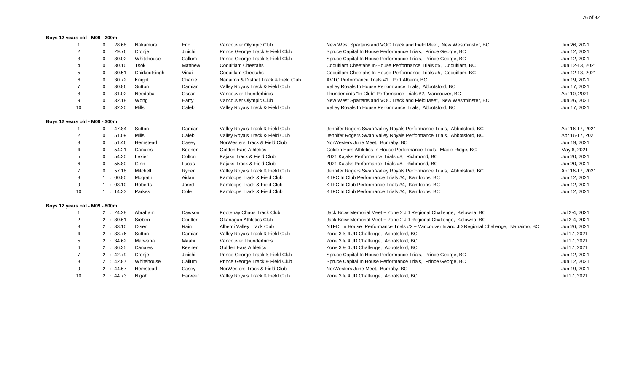#### **Boys 12 years old - M09 - 200m**

|                                | 28.68<br>0           | Nakamura      | Eric    | Vancouver Olympic Club                | New West Spartans and VOC Track and Field Meet, New Westminster, BC                         | Jun 26, 2021    |
|--------------------------------|----------------------|---------------|---------|---------------------------------------|---------------------------------------------------------------------------------------------|-----------------|
|                                | 29.76                | Cronje        | Jinichi | Prince George Track & Field Club      | Spruce Capital In House Performance Trials, Prince George, BC                               | Jun 12, 2021    |
|                                | 30.02<br>$\Omega$    | Whitehouse    | Callum  | Prince George Track & Field Club      | Spruce Capital In House Performance Trials, Prince George, BC                               | Jun 12, 2021    |
|                                | 30.10<br>$\Omega$    | Tsok          | Matthew | Coquitlam Cheetahs                    | Coquitlam Cheetahs In-House Performance Trials #5, Coquitlam, BC                            | Jun 12-13, 2021 |
| 5                              | 30.51<br>$\Omega$    | Chirkootsingh | Vinai   | Coquitlam Cheetahs                    | Coquitlam Cheetahs In-House Performance Trials #5, Coquitlam, BC                            | Jun 12-13, 2021 |
|                                | 30.72<br>$\Omega$    | Knight        | Charlie | Nanaimo & District Track & Field Club | AVTC Performance Trials #1, Port Alberni, BC                                                | Jun 19, 2021    |
|                                | 30.86<br>$\Omega$    | Sutton        | Damian  | Valley Royals Track & Field Club      | Valley Royals In House Performance Trials, Abbotsford, BC                                   | Jun 17, 2021    |
| 8                              | 31.02<br>0           | Needoba       | Oscar   | Vancouver Thunderbirds                | Thunderbirds "In Club" Performance Trials #2, Vancouver, BC                                 | Apr 10, 2021    |
| 9                              | 32.18<br>$\Omega$    | Wong          | Harry   | Vancouver Olympic Club                | New West Spartans and VOC Track and Field Meet, New Westminster, BC                         | Jun 26, 2021    |
| 10                             | 32.20<br>0           | Mills         | Caleb   | Valley Royals Track & Field Club      | Valley Royals In House Performance Trials, Abbotsford, BC                                   | Jun 17, 2021    |
| Boys 12 years old - M09 - 300m |                      |               |         |                                       |                                                                                             |                 |
|                                | 47.84<br>0           | Sutton        | Damian  | Valley Royals Track & Field Club      | Jennifer Rogers Swan Valley Royals Performance Trials, Abbotsford, BC                       | Apr 16-17, 2021 |
|                                | 51.09                | Mills         | Caleb   | Valley Royals Track & Field Club      | Jennifer Rogers Swan Valley Royals Performance Trials, Abbotsford, BC                       | Apr 16-17, 2021 |
| 3                              | 51.46<br>$\Omega$    | Hemstead      | Casey   | NorWesters Track & Field Club         | NorWesters June Meet, Burnaby, BC                                                           | Jun 19, 2021    |
|                                | 54.21<br>0           | Canales       | Keenen  | <b>Golden Ears Athletics</b>          | Golden Ears Athletics In House Performance Trials, Maple Ridge, BC                          | May 8, 2021     |
|                                | 54.30<br>$\Omega$    | Lexier        | Colton  | Kajaks Track & Field Club             | 2021 Kajaks Performance Trials #8, Richmond, BC                                             | Jun 20, 2021    |
|                                | 55.80<br>$\mathbf 0$ | Ginn          | Lucas   | Kajaks Track & Field Club             | 2021 Kajaks Performance Trials #8, Richmond, BC                                             | Jun 20, 2021    |
|                                | 57.18<br>$\mathbf 0$ | Mitchell      | Ryder   | Valley Royals Track & Field Club      | Jennifer Rogers Swan Valley Royals Performance Trials, Abbotsford, BC                       | Apr 16-17, 2021 |
|                                | 1:00.80              | Mcgrath       | Aidan   | Kamloops Track & Field Club           | KTFC In Club Performance Trials #4, Kamloops, BC                                            | Jun 12, 2021    |
| 9                              | 1:03.10              | Roberts       | Jared   | Kamloops Track & Field Club           | KTFC In Club Performance Trials #4, Kamloops, BC                                            | Jun 12, 2021    |
| 10                             | 1:14.33              | Parkes        | Cole    | Kamloops Track & Field Club           | KTFC In Club Performance Trials #4, Kamloops, BC                                            | Jun 12, 2021    |
| Boys 12 years old - M09 - 800m |                      |               |         |                                       |                                                                                             |                 |
|                                | 2:24.28              | Abraham       | Dawson  | Kootenay Chaos Track Club             | Jack Brow Memorial Meet + Zone 2 JD Regional Challenge, Kelowna, BC                         | Jul 2-4, 2021   |
| 2                              | 30.61<br>2:          | Sieben        | Coulter | Okanagan Athletics Club               | Jack Brow Memorial Meet + Zone 2 JD Regional Challenge, Kelowna, BC                         | Jul 2-4, 2021   |
| 3                              | 2:33.10              | Olsen         | Rain    | Alberni Valley Track Club             | NTFC "In House" Performance Trials #2 + Vancouver Island JD Regional Challenge, Nanaimo, BC | Jun 26, 2021    |
|                                | 2:33.76              | Sutton        | Damian  | Valley Royals Track & Field Club      | Zone 3 & 4 JD Challenge, Abbotsford, BC                                                     | Jul 17, 2021    |
|                                | 2:34.62              | Marwaha       | Maahi   | Vancouver Thunderbirds                | Zone 3 & 4 JD Challenge, Abbotsford, BC                                                     | Jul 17, 2021    |
|                                | 2:36.35              | Canales       | Keenen  | <b>Golden Ears Athletics</b>          | Zone 3 & 4 JD Challenge, Abbotsford, BC                                                     | Jul 17, 2021    |
|                                | 2:42.79              | Cronje        | Jinichi | Prince George Track & Field Club      | Spruce Capital In House Performance Trials, Prince George, BC                               | Jun 12, 2021    |
|                                | 2:42.87              | Whitehouse    | Callum  | Prince George Track & Field Club      | Spruce Capital In House Performance Trials, Prince George, BC                               | Jun 12, 2021    |
| 9                              | 2:44.67              | Hemstead      | Casey   | NorWesters Track & Field Club         | NorWesters June Meet, Burnaby, BC                                                           | Jun 19, 2021    |
| 10                             | 2:44.73              | Nigah         | Harveer | Valley Royals Track & Field Club      | Zone 3 & 4 JD Challenge, Abbotsford, BC                                                     | Jul 17, 2021    |
|                                |                      |               |         |                                       |                                                                                             |                 |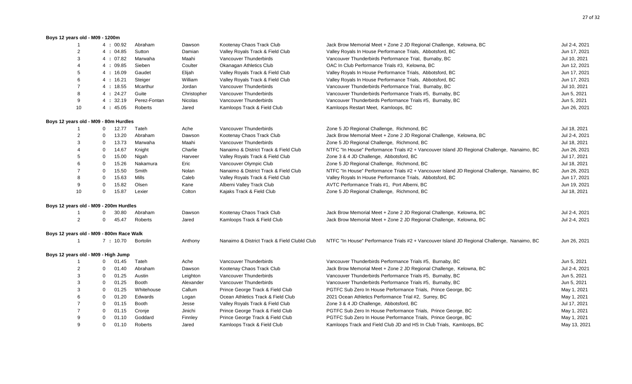#### **Boys 12 years old - M09 - 1200m**

| -1                                       |              | 4:00.92 | Abraham      | Dawson      | Kootenay Chaos Track Club                    | Jack Brow Memorial Meet + Zone 2 JD Regional Challenge, Kelowna, BC                         | Jul 2-4, 2021 |
|------------------------------------------|--------------|---------|--------------|-------------|----------------------------------------------|---------------------------------------------------------------------------------------------|---------------|
| $\overline{2}$                           |              | 4:04.85 | Sutton       | Damian      | Valley Royals Track & Field Club             | Valley Royals In House Performance Trials, Abbotsford, BC                                   | Jun 17, 2021  |
| 3                                        |              | 4:07.82 | Marwaha      | Maahi       | Vancouver Thunderbirds                       | Vancouver Thunderbirds Performance Trial, Burnaby, BC                                       | Jul 10, 2021  |
|                                          |              | 4:09.85 | Sieben       | Coulter     | Okanagan Athletics Club                      | OAC In Club Performance Trials #3, Kelowna, BC                                              | Jun 12, 2021  |
| 5                                        |              | 4:16.09 | Gaudet       | Elijah      | Valley Royals Track & Field Club             | Valley Royals In House Performance Trials, Abbotsford, BC                                   | Jun 17, 2021  |
|                                          |              | 4:16.21 | Steiger      | William     | Valley Royals Track & Field Club             | Valley Royals In House Performance Trials, Abbotsford, BC                                   | Jun 17, 2021  |
|                                          |              | 4:18.55 | Mcarthur     | Jordan      | Vancouver Thunderbirds                       | Vancouver Thunderbirds Performance Trial, Burnaby, BC                                       | Jul 10, 2021  |
| 8                                        |              | 4:24.27 | Guite        | Christopher | Vancouver Thunderbirds                       | Vancouver Thunderbirds Performance Trials #5, Burnaby, BC                                   | Jun 5, 2021   |
| 9                                        |              | 4:32.19 | Perez-Fontan | Nicolas     | Vancouver Thunderbirds                       | Vancouver Thunderbirds Performance Trials #5, Burnaby, BC                                   | Jun 5, 2021   |
| 10                                       |              | 4:45.05 | Roberts      | Jared       | Kamloops Track & Field Club                  | Kamloops Restart Meet, Kamloops, BC                                                         | Jun 26, 2021  |
| Boys 12 years old - M09 - 80m Hurdles    |              |         |              |             |                                              |                                                                                             |               |
|                                          | $\mathbf{0}$ | 12.77   | Tateh        | Ache        | Vancouver Thunderbirds                       | Zone 5 JD Regional Challenge, Richmond, BC                                                  | Jul 18, 2021  |
| $\overline{2}$                           | 0            | 13.20   | Abraham      | Dawson      | Kootenay Chaos Track Club                    | Jack Brow Memorial Meet + Zone 2 JD Regional Challenge, Kelowna, BC                         | Jul 2-4, 2021 |
| 3                                        | $\mathbf 0$  | 13.73   | Marwaha      | Maahi       | Vancouver Thunderbirds                       | Zone 5 JD Regional Challenge, Richmond, BC                                                  | Jul 18, 2021  |
|                                          | 0            | 14.67   | Knight       | Charlie     | Nanaimo & District Track & Field Club        | NTFC "In House" Performance Trials #2 + Vancouver Island JD Regional Challenge, Nanaimo, BC | Jun 26, 2021  |
|                                          | 0            | 15.00   | Nigah        | Harveer     | Valley Royals Track & Field Club             | Zone 3 & 4 JD Challenge, Abbotsford, BC                                                     | Jul 17, 2021  |
|                                          | 0            | 15.26   | Nakamura     | Eric        | Vancouver Olympic Club                       | Zone 5 JD Regional Challenge, Richmond, BC                                                  | Jul 18, 2021  |
|                                          | 0            | 15.50   | Smith        | Nolan       | Nanaimo & District Track & Field Club        | NTFC "In House" Performance Trials #2 + Vancouver Island JD Regional Challenge, Nanaimo, BC | Jun 26, 2021  |
|                                          | $\mathbf 0$  | 15.63   | Mills        | Caleb       | Valley Royals Track & Field Club             | Valley Royals In House Performance Trials, Abbotsford, BC                                   | Jun 17, 2021  |
| 9                                        | $\Omega$     | 15.82   | Olsen        | Kane        | Alberni Valley Track Club                    | AVTC Performance Trials #1, Port Alberni, BC                                                | Jun 19, 2021  |
| 10                                       | 0            | 15.87   | Lexier       | Colton      | Kajaks Track & Field Club                    | Zone 5 JD Regional Challenge, Richmond, BC                                                  | Jul 18, 2021  |
| Boys 12 years old - M09 - 200m Hurdles   |              |         |              |             |                                              |                                                                                             |               |
|                                          | 0            | 30.80   | Abraham      | Dawson      | Kootenay Chaos Track Club                    | Jack Brow Memorial Meet + Zone 2 JD Regional Challenge, Kelowna, BC                         | Jul 2-4, 2021 |
| $\overline{2}$                           | $\mathbf 0$  | 45.47   | Roberts      | Jared       | Kamloops Track & Field Club                  | Jack Brow Memorial Meet + Zone 2 JD Regional Challenge, Kelowna, BC                         | Jul 2-4, 2021 |
| Boys 12 years old - M09 - 800m Race Walk |              |         |              |             |                                              |                                                                                             |               |
| -1                                       |              | 7:10.70 | Bortolin     | Anthony     | Nanaimo & District Track & Field Clubld Club | NTFC "In House" Performance Trials #2 + Vancouver Island JD Regional Challenge, Nanaimo, BC | Jun 26, 2021  |
| Boys 12 years old - M09 - High Jump      |              |         |              |             |                                              |                                                                                             |               |
|                                          | 0            | 01.45   | Tateh        | Ache        | Vancouver Thunderbirds                       | Vancouver Thunderbirds Performance Trials #5, Burnaby, BC                                   | Jun 5, 2021   |
| $\overline{2}$                           | 0            | 01.40   | Abraham      | Dawson      | Kootenay Chaos Track Club                    | Jack Brow Memorial Meet + Zone 2 JD Regional Challenge, Kelowna, BC                         | Jul 2-4, 2021 |
| 3                                        | $\mathbf 0$  | 01.25   | Austin       | Leighton    | Vancouver Thunderbirds                       | Vancouver Thunderbirds Performance Trials #5, Burnaby, BC                                   | Jun 5, 2021   |
| 3                                        | 0            | 01.25   | <b>Booth</b> | Alexander   | Vancouver Thunderbirds                       | Vancouver Thunderbirds Performance Trials #5, Burnaby, BC                                   | Jun 5, 2021   |
| 3                                        | 0            | 01.25   | Whitehouse   | Callum      | Prince George Track & Field Club             | PGTFC Sub Zero In House Performance Trials, Prince George, BC                               | May 1, 2021   |
|                                          | $\mathbf 0$  | 01.20   | Edwards      | Logan       | Ocean Athletics Track & Field Club           | 2021 Ocean Athletics Performance Trial #2, Surrey, BC                                       | May 1, 2021   |
|                                          | 0            | 01.15   | Booth        | Jesse       | Valley Royals Track & Field Club             | Zone 3 & 4 JD Challenge, Abbotsford, BC                                                     | Jul 17, 2021  |
|                                          | 0            | 01.15   | Cronje       | Jinichi     | Prince George Track & Field Club             | PGTFC Sub Zero In House Performance Trials, Prince George, BC                               | May 1, 2021   |
|                                          | $\Omega$     | 01.10   | Goddard      | Finnley     | Prince George Track & Field Club             | PGTFC Sub Zero In House Performance Trials, Prince George, BC                               | May 1, 2021   |
| q                                        | $\Omega$     | 01.10   | Roberts      | Jared       | Kamloops Track & Field Club                  | Kamloops Track and Field Club JD and HS In Club Trials, Kamloops, BC                        | May 13, 2021  |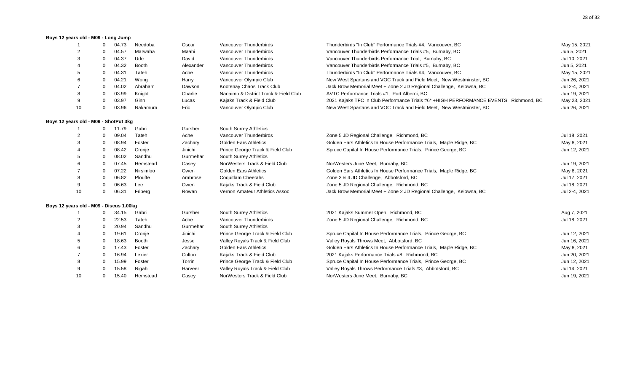#### **Boys 12 years old - M09 - Long Jump**

|                                         | $\Omega$ | 04.73 | Needoba      | Oscar     | Vancouver Thunderbirds                | Thunderbirds "In Club" Performance Trials #4, Vancouver, BC                           | May 15, 2021  |
|-----------------------------------------|----------|-------|--------------|-----------|---------------------------------------|---------------------------------------------------------------------------------------|---------------|
|                                         |          | 04.57 | Marwaha      | Maahi     | Vancouver Thunderbirds                | Vancouver Thunderbirds Performance Trials #5, Burnaby, BC                             | Jun 5, 2021   |
|                                         | $\Omega$ | 04.37 | Ude          | David     | Vancouver Thunderbirds                | Vancouver Thunderbirds Performance Trial, Burnaby, BC                                 | Jul 10, 2021  |
|                                         | 0        | 04.32 | <b>Booth</b> | Alexander | Vancouver Thunderbirds                | Vancouver Thunderbirds Performance Trials #5, Burnaby, BC                             | Jun 5, 2021   |
|                                         | $\Omega$ | 04.31 | Tateh        | Ache      | Vancouver Thunderbirds                | Thunderbirds "In Club" Performance Trials #4, Vancouver, BC                           | May 15, 2021  |
|                                         | $\Omega$ | 04.21 | Wong         | Harry     | Vancouver Olympic Club                | New West Spartans and VOC Track and Field Meet, New Westminster, BC                   | Jun 26, 2021  |
|                                         |          | 04.02 | Abraham      | Dawson    | Kootenay Chaos Track Club             | Jack Brow Memorial Meet + Zone 2 JD Regional Challenge, Kelowna, BC                   | Jul 2-4, 2021 |
|                                         | 0        | 03.99 | Knight       | Charlie   | Nanaimo & District Track & Field Club | AVTC Performance Trials #1, Port Alberni, BC                                          | Jun 19, 2021  |
| 9                                       | $\Omega$ | 03.97 | Ginn         | Lucas     | Kajaks Track & Field Club             | 2021 Kajaks TFC In Club Performance Trials #6* +HIGH PERFORMANCE EVENTS, Richmond, BC | May 23, 2021  |
| 10                                      | $\Omega$ | 03.96 | Nakamura     | Eric      | Vancouver Olympic Club                | New West Spartans and VOC Track and Field Meet, New Westminster, BC                   | Jun 26, 2021  |
| Boys 12 years old - M09 - ShotPut 3kg   |          |       |              |           |                                       |                                                                                       |               |
|                                         |          | 11.79 | Gabri        | Gursher   | South Surrey Athletics                |                                                                                       |               |
|                                         |          | 09.04 | Tateh        | Ache      | Vancouver Thunderbirds                | Zone 5 JD Regional Challenge, Richmond, BC                                            | Jul 18, 2021  |
|                                         | $\Omega$ | 08.94 | Foster       | Zachary   | <b>Golden Ears Athletics</b>          | Golden Ears Athletics In House Performance Trials, Maple Ridge, BC                    | May 8, 2021   |
|                                         |          | 08.42 | Cronje       | Jinichi   | Prince George Track & Field Club      | Spruce Capital In House Performance Trials, Prince George, BC                         | Jun 12, 2021  |
|                                         | $\Omega$ | 08.02 | Sandhu       | Gurmehar  | South Surrey Athletics                |                                                                                       |               |
|                                         | $\Omega$ | 07.45 | Hemstead     | Casey     | NorWesters Track & Field Club         | NorWesters June Meet, Burnaby, BC                                                     | Jun 19, 2021  |
|                                         | $\Omega$ | 07.22 | Nirsimloo    | Owen      | <b>Golden Ears Athletics</b>          | Golden Ears Athletics In House Performance Trials, Maple Ridge, BC                    | May 8, 2021   |
|                                         | $\Omega$ | 06.82 | Plouffe      | Ambrose   | <b>Coquitlam Cheetahs</b>             | Zone 3 & 4 JD Challenge, Abbotsford, BC                                               | Jul 17, 2021  |
| 9                                       |          | 06.63 | Lee          | Owen      | Kajaks Track & Field Club             | Zone 5 JD Regional Challenge, Richmond, BC                                            | Jul 18, 2021  |
| 10                                      | $\Omega$ | 06.31 | Friberg      | Rowan     | Vernon Amateur Athletics Assoc        | Jack Brow Memorial Meet + Zone 2 JD Regional Challenge, Kelowna, BC                   | Jul 2-4, 2021 |
| Boys 12 years old - M09 - Discus 1.00kg |          |       |              |           |                                       |                                                                                       |               |
|                                         |          | 34.15 | Gabri        | Gursher   | South Surrey Athletics                | 2021 Kajaks Summer Open, Richmond, BC                                                 | Aug 7, 2021   |
| 2                                       | $\Omega$ | 22.53 | Tateh        | Ache      | Vancouver Thunderbirds                | Zone 5 JD Regional Challenge, Richmond, BC                                            | Jul 18, 2021  |
|                                         | $\Omega$ | 20.94 | Sandhu       | Gurmehar  | South Surrey Athletics                |                                                                                       |               |
|                                         | $\Omega$ | 19.61 | Cronje       | Jinichi   | Prince George Track & Field Club      | Spruce Capital In House Performance Trials, Prince George, BC                         | Jun 12, 2021  |
|                                         | 0        | 18.63 | Booth        | Jesse     | Valley Royals Track & Field Club      | Valley Royals Throws Meet, Abbotsford, BC                                             | Jun 16, 2021  |
|                                         | $\Omega$ | 17.43 | Foster       | Zachary   | <b>Golden Ears Athletics</b>          | Golden Ears Athletics In House Performance Trials, Maple Ridge, BC                    | May 8, 2021   |
|                                         | 0        | 16.94 | Lexier       | Colton    | Kajaks Track & Field Club             | 2021 Kajaks Performance Trials #8, Richmond, BC                                       | Jun 20, 2021  |
|                                         | $\Omega$ | 15.99 | Foster       | Torrin    | Prince George Track & Field Club      | Spruce Capital In House Performance Trials, Prince George, BC                         | Jun 12, 2021  |
| 9                                       |          | 15.58 | Nigah        | Harveer   | Valley Royals Track & Field Club      | Valley Royals Throws Performance Trials #3, Abbotsford, BC                            | Jul 14, 2021  |
| 10                                      | $\Omega$ | 15.40 | Hemstead     | Casey     | NorWesters Track & Field Club         | NorWesters June Meet, Burnaby, BC                                                     | Jun 19, 2021  |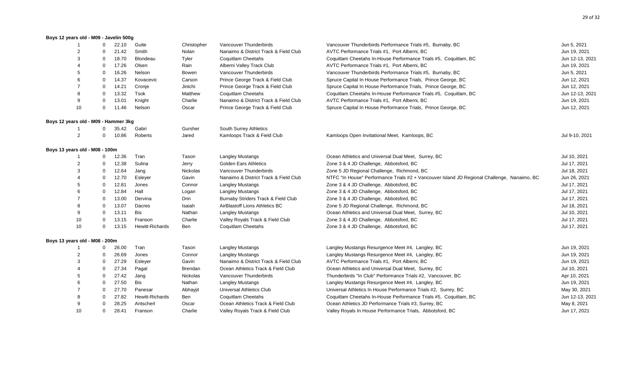#### **Boys 12 years old - M09 - Javelin 500g**

| 1                                    | 0            | 22.10 | Guite           | Christopher     | Vancouver Thunderbirds                | Vancouver Thunderbirds Performance Trials #5, Burnaby, BC                                   | Jun 5, 2021     |
|--------------------------------------|--------------|-------|-----------------|-----------------|---------------------------------------|---------------------------------------------------------------------------------------------|-----------------|
| $\overline{2}$                       | $\Omega$     | 21.42 | Smith           | Nolan           | Nanaimo & District Track & Field Club | AVTC Performance Trials #1, Port Alberni, BC                                                | Jun 19, 2021    |
| 3                                    | $\Omega$     | 18.70 | Blondeau        | Tyler           | <b>Coquitlam Cheetahs</b>             | Coquitlam Cheetahs In-House Performance Trials #5, Coquitlam, BC                            | Jun 12-13, 2021 |
|                                      | 0            | 17.26 | Olsen           | Rain            | Alberni Valley Track Club             | AVTC Performance Trials #1, Port Alberni, BC                                                | Jun 19, 2021    |
| 5                                    | $\Omega$     | 16.26 | Nelson          | Bowen           | Vancouver Thunderbirds                | Vancouver Thunderbirds Performance Trials #5, Burnaby, BC                                   | Jun 5, 2021     |
| 6                                    | $\Omega$     | 14.37 | Kovacevic       | Carson          | Prince George Track & Field Club      | Spruce Capital In House Performance Trials, Prince George, BC                               | Jun 12, 2021    |
|                                      | $\Omega$     | 14.21 | Cronje          | Jinichi         | Prince George Track & Field Club      | Spruce Capital In House Performance Trials, Prince George, BC                               | Jun 12, 2021    |
| 8                                    | $\Omega$     | 13.32 | Tsok            | Matthew         | Coquitlam Cheetahs                    | Coquitlam Cheetahs In-House Performance Trials #5, Coquitlam, BC                            | Jun 12-13, 2021 |
| 9                                    | 0            | 13.01 | Knight          | Charlie         | Nanaimo & District Track & Field Club | AVTC Performance Trials #1, Port Alberni, BC                                                | Jun 19, 2021    |
| 10                                   | 0            | 11.46 | Nelson          | Oscar           | Prince George Track & Field Club      | Spruce Capital In House Performance Trials, Prince George, BC                               | Jun 12, 2021    |
| Boys 12 years old - M09 - Hammer 3kg |              |       |                 |                 |                                       |                                                                                             |                 |
|                                      | 0            | 35.42 | Gabri           | Gursher         | South Surrey Athletics                |                                                                                             |                 |
| $\overline{2}$                       | 0            | 10.86 | Roberts         | Jared           | Kamloops Track & Field Club           | Kamloops Open Invitational Meet, Kamloops, BC                                               | Jul 9-10, 2021  |
| Boys 13 years old - M08 - 100m       |              |       |                 |                 |                                       |                                                                                             |                 |
|                                      | 0            | 12.36 | Tran            | Tason           | <b>Langley Mustangs</b>               | Ocean Athletics and Universal Dual Meet, Surrey, BC                                         | Jul 10, 2021    |
| $\overline{2}$                       | 0            | 12.38 | Sulina          | Jerry           | <b>Golden Ears Athletics</b>          | Zone 3 & 4 JD Challenge, Abbotsford, BC                                                     | Jul 17, 2021    |
| 3                                    | 0            | 12.64 | Jang            | <b>Nickolas</b> | Vancouver Thunderbirds                | Zone 5 JD Regional Challenge, Richmond, BC                                                  | Jul 18, 2021    |
|                                      | $\Omega$     | 12.70 | Esleyer         | Gavin           | Nanaimo & District Track & Field Club | NTFC "In House" Performance Trials #2 + Vancouver Island JD Regional Challenge, Nanaimo, BC | Jun 26, 2021    |
| 5                                    | $\Omega$     | 12.81 | Jones           | Connor          | <b>Langley Mustangs</b>               | Zone 3 & 4 JD Challenge, Abbotsford, BC                                                     | Jul 17, 2021    |
| 6                                    | 0            | 12.84 | Hall            | Logan           | <b>Langley Mustangs</b>               | Zone 3 & 4 JD Challenge, Abbotsford, BC                                                     | Jul 17, 2021    |
|                                      | $\Omega$     | 13.00 | Dervina         | Drin            | Burnaby Striders Track & Field Club   | Zone 3 & 4 JD Challenge, Abbotsford, BC                                                     | Jul 17, 2021    |
| 8                                    | 0            | 13.07 | Dacres          | Isaiah          | AirBlastoff Lions Athletics BC        | Zone 5 JD Regional Challenge, Richmond, BC                                                  | Jul 18, 2021    |
| 9                                    | 0            | 13.11 | <b>Bis</b>      | Nathan          | <b>Langley Mustangs</b>               | Ocean Athletics and Universal Dual Meet, Surrey, BC                                         | Jul 10, 2021    |
| 10                                   | $\Omega$     | 13.15 | Franson         | Charlie         | Valley Royals Track & Field Club      | Zone 3 & 4 JD Challenge, Abbotsford, BC                                                     | Jul 17, 2021    |
| 10                                   | $\mathbf{0}$ | 13.15 | Hewitt-Richards | Ben             | <b>Coquitlam Cheetahs</b>             | Zone 3 & 4 JD Challenge, Abbotsford, BC                                                     | Jul 17, 2021    |
| Boys 13 years old - M08 - 200m       |              |       |                 |                 |                                       |                                                                                             |                 |
|                                      | 0            | 26.00 | Tran            | Tason           | <b>Langley Mustangs</b>               | Langley Mustangs Resurgence Meet #4, Langley, BC                                            | Jun 19, 2021    |
| $\overline{2}$                       | 0            | 26.69 | Jones           | Connor          | <b>Langley Mustangs</b>               | Langley Mustangs Resurgence Meet #4, Langley, BC                                            | Jun 19, 2021    |
| 3                                    | 0            | 27.29 | Esleyer         | Gavin           | Nanaimo & District Track & Field Club | AVTC Performance Trials #1, Port Alberni, BC                                                | Jun 19, 2021    |
|                                      | $\Omega$     | 27.34 | Pagal           | <b>Brendan</b>  | Ocean Athletics Track & Field Club    | Ocean Athletics and Universal Dual Meet, Surrey, BC                                         | Jul 10, 2021    |
| 5                                    | $\Omega$     | 27.42 | Jang            | Nickolas        | Vancouver Thunderbirds                | Thunderbirds "In Club" Performance Trials #2, Vancouver, BC                                 | Apr 10, 2021    |
| 6                                    | $\Omega$     | 27.50 | Bis             | Nathan          | <b>Langley Mustangs</b>               | Langley Mustangs Resurgence Meet #4, Langley, BC                                            | Jun 19, 2021    |
|                                      | $\Omega$     | 27.70 | Panesar         | Abhayjit        | Universal Athletics Club              | Universal Athletics In House Performance Trials #2, Surrey, BC                              | May 30, 2021    |
| 8                                    | 0            | 27.82 | Hewitt-Richards | Ben             | <b>Coquitlam Cheetahs</b>             | Coquitlam Cheetahs In-House Performance Trials #5, Coquitlam, BC                            | Jun 12-13, 2021 |
| 9                                    | 0            | 28.25 | Antscherl       | Oscar           | Ocean Athletics Track & Field Club    | Ocean Athletics JD Performance Trials #3, Surrey, BC                                        | May 8, 2021     |
| 10                                   | 0            | 28.41 | Franson         | Charlie         | Valley Royals Track & Field Club      | Valley Royals In House Performance Trials, Abbotsford, BC                                   | Jun 17, 2021    |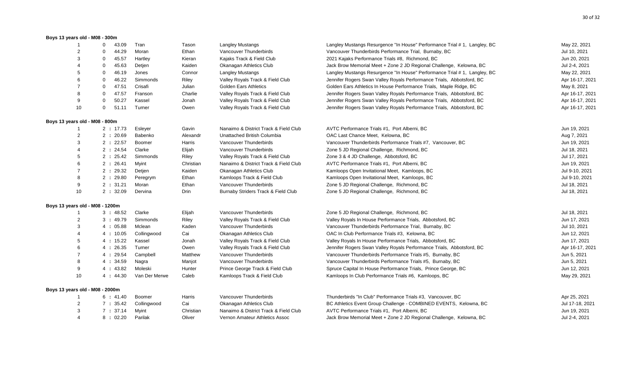#### **Boys 13 years old - M08 - 300m**

| -1                              | $\Omega$<br>43.09     | Tran          | Tason     | <b>Langley Mustangs</b>               | Langley Mustangs Resurgence "In House" Performance Trial # 1, Langley, BC | May 22, 2021    |
|---------------------------------|-----------------------|---------------|-----------|---------------------------------------|---------------------------------------------------------------------------|-----------------|
| $\overline{2}$                  | $\mathbf 0$<br>44.29  | Moran         | Ethan     | Vancouver Thunderbirds                | Vancouver Thunderbirds Performance Trial, Burnaby, BC                     | Jul 10, 2021    |
| 3                               | 45.57<br>$\mathbf 0$  | Hartley       | Kieran    | Kajaks Track & Field Club             | 2021 Kajaks Performance Trials #8, Richmond, BC                           | Jun 20, 2021    |
|                                 | 45.63<br>0            | Detjen        | Kaiden    | Okanagan Athletics Club               | Jack Brow Memorial Meet + Zone 2 JD Regional Challenge, Kelowna, BC       | Jul 2-4, 2021   |
| 5                               | 46.19<br>0            | Jones         | Connor    | <b>Langley Mustangs</b>               | Langley Mustangs Resurgence "In House" Performance Trial #1, Langley, BC  | May 22, 2021    |
| 6                               | 46.22<br>$\mathbf 0$  | Simmonds      | Riley     | Valley Royals Track & Field Club      | Jennifer Rogers Swan Valley Royals Performance Trials, Abbotsford, BC     | Apr 16-17, 2021 |
|                                 | 47.51<br>0            | Crisafi       | Julian    | <b>Golden Ears Athletics</b>          | Golden Ears Athletics In House Performance Trials, Maple Ridge, BC        | May 8, 2021     |
| 8                               | 47.57<br>$\Omega$     | Franson       | Charlie   | Valley Royals Track & Field Club      | Jennifer Rogers Swan Valley Royals Performance Trials, Abbotsford, BC     | Apr 16-17, 2021 |
| 9                               | 50.27<br>$\mathbf 0$  | Kassel        | Jonah     | Valley Royals Track & Field Club      | Jennifer Rogers Swan Valley Royals Performance Trials, Abbotsford, BC     | Apr 16-17, 2021 |
| 10                              | $\mathbf{0}$<br>51.11 | Turner        | Owen      | Valley Royals Track & Field Club      | Jennifer Rogers Swan Valley Royals Performance Trials, Abbotsford, BC     | Apr 16-17, 2021 |
| Boys 13 years old - M08 - 800m  |                       |               |           |                                       |                                                                           |                 |
|                                 | 2:17.73               | Esleyer       | Gavin     | Nanaimo & District Track & Field Club | AVTC Performance Trials #1, Port Alberni, BC                              | Jun 19, 2021    |
| 2                               | 2:20.69               | Babenko       | Alexandr  | Unattached British Columbia           | OAC Last Chance Meet, Kelowna, BC                                         | Aug 7, 2021     |
| 3                               | 2:22.57               | Boomer        | Harris    | Vancouver Thunderbirds                | Vancouver Thunderbirds Performance Trials #7, Vancouver, BC               | Jun 19, 2021    |
|                                 | 2:24.54               | Clarke        | Elijah    | Vancouver Thunderbirds                | Zone 5 JD Regional Challenge, Richmond, BC                                | Jul 18, 2021    |
| 5                               | 2:25.42               | Simmonds      | Riley     | Valley Royals Track & Field Club      | Zone 3 & 4 JD Challenge, Abbotsford, BC                                   | Jul 17, 2021    |
| 6                               | 2:26.41               | Myint         | Christian | Nanaimo & District Track & Field Club | AVTC Performance Trials #1, Port Alberni, BC                              | Jun 19, 2021    |
| $\overline{7}$                  | 2:29.32               | Detjen        | Kaiden    | Okanagan Athletics Club               | Kamloops Open Invitational Meet, Kamloops, BC                             | Jul 9-10, 2021  |
| 8                               | 2:29.80               | Peregrym      | Ethan     | Kamloops Track & Field Club           | Kamloops Open Invitational Meet, Kamloops, BC                             | Jul 9-10, 2021  |
| 9                               | 2 : 31.21             | Moran         | Ethan     | Vancouver Thunderbirds                | Zone 5 JD Regional Challenge, Richmond, BC                                | Jul 18, 2021    |
| 10                              | 2:32.09               | Dervina       | Drin      | Burnaby Striders Track & Field Club   | Zone 5 JD Regional Challenge, Richmond, BC                                | Jul 18, 2021    |
| Boys 13 years old - M08 - 1200m |                       |               |           |                                       |                                                                           |                 |
| $\mathbf{1}$                    | 3:48.52               | Clarke        | Elijah    | Vancouver Thunderbirds                | Zone 5 JD Regional Challenge, Richmond, BC                                | Jul 18, 2021    |
| $\overline{2}$                  | 3:49.79               | Simmonds      | Riley     | Valley Royals Track & Field Club      | Valley Royals In House Performance Trials, Abbotsford, BC                 | Jun 17, 2021    |
| 3                               | 4:05.88               | Mclean        | Kaden     | Vancouver Thunderbirds                | Vancouver Thunderbirds Performance Trial, Burnaby, BC                     | Jul 10, 2021    |
|                                 | 4:10.05               | Collingwood   | Cai       | Okanagan Athletics Club               | OAC In Club Performance Trials #3, Kelowna, BC                            | Jun 12, 2021    |
| 5                               | 4:15.22               | Kassel        | Jonah     | Valley Royals Track & Field Club      | Valley Royals In House Performance Trials, Abbotsford, BC                 | Jun 17, 2021    |
| 6                               | 4:26.35               | Turner        | Owen      | Valley Royals Track & Field Club      | Jennifer Rogers Swan Valley Royals Performance Trials, Abbotsford, BC     | Apr 16-17, 2021 |
| 7                               | 4:29.54               | Campbell      | Matthew   | Vancouver Thunderbirds                | Vancouver Thunderbirds Performance Trials #5, Burnaby, BC                 | Jun 5, 2021     |
| 8                               | 4:34.59               | Nagra         | Manjot    | Vancouver Thunderbirds                | Vancouver Thunderbirds Performance Trials #5, Burnaby, BC                 | Jun 5, 2021     |
| 9                               | 4:43.82               | Moleski       | Hunter    | Prince George Track & Field Club      | Spruce Capital In House Performance Trials, Prince George, BC             | Jun 12, 2021    |
| 10                              | 4:44.30               | Van Der Merwe | Caleb     | Kamloops Track & Field Club           | Kamloops In Club Performance Trials #6, Kamloops, BC                      | May 29, 2021    |
| Boys 13 years old - M08 - 2000m |                       |               |           |                                       |                                                                           |                 |
| $\mathbf{1}$                    | 6:41.40               | Boomer        | Harris    | Vancouver Thunderbirds                | Thunderbirds "In Club" Performance Trials #3, Vancouver, BC               | Apr 25, 2021    |
| 2                               | 7:35.42               | Collingwood   | Cai       | Okanagan Athletics Club               | BC Athletics Event Group Challenge - COMBINED EVENTS, Kelowna, BC         | Jul 17-18, 2021 |
| 3                               | 7:37.14               | Myint         | Christian | Nanaimo & District Track & Field Club | AVTC Performance Trials #1, Port Alberni, BC                              | Jun 19, 2021    |
| 4                               | 8:02.20               | Parilak       | Oliver    | Vernon Amateur Athletics Assoc        | Jack Brow Memorial Meet + Zone 2 JD Regional Challenge, Kelowna, BC       | Jul 2-4, 2021   |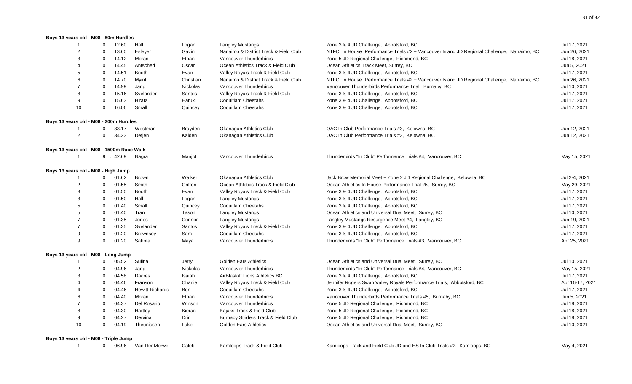#### **Boys 13 years old - M08 - 80m Hurdles**

|                                           | $\overline{1}$ | $\mathbf 0$    | 12.60   | Hall                   | Logan     | <b>Langley Mustangs</b>               | Zone 3 & 4 JD Challenge, Abbotsford, BC                                                     | Jul 17, 2021    |
|-------------------------------------------|----------------|----------------|---------|------------------------|-----------|---------------------------------------|---------------------------------------------------------------------------------------------|-----------------|
|                                           | $\overline{2}$ | $\mathbf 0$    | 13.60   | Esleyer                | Gavin     | Nanaimo & District Track & Field Club | NTFC "In House" Performance Trials #2 + Vancouver Island JD Regional Challenge, Nanaimo, BC | Jun 26, 2021    |
|                                           | 3              | 0              | 14.12   | Moran                  | Ethan     | Vancouver Thunderbirds                | Zone 5 JD Regional Challenge, Richmond, BC                                                  | Jul 18, 2021    |
|                                           | $\overline{4}$ | $\mathbf 0$    | 14.45   | Antscherl              | Oscar     | Ocean Athletics Track & Field Club    | Ocean Athletics Track Meet, Surrey, BC                                                      | Jun 5, 2021     |
|                                           | 5              | $\mathbf 0$    | 14.51   | <b>Booth</b>           | Evan      | Valley Royals Track & Field Club      | Zone 3 & 4 JD Challenge, Abbotsford, BC                                                     | Jul 17, 2021    |
|                                           | 6              | $\mathbf 0$    | 14.70   | Myint                  | Christian | Nanaimo & District Track & Field Club | NTFC "In House" Performance Trials #2 + Vancouver Island JD Regional Challenge, Nanaimo, BC | Jun 26, 2021    |
|                                           | $\overline{7}$ | 0              | 14.99   | Jang                   | Nickolas  | Vancouver Thunderbirds                | Vancouver Thunderbirds Performance Trial, Burnaby, BC                                       | Jul 10, 2021    |
|                                           | 8              | 0              | 15.16   | Svelander              | Santos    | Valley Royals Track & Field Club      | Zone 3 & 4 JD Challenge, Abbotsford, BC                                                     | Jul 17, 2021    |
|                                           | 9              | $\mathbf 0$    | 15.63   | Hirata                 | Haruki    | Coquitlam Cheetahs                    | Zone 3 & 4 JD Challenge, Abbotsford, BC                                                     | Jul 17, 2021    |
|                                           | 10             | $\mathbf 0$    | 16.06   | Small                  | Quincey   | <b>Coquitlam Cheetahs</b>             | Zone 3 & 4 JD Challenge, Abbotsford, BC                                                     | Jul 17, 2021    |
| Boys 13 years old - M08 - 200m Hurdles    |                |                |         |                        |           |                                       |                                                                                             |                 |
|                                           |                | $\mathbf{0}$   | 33.17   | Westman                | Brayden   | Okanagan Athletics Club               | OAC In Club Performance Trials #3, Kelowna, BC                                              | Jun 12, 2021    |
|                                           | $\overline{2}$ | $\mathbf{0}$   | 34.23   | Detjen                 | Kaiden    | Okanagan Athletics Club               | OAC In Club Performance Trials #3, Kelowna, BC                                              | Jun 12, 2021    |
| Boys 13 years old - M08 - 1500m Race Walk |                |                |         |                        |           |                                       |                                                                                             |                 |
|                                           | $\overline{1}$ |                | 9:42.69 | Nagra                  | Manjot    | Vancouver Thunderbirds                | Thunderbirds "In Club" Performance Trials #4, Vancouver, BC                                 | May 15, 2021    |
| Boys 13 years old - M08 - High Jump       |                |                |         |                        |           |                                       |                                                                                             |                 |
|                                           |                | $\mathbf{0}$   | 01.62   | Brown                  | Walker    | Okanagan Athletics Club               | Jack Brow Memorial Meet + Zone 2 JD Regional Challenge, Kelowna, BC                         | Jul 2-4, 2021   |
|                                           | $\overline{2}$ | $\mathbf 0$    | 01.55   | Smith                  | Griffen   | Ocean Athletics Track & Field Club    | Ocean Athletics In House Performance Trial #5, Surrey, BC                                   | May 29, 2021    |
|                                           | 3              | $\mathbf 0$    | 01.50   | <b>Booth</b>           | Evan      | Valley Royals Track & Field Club      | Zone 3 & 4 JD Challenge, Abbotsford, BC                                                     | Jul 17, 2021    |
|                                           | 3              | $\mathbf 0$    | 01.50   | Hall                   | Logan     | Langley Mustangs                      | Zone 3 & 4 JD Challenge, Abbotsford, BC                                                     | Jul 17, 2021    |
|                                           | 5              | $\mathbf 0$    | 01.40   | Small                  | Quincey   | Coquitlam Cheetahs                    | Zone 3 & 4 JD Challenge, Abbotsford, BC                                                     | Jul 17, 2021    |
|                                           | 5              | $\mathbf 0$    | 01.40   | Tran                   | Tason     | <b>Langley Mustangs</b>               | Ocean Athletics and Universal Dual Meet, Surrey, BC                                         | Jul 10, 2021    |
|                                           | $\overline{7}$ | $\mathbf 0$    | 01.35   | Jones                  | Connor    | <b>Langley Mustangs</b>               | Langley Mustangs Resurgence Meet #4, Langley, BC                                            | Jun 19, 2021    |
|                                           | $\overline{7}$ | $\mathbf 0$    | 01.35   | Svelander              | Santos    | Valley Royals Track & Field Club      | Zone 3 & 4 JD Challenge, Abbotsford, BC                                                     | Jul 17, 2021    |
|                                           | 9              | 0              | 01.20   | Brownsey               | Sam       | Coquitlam Cheetahs                    | Zone 3 & 4 JD Challenge, Abbotsford, BC                                                     | Jul 17, 2021    |
|                                           | 9              | $\mathbf 0$    | 01.20   | Sahota                 | Maya      | Vancouver Thunderbirds                | Thunderbirds "In Club" Performance Trials #3, Vancouver, BC                                 | Apr 25, 2021    |
| Boys 13 years old - M08 - Long Jump       |                |                |         |                        |           |                                       |                                                                                             |                 |
|                                           | -1             | $\mathbf 0$    | 05.52   | Sulina                 | Jerry     | <b>Golden Ears Athletics</b>          | Ocean Athletics and Universal Dual Meet, Surrey, BC                                         | Jul 10, 2021    |
|                                           | $\sqrt{2}$     | $\mathbf 0$    | 04.96   | Jang                   | Nickolas  | Vancouver Thunderbirds                | Thunderbirds "In Club" Performance Trials #4, Vancouver, BC                                 | May 15, 2021    |
|                                           | 3              | $\mathbf 0$    | 04.58   | Dacres                 | Isaiah    | AirBlastoff Lions Athletics BC        | Zone 3 & 4 JD Challenge, Abbotsford, BC                                                     | Jul 17, 2021    |
|                                           | $\overline{4}$ | $\mathbf 0$    | 04.46   | Franson                | Charlie   | Valley Royals Track & Field Club      | Jennifer Rogers Swan Valley Royals Performance Trials, Abbotsford, BC                       | Apr 16-17, 2021 |
|                                           | 4              | 0              | 04.46   | <b>Hewitt-Richards</b> | Ben       | Coquitlam Cheetahs                    | Zone 3 & 4 JD Challenge, Abbotsford, BC                                                     | Jul 17, 2021    |
|                                           | 6              | $\mathbf 0$    | 04.40   | Moran                  | Ethan     | Vancouver Thunderbirds                | Vancouver Thunderbirds Performance Trials #5, Burnaby, BC                                   | Jun 5, 2021     |
|                                           | $\overline{7}$ | 0              | 04.37   | Del Rosario            | Winson    | Vancouver Thunderbirds                | Zone 5 JD Regional Challenge, Richmond, BC                                                  | Jul 18, 2021    |
|                                           | 8              | 0              | 04.30   | Hartley                | Kieran    | Kajaks Track & Field Club             | Zone 5 JD Regional Challenge, Richmond, BC                                                  | Jul 18, 2021    |
|                                           | 9              | $\mathbf 0$    | 04.27   | Dervina                | Drin      | Burnaby Striders Track & Field Club   | Zone 5 JD Regional Challenge, Richmond, BC                                                  | Jul 18, 2021    |
|                                           | 10             | $\mathbf 0$    | 04.19   | Theunissen             | Luke      | <b>Golden Ears Athletics</b>          | Ocean Athletics and Universal Dual Meet, Surrey, BC                                         | Jul 10, 2021    |
| Boys 13 years old - M08 - Triple Jump     |                |                |         |                        |           |                                       |                                                                                             |                 |
|                                           | $\overline{1}$ | $\overline{0}$ | 06.96   | Van Der Merwe          | Caleb     | Kamloops Track & Field Club           | Kamloops Track and Field Club JD and HS In Club Trials #2, Kamloops, BC                     | May 4, 2021     |